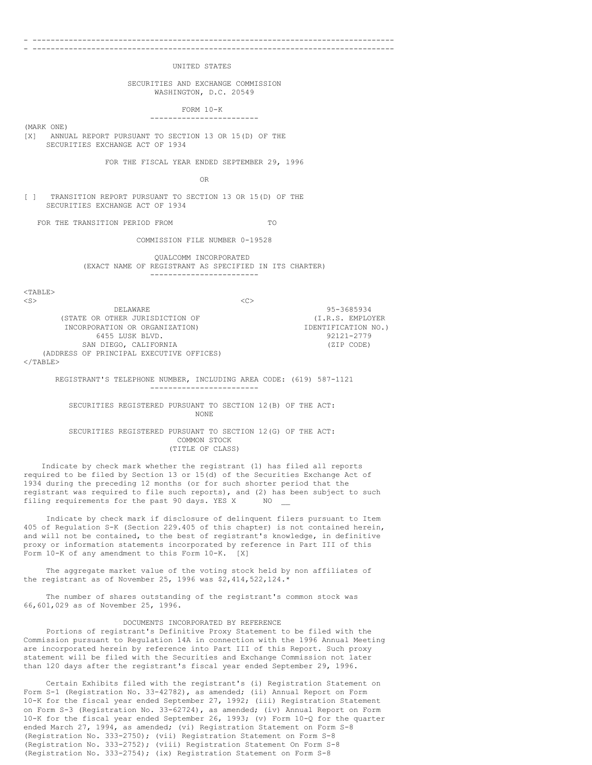#### - --------------------------------------------------------------------------------

# - --------------------------------------------------------------------------------

UNITED STATES

SECURITIES AND EXCHANGE COMMISSION WASHINGTON, D.C. 20549

> FORM 10-K ------------------------

(MARK ONE)

[X] ANNUAL REPORT PURSUANT TO SECTION 13 OR 15(D) OF THE SECURITIES EXCHANGE ACT OF 1934

FOR THE FISCAL YEAR ENDED SEPTEMBER 29, 1996

OR

[ ] TRANSITION REPORT PURSUANT TO SECTION 13 OR 15(D) OF THE SECURITIES EXCHANGE ACT OF 1934

FOR THE TRANSITION PERIOD FROM TO TO

COMMISSION FILE NUMBER 0-19528

QUALCOMM INCORPORATED (EXACT NAME OF REGISTRANT AS SPECIFIED IN ITS CHARTER) ------------------------

<TABLE>

 $\langle$ S>  $\langle$ C>

DELAWARE 95-3685934<br>THER JURISDICTION OF THER SOLUTION OF (I.R.S. EMPLOYER (STATE OR OTHER JURISDICTION OF  $(1,R.S.$  EMPLOYER INCORPORATION OR ORGANIZATION) INCORPORATION OR ORGANIZATION) IDENTIFICATION NO.) 6455 LUSK BLVD.<br>N DIEGO, CALIFORNIA (ZIP CODE) SAN DIEGO, CALIFORNIA (ADDRESS OF PRINCIPAL EXECUTIVE OFFICES)  $<$ /TABLE $>$ 

REGISTRANT'S TELEPHONE NUMBER, INCLUDING AREA CODE: (619) 587-1121 ------------------------

SECURITIES REGISTERED PURSUANT TO SECTION 12(B) OF THE ACT: NONE

SECURITIES REGISTERED PURSUANT TO SECTION 12(G) OF THE ACT: COMMON STOCK (TITLE OF CLASS)

Indicate by check mark whether the registrant (1) has filed all reports required to be filed by Section 13 or 15(d) of the Securities Exchange Act of 1934 during the preceding 12 months (or for such shorter period that the registrant was required to file such reports), and (2) has been subject to such filing requirements for the past 90 days. YES X NO

Indicate by check mark if disclosure of delinquent filers pursuant to Item 405 of Regulation S-K (Section 229.405 of this chapter) is not contained herein, and will not be contained, to the best of registrant's knowledge, in definitive proxy or information statements incorporated by reference in Part III of this Form 10-K of any amendment to this Form 10-K. [X]

The aggregate market value of the voting stock held by non affiliates of the registrant as of November 25, 1996 was \$2,414,522,124.\*

The number of shares outstanding of the registrant's common stock was 66,601,029 as of November 25, 1996.

DOCUMENTS INCORPORATED BY REFERENCE

Portions of registrant's Definitive Proxy Statement to be filed with the Commission pursuant to Regulation 14A in connection with the 1996 Annual Meeting are incorporated herein by reference into Part III of this Report. Such proxy statement will be filed with the Securities and Exchange Commission not later than 120 days after the registrant's fiscal year ended September 29, 1996.

Certain Exhibits filed with the registrant's (i) Registration Statement on Form S-1 (Registration No. 33-42782), as amended; (ii) Annual Report on Form 10-K for the fiscal year ended September 27, 1992; (iii) Registration Statement on Form S-3 (Registration No. 33-62724), as amended; (iv) Annual Report on Form 10-K for the fiscal year ended September 26, 1993; (v) Form 10-Q for the quarter ended March 27, 1994, as amended; (vi) Registration Statement on Form S-8 (Registration No. 333-2750); (vii) Registration Statement on Form S-8 (Registration No. 333-2752); (viii) Registration Statement On Form S-8 (Registration No. 333-2754); (ix) Registration Statement on Form S-8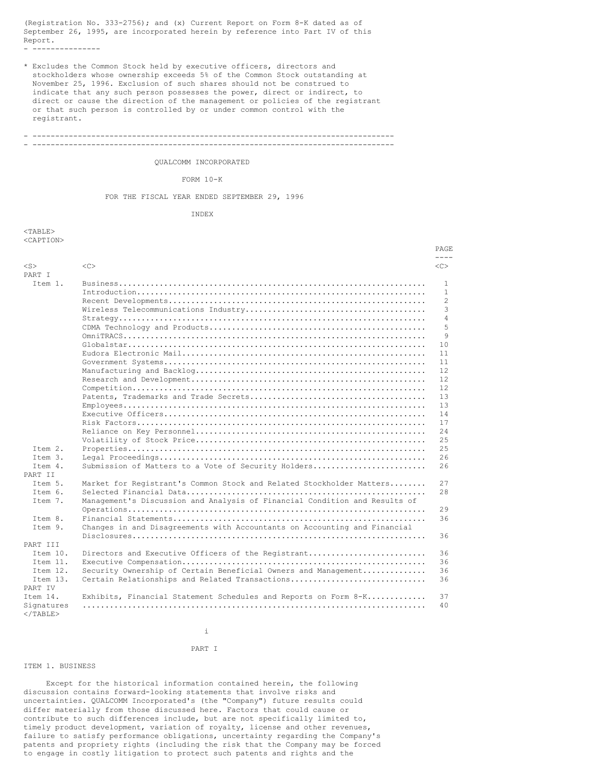(Registration No. 333-2756); and (x) Current Report on Form 8-K dated as of September 26, 1995, are incorporated herein by reference into Part IV of this Report.

- ---------------

\* Excludes the Common Stock held by executive officers, directors and stockholders whose ownership exceeds 5% of the Common Stock outstanding at November 25, 1996. Exclusion of such shares should not be construed to indicate that any such person possesses the power, direct or indirect, to direct or cause the direction of the management or policies of the registrant or that such person is controlled by or under common control with the registrant.

#### - -------------------------------------------------------------------------------- - --------------------------------------------------------------------------------

# QUALCOMM INCORPORATED

# FORM 10-K

FOR THE FISCAL YEAR ENDED SEPTEMBER 29, 1996

# INDEX

#### <TABLE> <CAPTION>

|            |                                                                            | <b>PAGE</b>    |
|------------|----------------------------------------------------------------------------|----------------|
|            |                                                                            | $- - - -$      |
| $<$ S $>$  | < <sub></sub>                                                              | $<<$ $C>$      |
| PART T     |                                                                            |                |
| Ttem 1.    |                                                                            | 1.             |
|            |                                                                            | $\mathbf{1}$   |
|            |                                                                            | $\mathfrak{D}$ |
|            |                                                                            | 3              |
|            |                                                                            | $\overline{4}$ |
|            |                                                                            | 5              |
|            |                                                                            | $\mathcal{Q}$  |
|            |                                                                            | 10             |
|            |                                                                            | 11             |
|            |                                                                            | 11             |
|            |                                                                            | 12             |
|            |                                                                            | 12             |
|            |                                                                            | 12             |
|            |                                                                            | 13             |
|            |                                                                            | 13             |
|            |                                                                            | 14             |
|            |                                                                            | 17             |
|            |                                                                            | 24             |
|            |                                                                            | 25             |
| Item 2.    |                                                                            | 25             |
| Item 3.    |                                                                            | 26             |
| Ttem 4.    | Submission of Matters to a Vote of Security Holders                        | 26             |
| PART TT    |                                                                            |                |
| Ttem 5.    | Market for Registrant's Common Stock and Related Stockholder Matters       | 27             |
| Item 6.    |                                                                            | 28             |
| Item 7.    | Management's Discussion and Analysis of Financial Condition and Results of |                |
|            |                                                                            | 29             |
| Ttem 8.    |                                                                            | 36             |
| Item 9.    | Changes in and Disagreements with Accountants on Accounting and Financial  |                |
|            |                                                                            | 36             |
| PART III   |                                                                            |                |
| Item 10.   | Directors and Executive Officers of the Registrant                         | 36             |
| Item 11.   |                                                                            | 36             |
| Item 12.   | Security Ownership of Certain Beneficial Owners and Management             | 36             |
| Item 13.   |                                                                            | 36             |
| PART TV    | Certain Relationships and Related Transactions                             |                |
| Ttem 14.   |                                                                            |                |
|            | Exhibits, Financial Statement Schedules and Reports on Form 8-K            | 37             |
| Signatures |                                                                            | 40             |

i

# PART I

#### ITEM 1. BUSINESS

 $\langle$ /TABLE>

Except for the historical information contained herein, the following discussion contains forward-looking statements that involve risks and uncertainties. QUALCOMM Incorporated's (the "Company") future results could differ materially from those discussed here. Factors that could cause or contribute to such differences include, but are not specifically limited to, timely product development, variation of royalty, license and other revenues, failure to satisfy performance obligations, uncertainty regarding the Company's patents and propriety rights (including the risk that the Company may be forced to engage in costly litigation to protect such patents and rights and the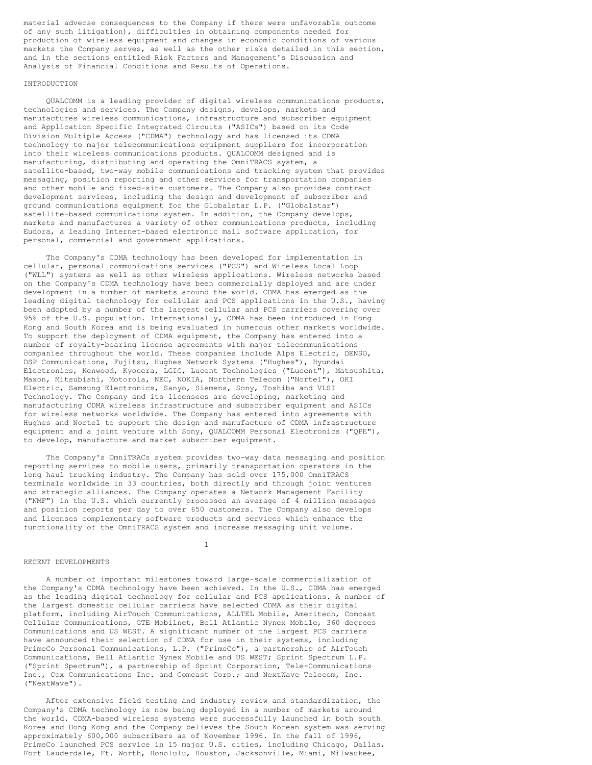material adverse consequences to the Company if there were unfavorable outcome of any such litigation), difficulties in obtaining components needed for production of wireless equipment and changes in economic conditions of various markets the Company serves, as well as the other risks detailed in this section, and in the sections entitled Risk Factors and Management's Discussion and Analysis of Financial Conditions and Results of Operations.

# INTRODUCTION

QUALCOMM is a leading provider of digital wireless communications products, technologies and services. The Company designs, develops, markets and manufactures wireless communications, infrastructure and subscriber equipment and Application Specific Integrated Circuits ("ASICs") based on its Code Division Multiple Access ("CDMA") technology and has licensed its CDMA technology to major telecommunications equipment suppliers for incorporation into their wireless communications products. QUALCOMM designed and is manufacturing, distributing and operating the OmniTRACS system, a satellite-based, two-way mobile communications and tracking system that provides messaging, position reporting and other services for transportation companies and other mobile and fixed-site customers. The Company also provides contract development services, including the design and development of subscriber and ground communications equipment for the Globalstar L.P. ("Globalstar") satellite-based communications system. In addition, the Company develops, markets and manufactures a variety of other communications products, including Eudora, a leading Internet-based electronic mail software application, for personal, commercial and government applications.

The Company's CDMA technology has been developed for implementation in cellular, personal communications services ("PCS") and Wireless Local Loop ("WLL") systems as well as other wireless applications. Wireless networks based on the Company's CDMA technology have been commercially deployed and are under development in a number of markets around the world. CDMA has emerged as the leading digital technology for cellular and PCS applications in the U.S., having been adopted by a number of the largest cellular and PCS carriers covering over 95% of the U.S. population. Internationally, CDMA has been introduced in Hong Kong and South Korea and is being evaluated in numerous other markets worldwide. To support the deployment of CDMA equipment, the Company has entered into a number of royalty-bearing license agreements with major telecommunications companies throughout the world. These companies include Alps Electric, DENSO, DSP Communications, Fujitsu, Hughes Network Systems ("Hughes"), Hyundai Electronics, Kenwood, Kyocera, LGIC, Lucent Technologies ("Lucent"), Matsushita, Maxon, Mitsubishi, Motorola, NEC, NOKIA, Northern Telecom ("Nortel"), OKI Electric, Samsung Electronics, Sanyo, Siemens, Sony, Toshiba and VLSI Technology. The Company and its licensees are developing, marketing and manufacturing CDMA wireless infrastructure and subscriber equipment and ASICs for wireless networks worldwide. The Company has entered into agreements with Hughes and Nortel to support the design and manufacture of CDMA infrastructure equipment and a joint venture with Sony, QUALCOMM Personal Electronics ("QPE"), to develop, manufacture and market subscriber equipment.

The Company's OmniTRACs system provides two-way data messaging and position reporting services to mobile users, primarily transportation operators in the long haul trucking industry. The Company has sold over 175,000 OmniTRACS terminals worldwide in 33 countries, both directly and through joint ventures and strategic alliances. The Company operates a Network Management Facility ("NMF") in the U.S. which currently processes an average of 4 million messages and position reports per day to over 650 customers. The Company also develops and licenses complementary software products and services which enhance the functionality of the OmniTRACS system and increase messaging unit volume.

1

#### RECENT DEVELOPMENTS

A number of important milestones toward large-scale commercialization of the Company's CDMA technology have been achieved. In the U.S., CDMA has emerged as the leading digital technology for cellular and PCS applications. A number of the largest domestic cellular carriers have selected CDMA as their digital platform, including AirTouch Communications, ALLTEL Mobile, Ameritech, Comcast Cellular Communications, GTE Mobilnet, Bell Atlantic Nynex Mobile, 360 degrees Communications and US WEST. A significant number of the largest PCS carriers have announced their selection of CDMA for use in their systems, including PrimeCo Personal Communications, L.P. ("PrimeCo"), a partnership of AirTouch Communications, Bell Atlantic Nynex Mobile and US WEST; Sprint Spectrum L.P. ("Sprint Spectrum"), a partnership of Sprint Corporation, Tele-Communications Inc., Cox Communications Inc. and Comcast Corp.; and NextWave Telecom, Inc. ("NextWave").

After extensive field testing and industry review and standardization, the Company's CDMA technology is now being deployed in a number of markets around the world. CDMA-based wireless systems were successfully launched in both south Korea and Hong Kong and the Company believes the South Korean system was serving approximately 600,000 subscribers as of November 1996. In the fall of 1996, PrimeCo launched PCS service in 15 major U.S. cities, including Chicago, Dallas, Fort Lauderdale, Ft. Worth, Honolulu, Houston, Jacksonville, Miami, Milwaukee,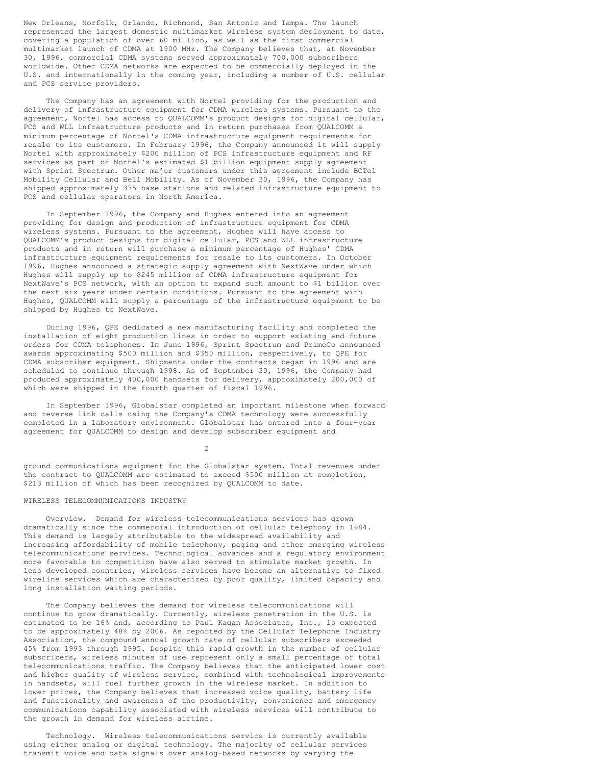New Orleans, Norfolk, Orlando, Richmond, San Antonio and Tampa. The launch represented the largest domestic multimarket wireless system deployment to date, covering a population of over 60 million, as well as the first commercial multimarket launch of CDMA at 1900 MHz. The Company believes that, at November 30, 1996, commercial CDMA systems served approximately 700,000 subscribers worldwide. Other CDMA networks are expected to be commercially deployed in the U.S. and internationally in the coming year, including a number of U.S. cellular and PCS service providers.

The Company has an agreement with Nortel providing for the production and delivery of infrastructure equipment for CDMA wireless systems. Pursuant to the agreement, Nortel has access to QUALCOMM's product designs for digital cellular, PCS and WLL infrastructure products and in return purchases from QUALCOMM a minimum percentage of Nortel's CDMA infrastructure equipment requirements for resale to its customers. In February 1996, the Company announced it will supply Nortel with approximately \$200 million of PCS infrastructure equipment and RF services as part of Nortel's estimated \$1 billion equipment supply agreement with Sprint Spectrum. Other major customers under this agreement include BCTel Mobility Cellular and Bell Mobility. As of November 30, 1996, the Company has shipped approximately 375 base stations and related infrastructure equipment to PCS and cellular operators in North America.

In September 1996, the Company and Hughes entered into an agreement providing for design and production of infrastructure equipment for CDMA wireless systems. Pursuant to the agreement, Hughes will have access to QUALCOMM's product designs for digital cellular, PCS and WLL infrastructure products and in return will purchase a minimum percentage of Hughes' CDMA infrastructure equipment requirements for resale to its customers. In October 1996, Hughes announced a strategic supply agreement with NextWave under which Hughes will supply up to \$245 million of CDMA infrastructure equipment for NextWave's PCS network, with an option to expand such amount to \$1 billion over the next six years under certain conditions. Pursuant to the agreement with Hughes, QUALCOMM will supply a percentage of the infrastructure equipment to be shipped by Hughes to NextWave.

During 1996, QPE dedicated a new manufacturing facility and completed the installation of eight production lines in order to support existing and future orders for CDMA telephones. In June 1996, Sprint Spectrum and PrimeCo announced awards approximating \$500 million and \$350 million, respectively, to QPE for CDMA subscriber equipment. Shipments under the contracts began in 1996 and are scheduled to continue through 1998. As of September 30, 1996, the Company had produced approximately 400,000 handsets for delivery, approximately 200,000 of which were shipped in the fourth quarter of fiscal 1996.

In September 1996, Globalstar completed an important milestone when forward and reverse link calls using the Company's CDMA technology were successfully completed in a laboratory environment. Globalstar has entered into a four-year agreement for QUALCOMM to design and develop subscriber equipment and

2

ground communications equipment for the Globalstar system. Total revenues under the contract to QUALCOMM are estimated to exceed \$500 million at completion, \$213 million of which has been recognized by QUALCOMM to date.

#### WIRELESS TELECOMMUNICATIONS INDUSTRY

Overview. Demand for wireless telecommunications services has grown dramatically since the commercial introduction of cellular telephony in 1984. This demand is largely attributable to the widespread availability and increasing affordability of mobile telephony, paging and other emerging wireless telecommunications services. Technological advances and a regulatory environment more favorable to competition have also served to stimulate market growth. In less developed countries, wireless services have become an alternative to fixed wireline services which are characterized by poor quality, limited capacity and long installation waiting periods.

The Company believes the demand for wireless telecommunications will continue to grow dramatically. Currently, wireless penetration in the U.S. is estimated to be 16% and, according to Paul Kagan Associates, Inc., is expected to be approximately 48% by 2006. As reported by the Cellular Telephone Industry Association, the compound annual growth rate of cellular subscribers exceeded 45% from 1993 through 1995. Despite this rapid growth in the number of cellular subscribers, wireless minutes of use represent only a small percentage of total telecommunications traffic. The Company believes that the anticipated lower cost and higher quality of wireless service, combined with technological improvements in handsets, will fuel further growth in the wireless market. In addition to lower prices, the Company believes that increased voice quality, battery life and functionality and awareness of the productivity, convenience and emergency communications capability associated with wireless services will contribute to the growth in demand for wireless airtime.

Technology. Wireless telecommunications service is currently available using either analog or digital technology. The majority of cellular services transmit voice and data signals over analog-based networks by varying the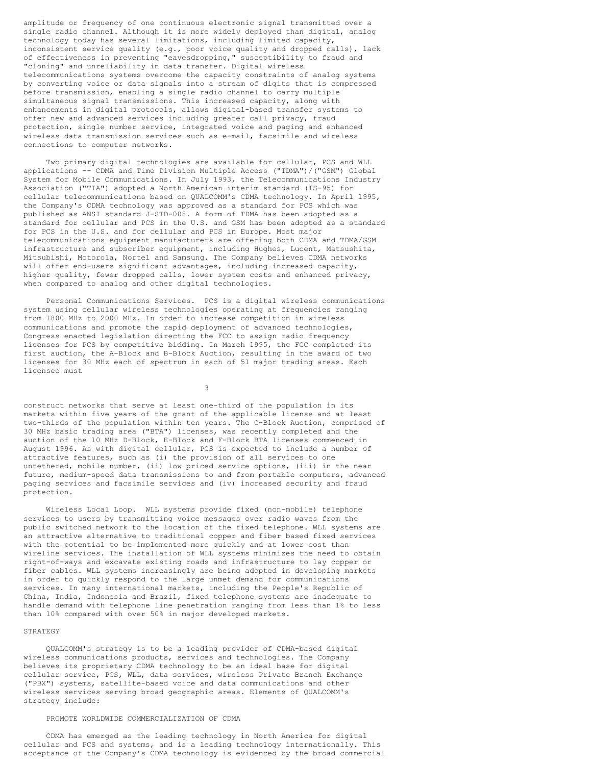amplitude or frequency of one continuous electronic signal transmitted over a single radio channel. Although it is more widely deployed than digital, analog technology today has several limitations, including limited capacity, inconsistent service quality (e.g., poor voice quality and dropped calls), lack of effectiveness in preventing "eavesdropping," susceptibility to fraud and "cloning" and unreliability in data transfer. Digital wireless telecommunications systems overcome the capacity constraints of analog systems by converting voice or data signals into a stream of digits that is compressed before transmission, enabling a single radio channel to carry multiple simultaneous signal transmissions. This increased capacity, along with enhancements in digital protocols, allows digital-based transfer systems to offer new and advanced services including greater call privacy, fraud protection, single number service, integrated voice and paging and enhanced wireless data transmission services such as e-mail, facsimile and wireless connections to computer networks.

Two primary digital technologies are available for cellular, PCS and WLL applications -- CDMA and Time Division Multiple Access ("TDMA")/("GSM") Global System for Mobile Communications. In July 1993, the Telecommunications Industry Association ("TIA") adopted a North American interim standard (IS-95) for cellular telecommunications based on QUALCOMM's CDMA technology. In April 1995, the Company's CDMA technology was approved as a standard for PCS which was published as ANSI standard J-STD-008. A form of TDMA has been adopted as a standard for cellular and PCS in the U.S. and GSM has been adopted as a standard for PCS in the U.S. and for cellular and PCS in Europe. Most major telecommunications equipment manufacturers are offering both CDMA and TDMA/GSM infrastructure and subscriber equipment, including Hughes, Lucent, Matsushita, Mitsubishi, Motorola, Nortel and Samsung. The Company believes CDMA networks will offer end-users significant advantages, including increased capacity, higher quality, fewer dropped calls, lower system costs and enhanced privacy, when compared to analog and other digital technologies.

Personal Communications Services. PCS is a digital wireless communications system using cellular wireless technologies operating at frequencies ranging from 1800 MHz to 2000 MHz. In order to increase competition in wireless communications and promote the rapid deployment of advanced technologies, Congress enacted legislation directing the FCC to assign radio frequency licenses for PCS by competitive bidding. In March 1995, the FCC completed its first auction, the A-Block and B-Block Auction, resulting in the award of two licenses for 30 MHz each of spectrum in each of 51 major trading areas. Each licensee must

3

construct networks that serve at least one-third of the population in its markets within five years of the grant of the applicable license and at least two-thirds of the population within ten years. The C-Block Auction, comprised of 30 MHz basic trading area ("BTA") licenses, was recently completed and the auction of the 10 MHz D-Block, E-Block and F-Block BTA licenses commenced in August 1996. As with digital cellular, PCS is expected to include a number of attractive features, such as (i) the provision of all services to one untethered, mobile number, (ii) low priced service options, (iii) in the near future, medium-speed data transmissions to and from portable computers, advanced paging services and facsimile services and (iv) increased security and fraud protection.

Wireless Local Loop. WLL systems provide fixed (non-mobile) telephone services to users by transmitting voice messages over radio waves from the public switched network to the location of the fixed telephone. WLL systems are an attractive alternative to traditional copper and fiber based fixed services with the potential to be implemented more quickly and at lower cost than wireline services. The installation of WLL systems minimizes the need to obtain right-of-ways and excavate existing roads and infrastructure to lay copper or fiber cables. WLL systems increasingly are being adopted in developing markets in order to quickly respond to the large unmet demand for communications services. In many international markets, including the People's Republic of China, India, Indonesia and Brazil, fixed telephone systems are inadequate to handle demand with telephone line penetration ranging from less than 1% to less than 10% compared with over 50% in major developed markets.

#### STRATEGY

QUALCOMM's strategy is to be a leading provider of CDMA-based digital wireless communications products, services and technologies. The Company believes its proprietary CDMA technology to be an ideal base for digital cellular service, PCS, WLL, data services, wireless Private Branch Exchange ("PBX") systems, satellite-based voice and data communications and other wireless services serving broad geographic areas. Elements of QUALCOMM's strategy include:

#### PROMOTE WORLDWIDE COMMERCIALIZATION OF CDMA

CDMA has emerged as the leading technology in North America for digital cellular and PCS and systems, and is a leading technology internationally. This acceptance of the Company's CDMA technology is evidenced by the broad commercial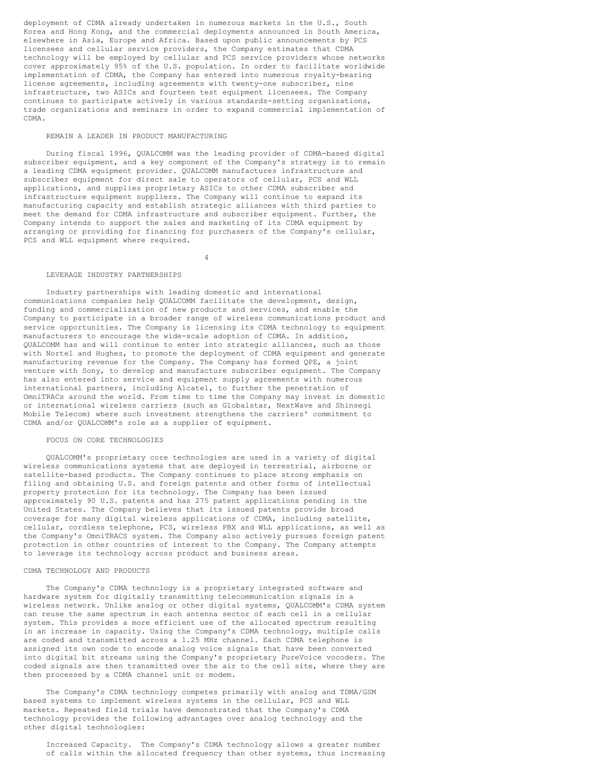deployment of CDMA already undertaken in numerous markets in the U.S., South Korea and Hong Kong, and the commercial deployments announced in South America, elsewhere in Asia, Europe and Africa. Based upon public announcements by PCS licensees and cellular service providers, the Company estimates that CDMA technology will be employed by cellular and PCS service providers whose networks cover approximately 95% of the U.S. population. In order to facilitate worldwide implementation of CDMA, the Company has entered into numerous royalty-bearing license agreements, including agreements with twenty-one subscriber, nine infrastructure, two ASICs and fourteen test equipment licensees. The Company continues to participate actively in various standards-setting organizations, trade organizations and seminars in order to expand commercial implementation of CDMA.

# REMAIN A LEADER IN PRODUCT MANUFACTURING

During fiscal 1996, QUALCOMM was the leading provider of CDMA-based digital subscriber equipment, and a key component of the Company's strategy is to remain a leading CDMA equipment provider. QUALCOMM manufactures infrastructure and subscriber equipment for direct sale to operators of cellular, PCS and WLL applications, and supplies proprietary ASICs to other CDMA subscriber and infrastructure equipment suppliers. The Company will continue to expand its manufacturing capacity and establish strategic alliances with third parties to meet the demand for CDMA infrastructure and subscriber equipment. Further, the Company intends to support the sales and marketing of its CDMA equipment by arranging or providing for financing for purchasers of the Company's cellular, PCS and WLL equipment where required.

4

# LEVERAGE INDUSTRY PARTNERSHIPS

Industry partnerships with leading domestic and international communications companies help QUALCOMM facilitate the development, design, funding and commercialization of new products and services, and enable the Company to participate in a broader range of wireless communications product and service opportunities. The Company is licensing its CDMA technology to equipment manufacturers to encourage the wide-scale adoption of CDMA. In addition, QUALCOMM has and will continue to enter into strategic alliances, such as those with Nortel and Hughes, to promote the deployment of CDMA equipment and generate manufacturing revenue for the Company. The Company has formed QPE, a joint venture with Sony, to develop and manufacture subscriber equipment. The Company has also entered into service and equipment supply agreements with numerous international partners, including Alcatel, to further the penetration of OmniTRACs around the world. From time to time the Company may invest in domestic or international wireless carriers (such as Globalstar, NextWave and Shinsegi Mobile Telecom) where such investment strengthens the carriers' commitment to CDMA and/or QUALCOMM's role as a supplier of equipment.

# FOCUS ON CORE TECHNOLOGIES

QUALCOMM's proprietary core technologies are used in a variety of digital wireless communications systems that are deployed in terrestrial, airborne or satellite-based products. The Company continues to place strong emphasis on filing and obtaining U.S. and foreign patents and other forms of intellectual property protection for its technology. The Company has been issued approximately 90 U.S. patents and has 275 patent applications pending in the United States. The Company believes that its issued patents provide broad coverage for many digital wireless applications of CDMA, including satellite, cellular, cordless telephone, PCS, wireless PBX and WLL applications, as well as the Company's OmniTRACS system. The Company also actively pursues foreign patent protection in other countries of interest to the Company. The Company attempts to leverage its technology across product and business areas.

#### CDMA TECHNOLOGY AND PRODUCTS

The Company's CDMA technology is a proprietary integrated software and hardware system for digitally transmitting telecommunication signals in a wireless network. Unlike analog or other digital systems, QUALCOMM's CDMA system can reuse the same spectrum in each antenna sector of each cell in a cellular system. This provides a more efficient use of the allocated spectrum resulting in an increase in capacity. Using the Company's CDMA technology, multiple calls are coded and transmitted across a 1.25 MHz channel. Each CDMA telephone is assigned its own code to encode analog voice signals that have been converted into digital bit streams using the Company's proprietary PureVoice vocoders. The coded signals are then transmitted over the air to the cell site, where they are then processed by a CDMA channel unit or modem.

The Company's CDMA technology competes primarily with analog and TDMA/GSM based systems to implement wireless systems in the cellular, PCS and WLL markets. Repeated field trials have demonstrated that the Company's CDMA technology provides the following advantages over analog technology and the other digital technologies:

Increased Capacity. The Company's CDMA technology allows a greater number of calls within the allocated frequency than other systems, thus increasing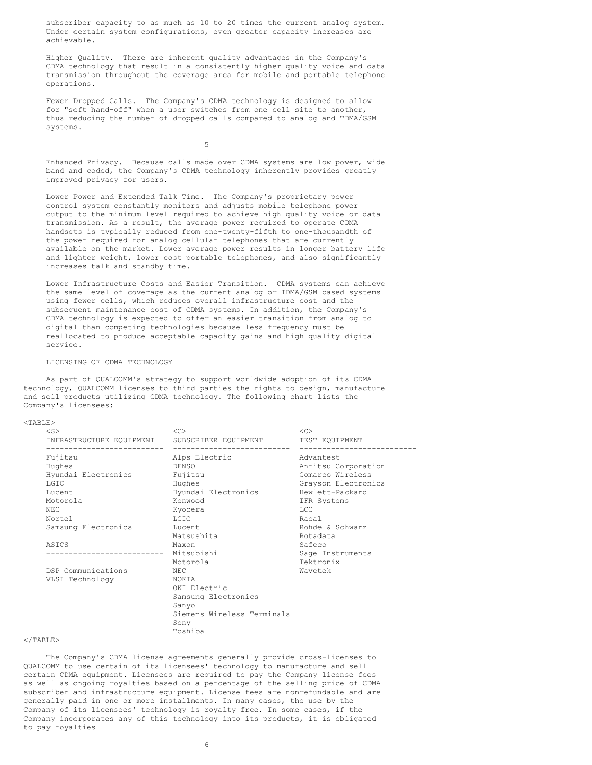subscriber capacity to as much as 10 to 20 times the current analog system. Under certain system configurations, even greater capacity increases are achievable.

Higher Quality. There are inherent quality advantages in the Company's CDMA technology that result in a consistently higher quality voice and data transmission throughout the coverage area for mobile and portable telephone operations.

Fewer Dropped Calls. The Company's CDMA technology is designed to allow for "soft hand-off" when a user switches from one cell site to another, thus reducing the number of dropped calls compared to analog and TDMA/GSM systems.

5

Enhanced Privacy. Because calls made over CDMA systems are low power, wide band and coded, the Company's CDMA technology inherently provides greatly improved privacy for users.

Lower Power and Extended Talk Time. The Company's proprietary power control system constantly monitors and adjusts mobile telephone power output to the minimum level required to achieve high quality voice or data transmission. As a result, the average power required to operate CDMA handsets is typically reduced from one-twenty-fifth to one-thousandth of the power required for analog cellular telephones that are currently available on the market. Lower average power results in longer battery life and lighter weight, lower cost portable telephones, and also significantly increases talk and standby time.

Lower Infrastructure Costs and Easier Transition. CDMA systems can achieve the same level of coverage as the current analog or TDMA/GSM based systems using fewer cells, which reduces overall infrastructure cost and the subsequent maintenance cost of CDMA systems. In addition, the Company's CDMA technology is expected to offer an easier transition from analog to digital than competing technologies because less frequency must be reallocated to produce acceptable capacity gains and high quality digital service.

# LICENSING OF CDMA TECHNOLOGY

As part of QUALCOMM's strategy to support worldwide adoption of its CDMA technology, QUALCOMM licenses to third parties the rights to design, manufacture and sell products utilizing CDMA technology. The following chart lists the Company's licensees:

#### $<$ TABLE>

| $<$ S $>$           | < <sub><br/>INFRASTRUCTURE EQUIPMENT SUBSCRIBER EQUIPMENT</sub> | <<<br>TEST EQUIPMENT |
|---------------------|-----------------------------------------------------------------|----------------------|
| Fujitsu             | Alps Electric                                                   | Advantest            |
| Hughes              | DENSO                                                           | Anritsu Corporation  |
| Hyundai Electronics | Fujitsu                                                         | Comarco Wireless     |
| <b>LGTC</b>         | Hughes                                                          | Grayson Electronics  |
| Lucent              | Hyundai Electronics                                             | Hewlett-Packard      |
| Motorola            | Kenwood                                                         | IFR Systems          |
| NEC                 | Kyocera                                                         | LCC                  |
| Nortel              | LGIC                                                            | Racal                |
| Samsung Electronics | Lucent                                                          | Rohde & Schwarz      |
|                     | Matsushita                                                      | Rotadata             |
| ASICS               | Maxon                                                           | Safeco               |
|                     | Mitsubishi                                                      | Sage Instruments     |
|                     | Motorola                                                        | Tektronix            |
| DSP Communications  | NEC                                                             | Wavetek              |
| VLSI Technology     | NOKTA                                                           |                      |
|                     | OKI Electric                                                    |                      |
|                     | Samsung Electronics                                             |                      |
|                     | Sanyo                                                           |                      |
|                     | Siemens Wireless Terminals                                      |                      |
|                     | Sony                                                            |                      |
|                     | Toshiba                                                         |                      |

#### $<$ /TABLE>

The Company's CDMA license agreements generally provide cross-licenses to QUALCOMM to use certain of its licensees' technology to manufacture and sell certain CDMA equipment. Licensees are required to pay the Company license fees as well as ongoing royalties based on a percentage of the selling price of CDMA subscriber and infrastructure equipment. License fees are nonrefundable and are generally paid in one or more installments. In many cases, the use by the Company of its licensees' technology is royalty free. In some cases, if the Company incorporates any of this technology into its products, it is obligated to pay royalties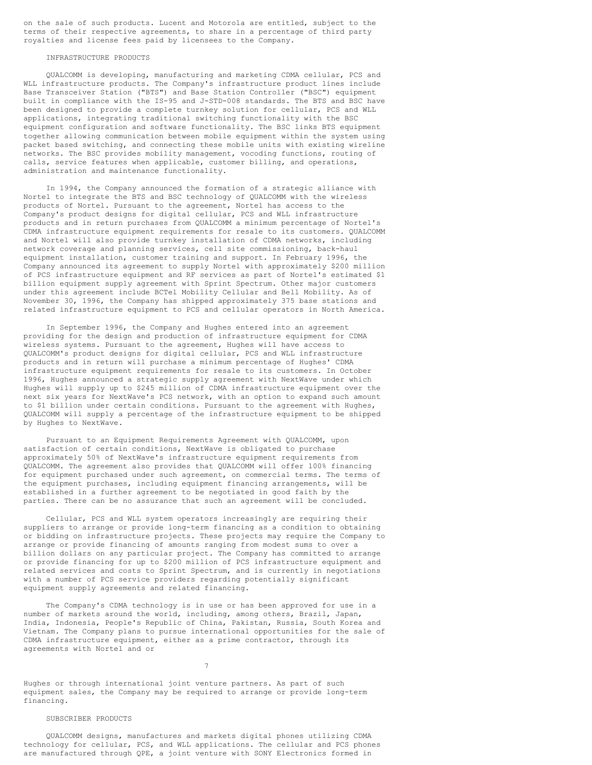on the sale of such products. Lucent and Motorola are entitled, subject to the terms of their respective agreements, to share in a percentage of third party royalties and license fees paid by licensees to the Company.

# INFRASTRUCTURE PRODUCTS

QUALCOMM is developing, manufacturing and marketing CDMA cellular, PCS and WLL infrastructure products. The Company's infrastructure product lines include Base Transceiver Station ("BTS") and Base Station Controller ("BSC") equipment built in compliance with the IS-95 and J-STD-008 standards. The BTS and BSC have been designed to provide a complete turnkey solution for cellular, PCS and WLL applications, integrating traditional switching functionality with the BSC equipment configuration and software functionality. The BSC links BTS equipment together allowing communication between mobile equipment within the system using packet based switching, and connecting these mobile units with existing wireline networks. The BSC provides mobility management, vocoding functions, routing of calls, service features when applicable, customer billing, and operations, administration and maintenance functionality.

In 1994, the Company announced the formation of a strategic alliance with Nortel to integrate the BTS and BSC technology of QUALCOMM with the wireless products of Nortel. Pursuant to the agreement, Nortel has access to the Company's product designs for digital cellular, PCS and WLL infrastructure products and in return purchases from QUALCOMM a minimum percentage of Nortel's CDMA infrastructure equipment requirements for resale to its customers. QUALCOMM and Nortel will also provide turnkey installation of CDMA networks, including network coverage and planning services, cell site commissioning, back-haul equipment installation, customer training and support. In February 1996, the Company announced its agreement to supply Nortel with approximately \$200 million of PCS infrastructure equipment and RF services as part of Nortel's estimated \$1 billion equipment supply agreement with Sprint Spectrum. Other major customers under this agreement include BCTel Mobility Cellular and Bell Mobility. As of November 30, 1996, the Company has shipped approximately 375 base stations and related infrastructure equipment to PCS and cellular operators in North America.

In September 1996, the Company and Hughes entered into an agreement providing for the design and production of infrastructure equipment for CDMA wireless systems. Pursuant to the agreement, Hughes will have access to QUALCOMM's product designs for digital cellular, PCS and WLL infrastructure products and in return will purchase a minimum percentage of Hughes' CDMA infrastructure equipment requirements for resale to its customers. In October 1996, Hughes announced a strategic supply agreement with NextWave under which Hughes will supply up to \$245 million of CDMA infrastructure equipment over the next six years for NextWave's PCS network, with an option to expand such amount to \$1 billion under certain conditions. Pursuant to the agreement with Hughes, QUALCOMM will supply a percentage of the infrastructure equipment to be shipped by Hughes to NextWave.

Pursuant to an Equipment Requirements Agreement with QUALCOMM, upon satisfaction of certain conditions, NextWave is obligated to purchase approximately 50% of NextWave's infrastructure equipment requirements from QUALCOMM. The agreement also provides that QUALCOMM will offer 100% financing for equipment purchased under such agreement, on commercial terms. The terms of the equipment purchases, including equipment financing arrangements, will be established in a further agreement to be negotiated in good faith by the parties. There can be no assurance that such an agreement will be concluded.

Cellular, PCS and WLL system operators increasingly are requiring their suppliers to arrange or provide long-term financing as a condition to obtaining or bidding on infrastructure projects. These projects may require the Company to arrange or provide financing of amounts ranging from modest sums to over a billion dollars on any particular project. The Company has committed to arrange or provide financing for up to \$200 million of PCS infrastructure equipment and related services and costs to Sprint Spectrum, and is currently in negotiations with a number of PCS service providers regarding potentially significant equipment supply agreements and related financing.

The Company's CDMA technology is in use or has been approved for use in a number of markets around the world, including, among others, Brazil, Japan, India, Indonesia, People's Republic of China, Pakistan, Russia, South Korea and Vietnam. The Company plans to pursue international opportunities for the sale of CDMA infrastructure equipment, either as a prime contractor, through its agreements with Nortel and or

7

Hughes or through international joint venture partners. As part of such equipment sales, the Company may be required to arrange or provide long-term financing.

# SUBSCRIBER PRODUCTS

QUALCOMM designs, manufactures and markets digital phones utilizing CDMA technology for cellular, PCS, and WLL applications. The cellular and PCS phones are manufactured through QPE, a joint venture with SONY Electronics formed in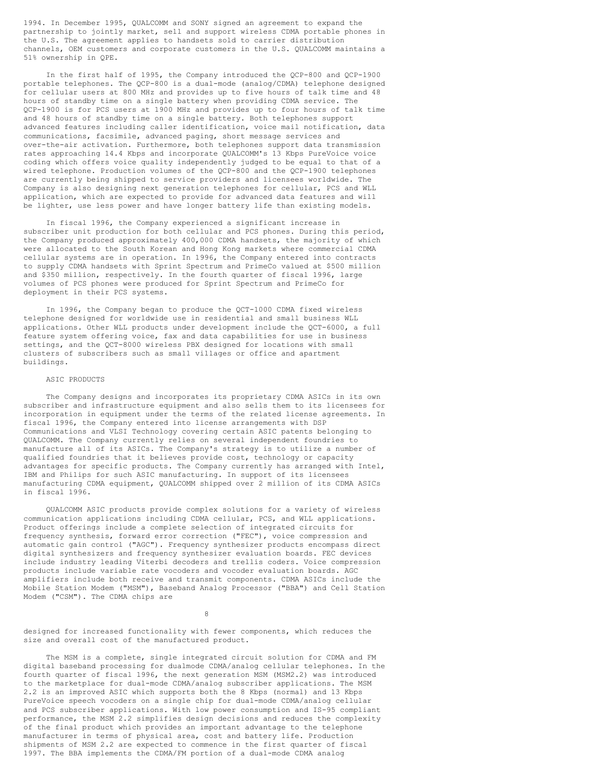1994. In December 1995, QUALCOMM and SONY signed an agreement to expand the partnership to jointly market, sell and support wireless CDMA portable phones in the U.S. The agreement applies to handsets sold to carrier distribution channels, OEM customers and corporate customers in the U.S. QUALCOMM maintains a 51% ownership in QPE.

In the first half of 1995, the Company introduced the QCP-800 and QCP-1900 portable telephones. The QCP-800 is a dual-mode (analog/CDMA) telephone designed for cellular users at 800 MHz and provides up to five hours of talk time and 48 hours of standby time on a single battery when providing CDMA service. The QCP-1900 is for PCS users at 1900 MHz and provides up to four hours of talk time and 48 hours of standby time on a single battery. Both telephones support advanced features including caller identification, voice mail notification, data communications, facsimile, advanced paging, short message services and over-the-air activation. Furthermore, both telephones support data transmission rates approaching 14.4 Kbps and incorporate QUALCOMM's 13 Kbps PureVoice voice coding which offers voice quality independently judged to be equal to that of a wired telephone. Production volumes of the QCP-800 and the QCP-1900 telephones are currently being shipped to service providers and licensees worldwide. The Company is also designing next generation telephones for cellular, PCS and WLL application, which are expected to provide for advanced data features and will be lighter, use less power and have longer battery life than existing models.

In fiscal 1996, the Company experienced a significant increase in subscriber unit production for both cellular and PCS phones. During this period, the Company produced approximately 400,000 CDMA handsets, the majority of which were allocated to the South Korean and Hong Kong markets where commercial CDMA cellular systems are in operation. In 1996, the Company entered into contracts to supply CDMA handsets with Sprint Spectrum and PrimeCo valued at \$500 million and \$350 million, respectively. In the fourth quarter of fiscal 1996, large volumes of PCS phones were produced for Sprint Spectrum and PrimeCo for deployment in their PCS systems.

In 1996, the Company began to produce the QCT-1000 CDMA fixed wireless telephone designed for worldwide use in residential and small business WLL applications. Other WLL products under development include the QCT-6000, a full feature system offering voice, fax and data capabilities for use in business settings, and the QCT-8000 wireless PBX designed for locations with small clusters of subscribers such as small villages or office and apartment buildings.

#### ASIC PRODUCTS

The Company designs and incorporates its proprietary CDMA ASICs in its own subscriber and infrastructure equipment and also sells them to its licensees for incorporation in equipment under the terms of the related license agreements. In fiscal 1996, the Company entered into license arrangements with DSP Communications and VLSI Technology covering certain ASIC patents belonging to QUALCOMM. The Company currently relies on several independent foundries to manufacture all of its ASICs. The Company's strategy is to utilize a number of qualified foundries that it believes provide cost, technology or capacity advantages for specific products. The Company currently has arranged with Intel, IBM and Philips for such ASIC manufacturing. In support of its licensees manufacturing CDMA equipment, QUALCOMM shipped over 2 million of its CDMA ASICs in fiscal 1996.

QUALCOMM ASIC products provide complex solutions for a variety of wireless communication applications including CDMA cellular, PCS, and WLL applications. Product offerings include a complete selection of integrated circuits for frequency synthesis, forward error correction ("FEC"), voice compression and automatic gain control ("AGC"). Frequency synthesizer products encompass direct digital synthesizers and frequency synthesizer evaluation boards. FEC devices include industry leading Viterbi decoders and trellis coders. Voice compression products include variable rate vocoders and vocoder evaluation boards. AGC amplifiers include both receive and transmit components. CDMA ASICs include the Mobile Station Modem ("MSM"), Baseband Analog Processor ("BBA") and Cell Station Modem ("CSM"). The CDMA chips are

8

designed for increased functionality with fewer components, which reduces the size and overall cost of the manufactured product.

The MSM is a complete, single integrated circuit solution for CDMA and FM digital baseband processing for dualmode CDMA/analog cellular telephones. In the fourth quarter of fiscal 1996, the next generation MSM (MSM2.2) was introduced to the marketplace for dual-mode CDMA/analog subscriber applications. The MSM 2.2 is an improved ASIC which supports both the 8 Kbps (normal) and 13 Kbps PureVoice speech vocoders on a single chip for dual-mode CDMA/analog cellular and PCS subscriber applications. With low power consumption and IS-95 compliant performance, the MSM 2.2 simplifies design decisions and reduces the complexity of the final product which provides an important advantage to the telephone manufacturer in terms of physical area, cost and battery life. Production shipments of MSM 2.2 are expected to commence in the first quarter of fiscal 1997. The BBA implements the CDMA/FM portion of a dual-mode CDMA analog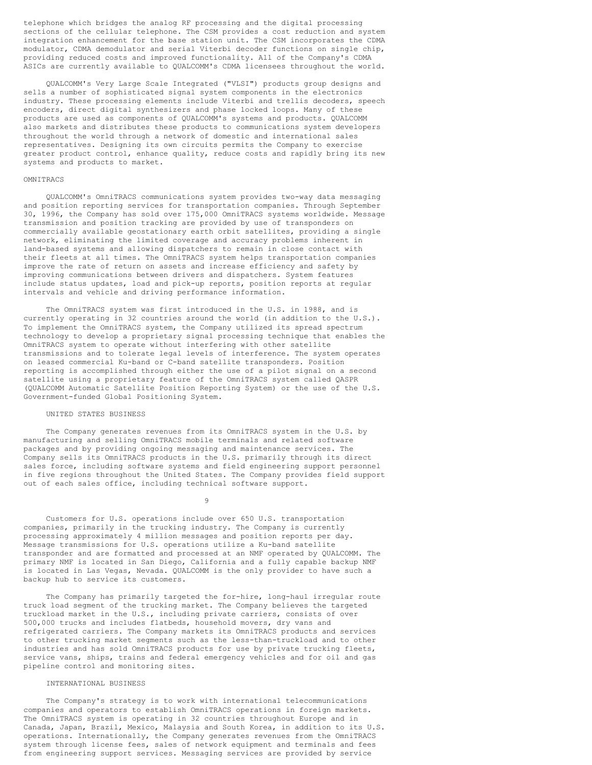telephone which bridges the analog RF processing and the digital processing sections of the cellular telephone. The CSM provides a cost reduction and system integration enhancement for the base station unit. The CSM incorporates the CDMA modulator, CDMA demodulator and serial Viterbi decoder functions on single chip, providing reduced costs and improved functionality. All of the Company's CDMA ASICs are currently available to QUALCOMM's CDMA licensees throughout the world.

QUALCOMM's Very Large Scale Integrated ("VLSI") products group designs and sells a number of sophisticated signal system components in the electronics industry. These processing elements include Viterbi and trellis decoders, speech encoders, direct digital synthesizers and phase locked loops. Many of these products are used as components of QUALCOMM's systems and products. QUALCOMM also markets and distributes these products to communications system developers throughout the world through a network of domestic and international sales representatives. Designing its own circuits permits the Company to exercise greater product control, enhance quality, reduce costs and rapidly bring its new systems and products to market.

### OMNITRACS

QUALCOMM's OmniTRACS communications system provides two-way data messaging and position reporting services for transportation companies. Through September 30, 1996, the Company has sold over 175,000 OmniTRACS systems worldwide. Message transmission and position tracking are provided by use of transponders on commercially available geostationary earth orbit satellites, providing a single network, eliminating the limited coverage and accuracy problems inherent in land-based systems and allowing dispatchers to remain in close contact with their fleets at all times. The OmniTRACS system helps transportation companies improve the rate of return on assets and increase efficiency and safety by improving communications between drivers and dispatchers. System features include status updates, load and pick-up reports, position reports at regular intervals and vehicle and driving performance information.

The OmniTRACS system was first introduced in the U.S. in 1988, and is currently operating in 32 countries around the world (in addition to the U.S.). To implement the OmniTRACS system, the Company utilized its spread spectrum technology to develop a proprietary signal processing technique that enables the OmniTRACS system to operate without interfering with other satellite transmissions and to tolerate legal levels of interference. The system operates on leased commercial Ku-band or C-band satellite transponders. Position reporting is accomplished through either the use of a pilot signal on a second satellite using a proprietary feature of the OmniTRACS system called QASPR (QUALCOMM Automatic Satellite Position Reporting System) or the use of the U.S. Government-funded Global Positioning System.

# UNITED STATES BUSINESS

The Company generates revenues from its OmniTRACS system in the U.S. by manufacturing and selling OmniTRACS mobile terminals and related software packages and by providing ongoing messaging and maintenance services. The Company sells its OmniTRACS products in the U.S. primarily through its direct sales force, including software systems and field engineering support personnel in five regions throughout the United States. The Company provides field support out of each sales office, including technical software support.

9

Customers for U.S. operations include over 650 U.S. transportation companies, primarily in the trucking industry. The Company is currently processing approximately 4 million messages and position reports per day. Message transmissions for U.S. operations utilize a Ku-band satellite transponder and are formatted and processed at an NMF operated by QUALCOMM. The primary NMF is located in San Diego, California and a fully capable backup NMF is located in Las Vegas, Nevada. QUALCOMM is the only provider to have such a backup hub to service its customers.

The Company has primarily targeted the for-hire, long-haul irregular route truck load segment of the trucking market. The Company believes the targeted truckload market in the U.S., including private carriers, consists of over 500,000 trucks and includes flatbeds, household movers, dry vans and refrigerated carriers. The Company markets its OmniTRACS products and services to other trucking market segments such as the less-than-truckload and to other industries and has sold OmniTRACS products for use by private trucking fleets, service vans, ships, trains and federal emergency vehicles and for oil and gas pipeline control and monitoring sites.

### INTERNATIONAL BUSINESS

The Company's strategy is to work with international telecommunications companies and operators to establish OmniTRACS operations in foreign markets. The OmniTRACS system is operating in 32 countries throughout Europe and in Canada, Japan, Brazil, Mexico, Malaysia and South Korea, in addition to its U.S. operations. Internationally, the Company generates revenues from the OmniTRACS system through license fees, sales of network equipment and terminals and fees from engineering support services. Messaging services are provided by service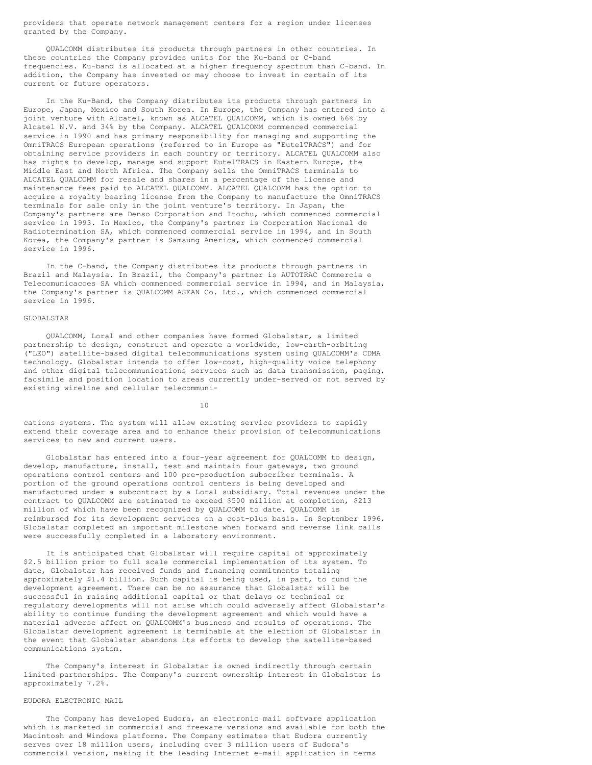providers that operate network management centers for a region under licenses granted by the Company.

QUALCOMM distributes its products through partners in other countries. In these countries the Company provides units for the Ku-band or C-band frequencies. Ku-band is allocated at a higher frequency spectrum than C-band. In addition, the Company has invested or may choose to invest in certain of its current or future operators.

In the Ku-Band, the Company distributes its products through partners in Europe, Japan, Mexico and South Korea. In Europe, the Company has entered into a joint venture with Alcatel, known as ALCATEL QUALCOMM, which is owned 66% by Alcatel N.V. and 34% by the Company. ALCATEL QUALCOMM commenced commercial service in 1990 and has primary responsibility for managing and supporting the OmniTRACS European operations (referred to in Europe as "EutelTRACS") and for obtaining service providers in each country or territory. ALCATEL QUALCOMM also has rights to develop, manage and support EutelTRACS in Eastern Europe, the Middle East and North Africa. The Company sells the OmniTRACS terminals to ALCATEL QUALCOMM for resale and shares in a percentage of the license and maintenance fees paid to ALCATEL QUALCOMM. ALCATEL QUALCOMM has the option to acquire a royalty bearing license from the Company to manufacture the OmniTRACS terminals for sale only in the joint venture's territory. In Japan, the Company's partners are Denso Corporation and Itochu, which commenced commercial service in 1993. In Mexico, the Company's partner is Corporation Nacional de Radiotermination SA, which commenced commercial service in 1994, and in South Korea, the Company's partner is Samsung America, which commenced commercial service in 1996.

In the C-band, the Company distributes its products through partners in Brazil and Malaysia. In Brazil, the Company's partner is AUTOTRAC Commercia e Telecomunicacoes SA which commenced commercial service in 1994, and in Malaysia, the Company's partner is QUALCOMM ASEAN Co. Ltd., which commenced commercial service in 1996.

# GLOBALSTAR

QUALCOMM, Loral and other companies have formed Globalstar, a limited partnership to design, construct and operate a worldwide, low-earth-orbiting ("LEO") satellite-based digital telecommunications system using QUALCOMM's CDMA technology. Globalstar intends to offer low-cost, high-quality voice telephony and other digital telecommunications services such as data transmission, paging, facsimile and position location to areas currently under-served or not served by existing wireline and cellular telecommuni-

10

cations systems. The system will allow existing service providers to rapidly extend their coverage area and to enhance their provision of telecommunications services to new and current users.

Globalstar has entered into a four-year agreement for QUALCOMM to design, develop, manufacture, install, test and maintain four gateways, two ground operations control centers and 100 pre-production subscriber terminals. A portion of the ground operations control centers is being developed and manufactured under a subcontract by a Loral subsidiary. Total revenues under the contract to QUALCOMM are estimated to exceed \$500 million at completion, \$213 million of which have been recognized by QUALCOMM to date. QUALCOMM is reimbursed for its development services on a cost-plus basis. In September 1996, Globalstar completed an important milestone when forward and reverse link calls were successfully completed in a laboratory environment.

It is anticipated that Globalstar will require capital of approximately \$2.5 billion prior to full scale commercial implementation of its system. To date, Globalstar has received funds and financing commitments totaling approximately \$1.4 billion. Such capital is being used, in part, to fund the development agreement. There can be no assurance that Globalstar will be successful in raising additional capital or that delays or technical or regulatory developments will not arise which could adversely affect Globalstar's ability to continue funding the development agreement and which would have a material adverse affect on QUALCOMM's business and results of operations. The Globalstar development agreement is terminable at the election of Globalstar in the event that Globalstar abandons its efforts to develop the satellite-based communications system.

The Company's interest in Globalstar is owned indirectly through certain limited partnerships. The Company's current ownership interest in Globalstar is approximately 7.2%.

# EUDORA ELECTRONIC MAIL

The Company has developed Eudora, an electronic mail software application which is marketed in commercial and freeware versions and available for both the Macintosh and Windows platforms. The Company estimates that Eudora currently serves over 18 million users, including over 3 million users of Eudora's commercial version, making it the leading Internet e-mail application in terms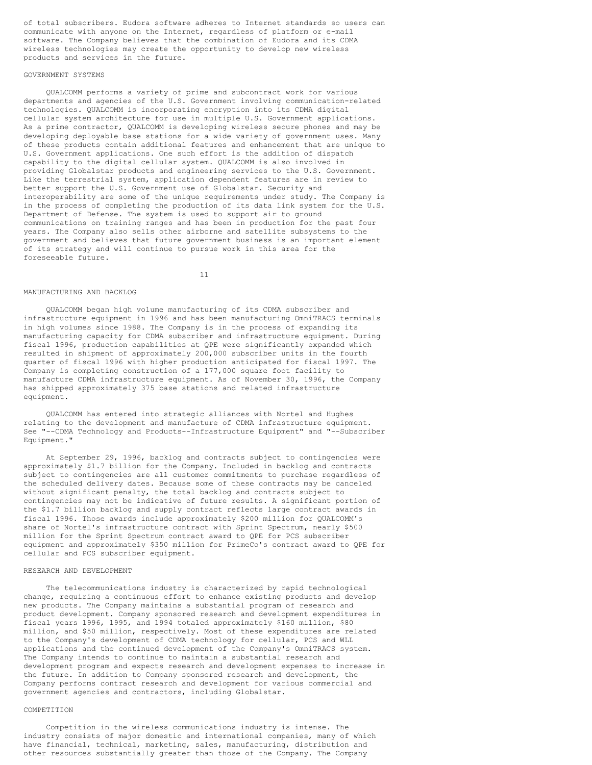of total subscribers. Eudora software adheres to Internet standards so users can communicate with anyone on the Internet, regardless of platform or e-mail software. The Company believes that the combination of Eudora and its CDMA wireless technologies may create the opportunity to develop new wireless products and services in the future.

# GOVERNMENT SYSTEMS

QUALCOMM performs a variety of prime and subcontract work for various departments and agencies of the U.S. Government involving communication-related technologies. QUALCOMM is incorporating encryption into its CDMA digital cellular system architecture for use in multiple U.S. Government applications. As a prime contractor, QUALCOMM is developing wireless secure phones and may be developing deployable base stations for a wide variety of government uses. Many of these products contain additional features and enhancement that are unique to U.S. Government applications. One such effort is the addition of dispatch capability to the digital cellular system. QUALCOMM is also involved in providing Globalstar products and engineering services to the U.S. Government. Like the terrestrial system, application dependent features are in review to better support the U.S. Government use of Globalstar. Security and interoperability are some of the unique requirements under study. The Company is in the process of completing the production of its data link system for the U.S. Department of Defense. The system is used to support air to ground communications on training ranges and has been in production for the past four years. The Company also sells other airborne and satellite subsystems to the government and believes that future government business is an important element of its strategy and will continue to pursue work in this area for the foreseeable future.

11

#### MANUFACTURING AND BACKLOG

QUALCOMM began high volume manufacturing of its CDMA subscriber and infrastructure equipment in 1996 and has been manufacturing OmniTRACS terminals in high volumes since 1988. The Company is in the process of expanding its manufacturing capacity for CDMA subscriber and infrastructure equipment. During fiscal 1996, production capabilities at QPE were significantly expanded which resulted in shipment of approximately 200,000 subscriber units in the fourth quarter of fiscal 1996 with higher production anticipated for fiscal 1997. The Company is completing construction of a 177,000 square foot facility to manufacture CDMA infrastructure equipment. As of November 30, 1996, the Company has shipped approximately 375 base stations and related infrastructure equipment.

QUALCOMM has entered into strategic alliances with Nortel and Hughes relating to the development and manufacture of CDMA infrastructure equipment. See "--CDMA Technology and Products--Infrastructure Equipment" and "--Subscriber Equipment."

At September 29, 1996, backlog and contracts subject to contingencies were approximately \$1.7 billion for the Company. Included in backlog and contracts subject to contingencies are all customer commitments to purchase regardless of the scheduled delivery dates. Because some of these contracts may be canceled without significant penalty, the total backlog and contracts subject to contingencies may not be indicative of future results. A significant portion of the \$1.7 billion backlog and supply contract reflects large contract awards in fiscal 1996. Those awards include approximately \$200 million for QUALCOMM's share of Nortel's infrastructure contract with Sprint Spectrum, nearly \$500 million for the Sprint Spectrum contract award to QPE for PCS subscriber equipment and approximately \$350 million for PrimeCo's contract award to QPE for cellular and PCS subscriber equipment.

#### RESEARCH AND DEVELOPMENT

The telecommunications industry is characterized by rapid technological change, requiring a continuous effort to enhance existing products and develop new products. The Company maintains a substantial program of research and product development. Company sponsored research and development expenditures in fiscal years 1996, 1995, and 1994 totaled approximately \$160 million, \$80 million, and \$50 million, respectively. Most of these expenditures are related to the Company's development of CDMA technology for cellular, PCS and WLL applications and the continued development of the Company's OmniTRACS system. The Company intends to continue to maintain a substantial research and development program and expects research and development expenses to increase in the future. In addition to Company sponsored research and development, the Company performs contract research and development for various commercial and government agencies and contractors, including Globalstar.

#### **COMPETITION**

Competition in the wireless communications industry is intense. The industry consists of major domestic and international companies, many of which have financial, technical, marketing, sales, manufacturing, distribution and other resources substantially greater than those of the Company. The Company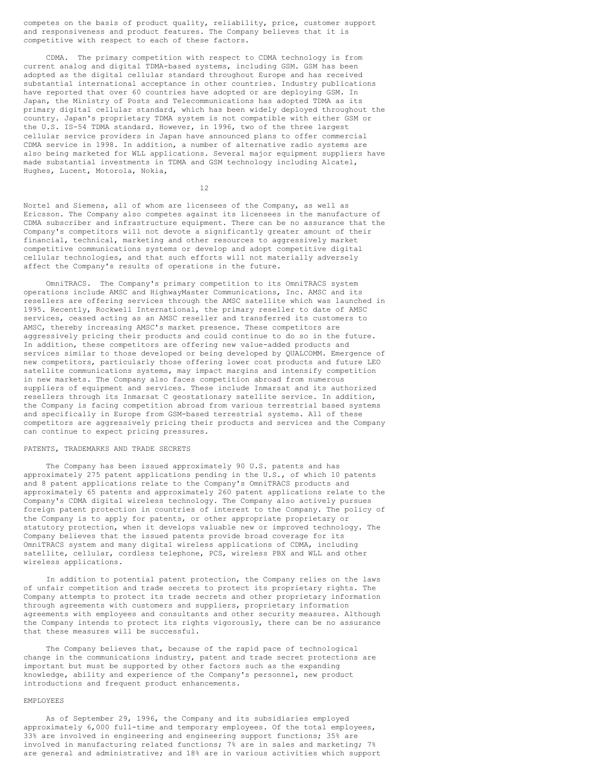competes on the basis of product quality, reliability, price, customer support and responsiveness and product features. The Company believes that it is competitive with respect to each of these factors.

CDMA. The primary competition with respect to CDMA technology is from current analog and digital TDMA-based systems, including GSM. GSM has been adopted as the digital cellular standard throughout Europe and has received substantial international acceptance in other countries. Industry publications have reported that over 60 countries have adopted or are deploying GSM. In Japan, the Ministry of Posts and Telecommunications has adopted TDMA as its primary digital cellular standard, which has been widely deployed throughout the country. Japan's proprietary TDMA system is not compatible with either GSM or the U.S. IS-54 TDMA standard. However, in 1996, two of the three largest cellular service providers in Japan have announced plans to offer commercial CDMA service in 1998. In addition, a number of alternative radio systems are also being marketed for WLL applications. Several major equipment suppliers have made substantial investments in TDMA and GSM technology including Alcatel, Hughes, Lucent, Motorola, Nokia,

12

Nortel and Siemens, all of whom are licensees of the Company, as well as Ericsson. The Company also competes against its licensees in the manufacture of CDMA subscriber and infrastructure equipment. There can be no assurance that the Company's competitors will not devote a significantly greater amount of their financial, technical, marketing and other resources to aggressively market competitive communications systems or develop and adopt competitive digital cellular technologies, and that such efforts will not materially adversely affect the Company's results of operations in the future.

OmniTRACS. The Company's primary competition to its OmniTRACS system operations include AMSC and HighwayMaster Communications, Inc. AMSC and its resellers are offering services through the AMSC satellite which was launched in 1995. Recently, Rockwell International, the primary reseller to date of AMSC services, ceased acting as an AMSC reseller and transferred its customers to AMSC, thereby increasing AMSC's market presence. These competitors are aggressively pricing their products and could continue to do so in the future. In addition, these competitors are offering new value-added products and services similar to those developed or being developed by QUALCOMM. Emergence of new competitors, particularly those offering lower cost products and future LEO satellite communications systems, may impact margins and intensify competition in new markets. The Company also faces competition abroad from numerous suppliers of equipment and services. These include Inmarsat and its authorized resellers through its Inmarsat C geostationary satellite service. In addition, the Company is facing competition abroad from various terrestrial based systems and specifically in Europe from GSM-based terrestrial systems. All of these competitors are aggressively pricing their products and services and the Company can continue to expect pricing pressures.

# PATENTS, TRADEMARKS AND TRADE SECRETS

The Company has been issued approximately 90 U.S. patents and has approximately 275 patent applications pending in the U.S., of which 10 patents and 8 patent applications relate to the Company's OmniTRACS products and approximately 65 patents and approximately 260 patent applications relate to the Company's CDMA digital wireless technology. The Company also actively pursues foreign patent protection in countries of interest to the Company. The policy of the Company is to apply for patents, or other appropriate proprietary or statutory protection, when it develops valuable new or improved technology. The Company believes that the issued patents provide broad coverage for its OmniTRACS system and many digital wireless applications of CDMA, including satellite, cellular, cordless telephone, PCS, wireless PBX and WLL and other wireless applications.

In addition to potential patent protection, the Company relies on the laws of unfair competition and trade secrets to protect its proprietary rights. The Company attempts to protect its trade secrets and other proprietary information through agreements with customers and suppliers, proprietary information agreements with employees and consultants and other security measures. Although the Company intends to protect its rights vigorously, there can be no assurance that these measures will be successful.

The Company believes that, because of the rapid pace of technological change in the communications industry, patent and trade secret protections are important but must be supported by other factors such as the expanding knowledge, ability and experience of the Company's personnel, new product introductions and frequent product enhancements.

# EMPLOYEES

As of September 29, 1996, the Company and its subsidiaries employed approximately 6,000 full-time and temporary employees. Of the total employees, 33% are involved in engineering and engineering support functions; 35% are involved in manufacturing related functions; 7% are in sales and marketing; 7% are general and administrative; and 18% are in various activities which support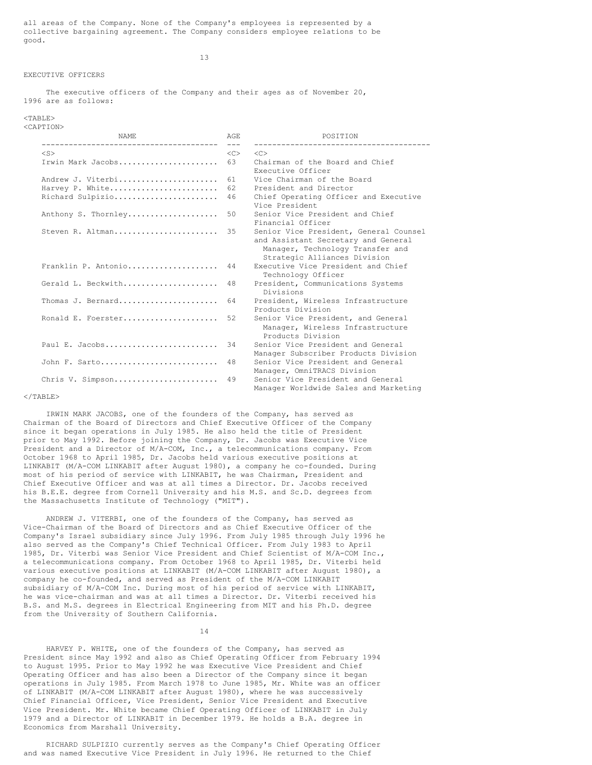all areas of the Company. None of the Company's employees is represented by a collective bargaining agreement. The Company considers employee relations to be good.

13

# EXECUTIVE OFFICERS

The executive officers of the Company and their ages as of November 20, 1996 are as follows:

#### $<$ TABLE> <CAPTION>

| NAME.               | AGE. | POSITION<br>---------------------<br>. _ _ _ _ _ _ _ _ _ _ _ _ _ _ _                                                                              |
|---------------------|------|---------------------------------------------------------------------------------------------------------------------------------------------------|
| $<$ S $>$           | <<   | <<                                                                                                                                                |
| Trwin Mark Jacobs   | 63   | Chairman of the Board and Chief<br>Executive Officer                                                                                              |
| Andrew J. Viterbi   | 61   | Vice Chairman of the Board                                                                                                                        |
| Harvey P. White     | 62   | President and Director                                                                                                                            |
| Richard Sulpizio    | 46   | Chief Operating Officer and Executive<br>Vice President                                                                                           |
| Anthony S. Thornley | .50  | Senior Vice President and Chief<br>Financial Officer                                                                                              |
| Steven R. Altman    | 35   | Senior Vice President, General Counsel<br>and Assistant Secretary and General<br>Manager, Technology Transfer and<br>Strategic Alliances Division |
| Franklin P. Antonio | 44   | Executive Vice President and Chief<br>Technology Officer                                                                                          |
| Gerald L. Beckwith  | 48   | President, Communications Systems<br>Divisions                                                                                                    |
| Thomas J. Bernard   | 64   | President, Wireless Infrastructure<br>Products Division                                                                                           |
| Ronald E. Foerster  | 52   | Senior Vice President, and General<br>Manager, Wireless Infrastructure<br>Products Division                                                       |
| Paul E. Jacobs      | 34   | Senior Vice President and General<br>Manager Subscriber Products Division                                                                         |
| John F. Sarto       | 48   | Senior Vice President and General<br>Manager, OmniTRACS Division                                                                                  |
| Chris V. Simpson    | 49   | Senior Vice President and General<br>Manager Worldwide Sales and Marketing                                                                        |

#### $\langle$ /TABLE>

IRWIN MARK JACOBS, one of the founders of the Company, has served as Chairman of the Board of Directors and Chief Executive Officer of the Company since it began operations in July 1985. He also held the title of President prior to May 1992. Before joining the Company, Dr. Jacobs was Executive Vice President and a Director of M/A-COM, Inc., a telecommunications company. From October 1968 to April 1985, Dr. Jacobs held various executive positions at LINKABIT (M/A-COM LINKABIT after August 1980), a company he co-founded. During most of his period of service with LINKABIT, he was Chairman, President and Chief Executive Officer and was at all times a Director. Dr. Jacobs received his B.E.E. degree from Cornell University and his M.S. and Sc.D. degrees from the Massachusetts Institute of Technology ("MIT").

ANDREW J. VITERBI, one of the founders of the Company, has served as Vice-Chairman of the Board of Directors and as Chief Executive Officer of the Company's Israel subsidiary since July 1996. From July 1985 through July 1996 he also served as the Company's Chief Technical Officer. From July 1983 to April 1985, Dr. Viterbi was Senior Vice President and Chief Scientist of M/A-COM Inc., a telecommunications company. From October 1968 to April 1985, Dr. Viterbi held various executive positions at LINKABIT (M/A-COM LINKABIT after August 1980), a company he co-founded, and served as President of the M/A-COM LINKABIT subsidiary of M/A-COM Inc. During most of his period of service with LINKABIT, he was vice-chairman and was at all times a Director. Dr. Viterbi received his B.S. and M.S. degrees in Electrical Engineering from MIT and his Ph.D. degree from the University of Southern California.

14

HARVEY P. WHITE, one of the founders of the Company, has served as President since May 1992 and also as Chief Operating Officer from February 1994 to August 1995. Prior to May 1992 he was Executive Vice President and Chief Operating Officer and has also been a Director of the Company since it began operations in July 1985. From March 1978 to June 1985, Mr. White was an officer of LINKABIT (M/A-COM LINKABIT after August 1980), where he was successively Chief Financial Officer, Vice President, Senior Vice President and Executive Vice President. Mr. White became Chief Operating Officer of LINKABIT in July 1979 and a Director of LINKABIT in December 1979. He holds a B.A. degree in Economics from Marshall University.

RICHARD SULPIZIO currently serves as the Company's Chief Operating Officer and was named Executive Vice President in July 1996. He returned to the Chief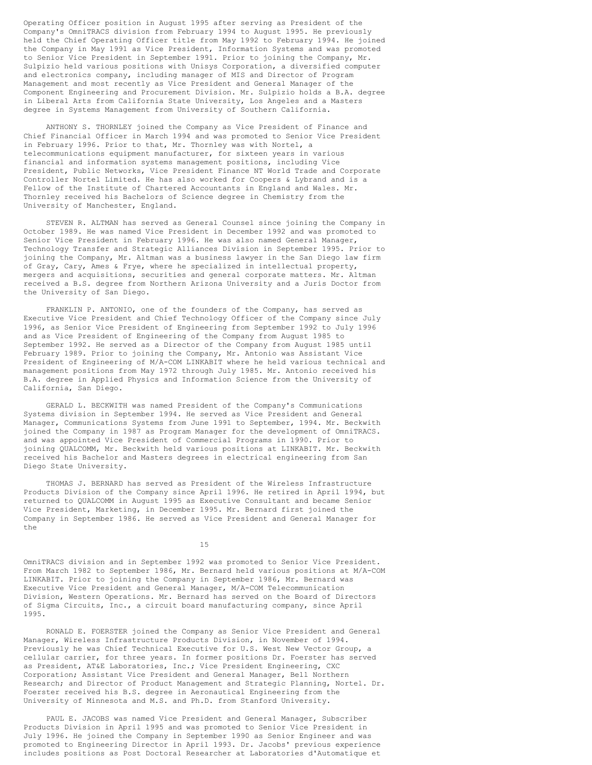Operating Officer position in August 1995 after serving as President of the Company's OmniTRACS division from February 1994 to August 1995. He previously held the Chief Operating Officer title from May 1992 to February 1994. He joined the Company in May 1991 as Vice President, Information Systems and was promoted to Senior Vice President in September 1991. Prior to joining the Company, Mr. Sulpizio held various positions with Unisys Corporation, a diversified computer and electronics company, including manager of MIS and Director of Program Management and most recently as Vice President and General Manager of the Component Engineering and Procurement Division. Mr. Sulpizio holds a B.A. degree in Liberal Arts from California State University, Los Angeles and a Masters degree in Systems Management from University of Southern California.

ANTHONY S. THORNLEY joined the Company as Vice President of Finance and Chief Financial Officer in March 1994 and was promoted to Senior Vice President in February 1996. Prior to that, Mr. Thornley was with Nortel, a telecommunications equipment manufacturer, for sixteen years in various financial and information systems management positions, including Vice President, Public Networks, Vice President Finance NT World Trade and Corporate Controller Nortel Limited. He has also worked for Coopers & Lybrand and is a Fellow of the Institute of Chartered Accountants in England and Wales. Mr. Thornley received his Bachelors of Science degree in Chemistry from the University of Manchester, England.

STEVEN R. ALTMAN has served as General Counsel since joining the Company in October 1989. He was named Vice President in December 1992 and was promoted to Senior Vice President in February 1996. He was also named General Manager, Technology Transfer and Strategic Alliances Division in September 1995. Prior to joining the Company, Mr. Altman was a business lawyer in the San Diego law firm of Gray, Cary, Ames & Frye, where he specialized in intellectual property, mergers and acquisitions, securities and general corporate matters. Mr. Altman received a B.S. degree from Northern Arizona University and a Juris Doctor from the University of San Diego.

FRANKLIN P. ANTONIO, one of the founders of the Company, has served as Executive Vice President and Chief Technology Officer of the Company since July 1996, as Senior Vice President of Engineering from September 1992 to July 1996 and as Vice President of Engineering of the Company from August 1985 to September 1992. He served as a Director of the Company from August 1985 until February 1989. Prior to joining the Company, Mr. Antonio was Assistant Vice President of Engineering of M/A-COM LINKABIT where he held various technical and management positions from May 1972 through July 1985. Mr. Antonio received his B.A. degree in Applied Physics and Information Science from the University of California, San Diego.

GERALD L. BECKWITH was named President of the Company's Communications Systems division in September 1994. He served as Vice President and General Manager, Communications Systems from June 1991 to September, 1994. Mr. Beckwith joined the Company in 1987 as Program Manager for the development of OmniTRACS. and was appointed Vice President of Commercial Programs in 1990. Prior to joining QUALCOMM, Mr. Beckwith held various positions at LINKABIT. Mr. Beckwith received his Bachelor and Masters degrees in electrical engineering from San Diego State University.

THOMAS J. BERNARD has served as President of the Wireless Infrastructure Products Division of the Company since April 1996. He retired in April 1994, but returned to QUALCOMM in August 1995 as Executive Consultant and became Senior Vice President, Marketing, in December 1995. Mr. Bernard first joined the Company in September 1986. He served as Vice President and General Manager for the

15

OmniTRACS division and in September 1992 was promoted to Senior Vice President. From March 1982 to September 1986, Mr. Bernard held various positions at M/A-COM LINKABIT. Prior to joining the Company in September 1986, Mr. Bernard was Executive Vice President and General Manager, M/A-COM Telecommunication Division, Western Operations. Mr. Bernard has served on the Board of Directors of Sigma Circuits, Inc., a circuit board manufacturing company, since April 1995.

RONALD E. FOERSTER joined the Company as Senior Vice President and General Manager, Wireless Infrastructure Products Division, in November of 1994. Previously he was Chief Technical Executive for U.S. West New Vector Group, a cellular carrier, for three years. In former positions Dr. Foerster has served as President, AT&E Laboratories, Inc.; Vice President Engineering, CXC Corporation; Assistant Vice President and General Manager, Bell Northern Research; and Director of Product Management and Strategic Planning, Nortel. Dr. Foerster received his B.S. degree in Aeronautical Engineering from the University of Minnesota and M.S. and Ph.D. from Stanford University.

PAUL E. JACOBS was named Vice President and General Manager, Subscriber Products Division in April 1995 and was promoted to Senior Vice President in July 1996. He joined the Company in September 1990 as Senior Engineer and was promoted to Engineering Director in April 1993. Dr. Jacobs' previous experience includes positions as Post Doctoral Researcher at Laboratories d'Automatique et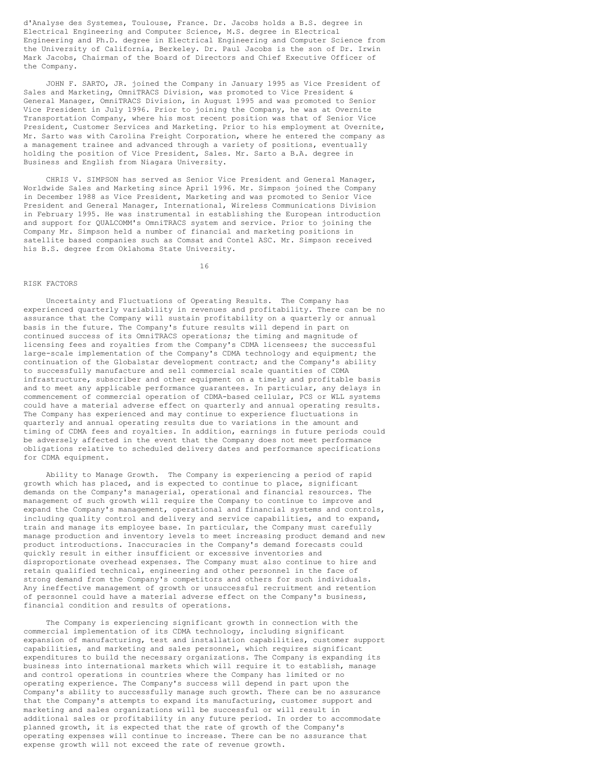d'Analyse des Systemes, Toulouse, France. Dr. Jacobs holds a B.S. degree in Electrical Engineering and Computer Science, M.S. degree in Electrical Engineering and Ph.D. degree in Electrical Engineering and Computer Science from the University of California, Berkeley. Dr. Paul Jacobs is the son of Dr. Irwin Mark Jacobs, Chairman of the Board of Directors and Chief Executive Officer of the Company.

JOHN F. SARTO, JR. joined the Company in January 1995 as Vice President of Sales and Marketing, OmniTRACS Division, was promoted to Vice President & General Manager, OmniTRACS Division, in August 1995 and was promoted to Senior Vice President in July 1996. Prior to joining the Company, he was at Overnite Transportation Company, where his most recent position was that of Senior Vice President, Customer Services and Marketing. Prior to his employment at Overnite, Mr. Sarto was with Carolina Freight Corporation, where he entered the company as a management trainee and advanced through a variety of positions, eventually holding the position of Vice President, Sales. Mr. Sarto a B.A. degree in Business and English from Niagara University.

CHRIS V. SIMPSON has served as Senior Vice President and General Manager, Worldwide Sales and Marketing since April 1996. Mr. Simpson joined the Company in December 1988 as Vice President, Marketing and was promoted to Senior Vice President and General Manager, International, Wireless Communications Division in February 1995. He was instrumental in establishing the European introduction and support for QUALCOMM's OmniTRACS system and service. Prior to joining the Company Mr. Simpson held a number of financial and marketing positions in satellite based companies such as Comsat and Contel ASC. Mr. Simpson received his B.S. degree from Oklahoma State University.

16

# RISK FACTORS

Uncertainty and Fluctuations of Operating Results. The Company has experienced quarterly variability in revenues and profitability. There can be no assurance that the Company will sustain profitability on a quarterly or annual basis in the future. The Company's future results will depend in part on continued success of its OmniTRACS operations; the timing and magnitude of licensing fees and royalties from the Company's CDMA licensees; the successful large-scale implementation of the Company's CDMA technology and equipment; the continuation of the Globalstar development contract; and the Company's ability to successfully manufacture and sell commercial scale quantities of CDMA infrastructure, subscriber and other equipment on a timely and profitable basis and to meet any applicable performance guarantees. In particular, any delays in commencement of commercial operation of CDMA-based cellular, PCS or WLL systems could have a material adverse effect on quarterly and annual operating results. The Company has experienced and may continue to experience fluctuations in quarterly and annual operating results due to variations in the amount and timing of CDMA fees and royalties. In addition, earnings in future periods could be adversely affected in the event that the Company does not meet performance obligations relative to scheduled delivery dates and performance specifications for CDMA equipment.

Ability to Manage Growth. The Company is experiencing a period of rapid growth which has placed, and is expected to continue to place, significant demands on the Company's managerial, operational and financial resources. The management of such growth will require the Company to continue to improve and expand the Company's management, operational and financial systems and controls, including quality control and delivery and service capabilities, and to expand, train and manage its employee base. In particular, the Company must carefully manage production and inventory levels to meet increasing product demand and new product introductions. Inaccuracies in the Company's demand forecasts could quickly result in either insufficient or excessive inventories and disproportionate overhead expenses. The Company must also continue to hire and retain qualified technical, engineering and other personnel in the face of strong demand from the Company's competitors and others for such individuals. Any ineffective management of growth or unsuccessful recruitment and retention of personnel could have a material adverse effect on the Company's business, financial condition and results of operations.

The Company is experiencing significant growth in connection with the commercial implementation of its CDMA technology, including significant expansion of manufacturing, test and installation capabilities, customer support capabilities, and marketing and sales personnel, which requires significant expenditures to build the necessary organizations. The Company is expanding its business into international markets which will require it to establish, manage and control operations in countries where the Company has limited or no operating experience. The Company's success will depend in part upon the Company's ability to successfully manage such growth. There can be no assurance that the Company's attempts to expand its manufacturing, customer support and marketing and sales organizations will be successful or will result in additional sales or profitability in any future period. In order to accommodate planned growth, it is expected that the rate of growth of the Company's operating expenses will continue to increase. There can be no assurance that expense growth will not exceed the rate of revenue growth.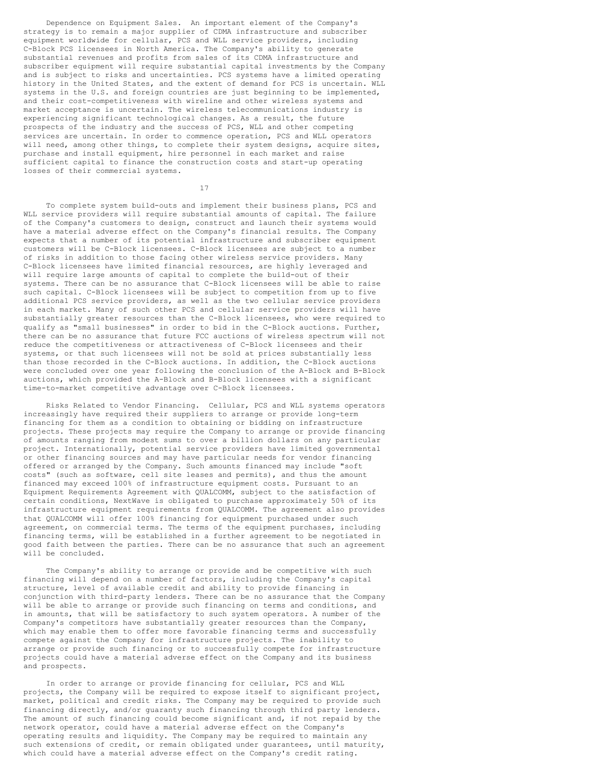Dependence on Equipment Sales. An important element of the Company's strategy is to remain a major supplier of CDMA infrastructure and subscriber equipment worldwide for cellular, PCS and WLL service providers, including C-Block PCS licensees in North America. The Company's ability to generate substantial revenues and profits from sales of its CDMA infrastructure and subscriber equipment will require substantial capital investments by the Company and is subject to risks and uncertainties. PCS systems have a limited operating history in the United States, and the extent of demand for PCS is uncertain. WLL systems in the U.S. and foreign countries are just beginning to be implemented, and their cost-competitiveness with wireline and other wireless systems and market acceptance is uncertain. The wireless telecommunications industry is experiencing significant technological changes. As a result, the future prospects of the industry and the success of PCS, WLL and other competing services are uncertain. In order to commence operation, PCS and WLL operators will need, among other things, to complete their system designs, acquire sites, purchase and install equipment, hire personnel in each market and raise sufficient capital to finance the construction costs and start-up operating losses of their commercial systems.

17

To complete system build-outs and implement their business plans, PCS and WLL service providers will require substantial amounts of capital. The failure of the Company's customers to design, construct and launch their systems would have a material adverse effect on the Company's financial results. The Company expects that a number of its potential infrastructure and subscriber equipment customers will be C-Block licensees. C-Block licensees are subject to a number of risks in addition to those facing other wireless service providers. Many C-Block licensees have limited financial resources, are highly leveraged and will require large amounts of capital to complete the build-out of their systems. There can be no assurance that C-Block licensees will be able to raise such capital. C-Block licensees will be subject to competition from up to five additional PCS service providers, as well as the two cellular service providers in each market. Many of such other PCS and cellular service providers will have substantially greater resources than the C-Block licensees, who were required to qualify as "small businesses" in order to bid in the C-Block auctions. Further, there can be no assurance that future FCC auctions of wireless spectrum will not reduce the competitiveness or attractiveness of C-Block licensees and their systems, or that such licensees will not be sold at prices substantially less than those recorded in the C-Block auctions. In addition, the C-Block auctions were concluded over one year following the conclusion of the A-Block and B-Block auctions, which provided the A-Block and B-Block licensees with a significant time-to-market competitive advantage over C-Block licensees.

Risks Related to Vendor Financing. Cellular, PCS and WLL systems operators increasingly have required their suppliers to arrange or provide long-term financing for them as a condition to obtaining or bidding on infrastructure projects. These projects may require the Company to arrange or provide financing of amounts ranging from modest sums to over a billion dollars on any particular project. Internationally, potential service providers have limited governmental or other financing sources and may have particular needs for vendor financing offered or arranged by the Company. Such amounts financed may include "soft costs" (such as software, cell site leases and permits), and thus the amount financed may exceed 100% of infrastructure equipment costs. Pursuant to an Equipment Requirements Agreement with QUALCOMM, subject to the satisfaction of certain conditions, NextWave is obligated to purchase approximately 50% of its infrastructure equipment requirements from QUALCOMM. The agreement also provides that QUALCOMM will offer 100% financing for equipment purchased under such agreement, on commercial terms. The terms of the equipment purchases, including financing terms, will be established in a further agreement to be negotiated in good faith between the parties. There can be no assurance that such an agreement will be concluded.

The Company's ability to arrange or provide and be competitive with such financing will depend on a number of factors, including the Company's capital structure, level of available credit and ability to provide financing in conjunction with third-party lenders. There can be no assurance that the Company will be able to arrange or provide such financing on terms and conditions, and in amounts, that will be satisfactory to such system operators. A number of the Company's competitors have substantially greater resources than the Company, which may enable them to offer more favorable financing terms and successfully compete against the Company for infrastructure projects. The inability to arrange or provide such financing or to successfully compete for infrastructure projects could have a material adverse effect on the Company and its business and prospects.

In order to arrange or provide financing for cellular, PCS and WLL projects, the Company will be required to expose itself to significant project, market, political and credit risks. The Company may be required to provide such financing directly, and/or guaranty such financing through third party lenders. The amount of such financing could become significant and, if not repaid by the network operator, could have a material adverse effect on the Company's operating results and liquidity. The Company may be required to maintain any such extensions of credit, or remain obligated under guarantees, until maturity, which could have a material adverse effect on the Company's credit rating.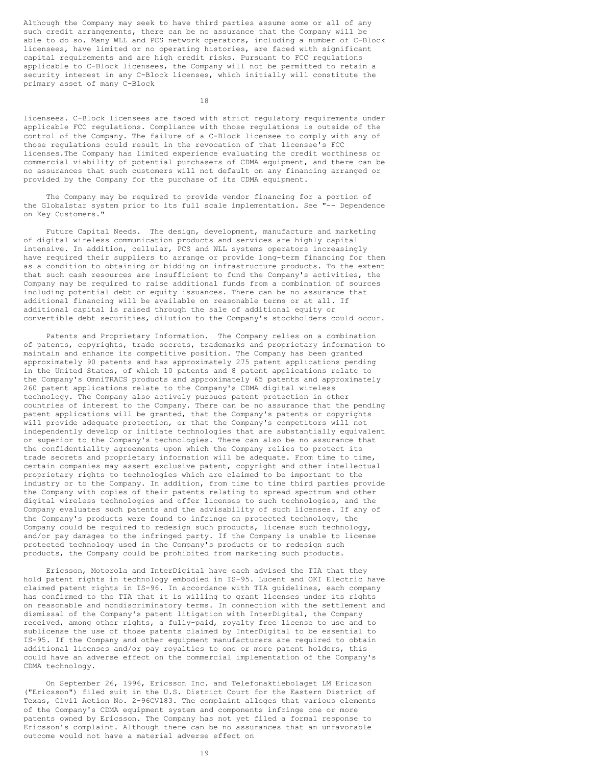Although the Company may seek to have third parties assume some or all of any such credit arrangements, there can be no assurance that the Company will be able to do so. Many WLL and PCS network operators, including a number of C-Block licensees, have limited or no operating histories, are faced with significant capital requirements and are high credit risks. Pursuant to FCC regulations applicable to C-Block licensees, the Company will not be permitted to retain a security interest in any C-Block licenses, which initially will constitute the primary asset of many C-Block

18

licensees. C-Block licensees are faced with strict regulatory requirements under applicable FCC regulations. Compliance with those regulations is outside of the control of the Company. The failure of a C-Block licensee to comply with any of those regulations could result in the revocation of that licensee's FCC licenses.The Company has limited experience evaluating the credit worthiness or commercial viability of potential purchasers of CDMA equipment, and there can be no assurances that such customers will not default on any financing arranged or provided by the Company for the purchase of its CDMA equipment.

The Company may be required to provide vendor financing for a portion of the Globalstar system prior to its full scale implementation. See "-- Dependence on Key Customers."

Future Capital Needs. The design, development, manufacture and marketing of digital wireless communication products and services are highly capital intensive. In addition, cellular, PCS and WLL systems operators increasingly have required their suppliers to arrange or provide long-term financing for them as a condition to obtaining or bidding on infrastructure products. To the extent that such cash resources are insufficient to fund the Company's activities, the Company may be required to raise additional funds from a combination of sources including potential debt or equity issuances. There can be no assurance that additional financing will be available on reasonable terms or at all. If additional capital is raised through the sale of additional equity or convertible debt securities, dilution to the Company's stockholders could occur.

Patents and Proprietary Information. The Company relies on a combination of patents, copyrights, trade secrets, trademarks and proprietary information to maintain and enhance its competitive position. The Company has been granted approximately 90 patents and has approximately 275 patent applications pending in the United States, of which 10 patents and 8 patent applications relate to the Company's OmniTRACS products and approximately 65 patents and approximately 260 patent applications relate to the Company's CDMA digital wireless technology. The Company also actively pursues patent protection in other countries of interest to the Company. There can be no assurance that the pending patent applications will be granted, that the Company's patents or copyrights will provide adequate protection, or that the Company's competitors will not independently develop or initiate technologies that are substantially equivalent or superior to the Company's technologies. There can also be no assurance that the confidentiality agreements upon which the Company relies to protect its trade secrets and proprietary information will be adequate. From time to time, certain companies may assert exclusive patent, copyright and other intellectual proprietary rights to technologies which are claimed to be important to the industry or to the Company. In addition, from time to time third parties provide the Company with copies of their patents relating to spread spectrum and other digital wireless technologies and offer licenses to such technologies, and the Company evaluates such patents and the advisability of such licenses. If any of the Company's products were found to infringe on protected technology, the Company could be required to redesign such products, license such technology, and/or pay damages to the infringed party. If the Company is unable to license protected technology used in the Company's products or to redesign such products, the Company could be prohibited from marketing such products.

Ericsson, Motorola and InterDigital have each advised the TIA that they hold patent rights in technology embodied in IS-95. Lucent and OKI Electric have claimed patent rights in IS-96. In accordance with TIA guidelines, each company has confirmed to the TIA that it is willing to grant licenses under its rights on reasonable and nondiscriminatory terms. In connection with the settlement and dismissal of the Company's patent litigation with InterDigital, the Company received, among other rights, a fully-paid, royalty free license to use and to sublicense the use of those patents claimed by InterDigital to be essential to IS-95. If the Company and other equipment manufacturers are required to obtain additional licenses and/or pay royalties to one or more patent holders, this could have an adverse effect on the commercial implementation of the Company's CDMA technology.

On September 26, 1996, Ericsson Inc. and Telefonaktiebolaget LM Ericsson ("Ericsson") filed suit in the U.S. District Court for the Eastern District of Texas, Civil Action No. 2-96CV183. The complaint alleges that various elements of the Company's CDMA equipment system and components infringe one or more patents owned by Ericsson. The Company has not yet filed a formal response to Ericsson's complaint. Although there can be no assurances that an unfavorable outcome would not have a material adverse effect on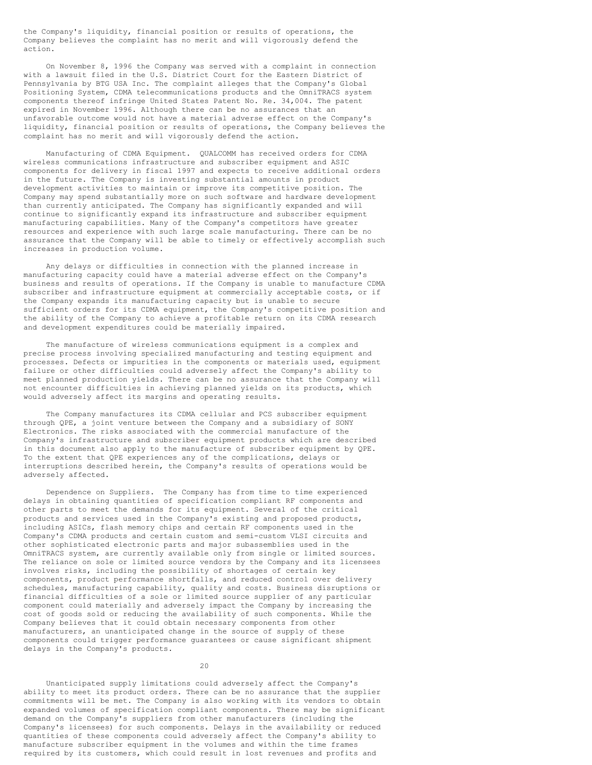the Company's liquidity, financial position or results of operations, the Company believes the complaint has no merit and will vigorously defend the action.

On November 8, 1996 the Company was served with a complaint in connection with a lawsuit filed in the U.S. District Court for the Eastern District of Pennsylvania by BTG USA Inc. The complaint alleges that the Company's Global Positioning System, CDMA telecommunications products and the OmniTRACS system components thereof infringe United States Patent No. Re. 34,004. The patent expired in November 1996. Although there can be no assurances that an unfavorable outcome would not have a material adverse effect on the Company's liquidity, financial position or results of operations, the Company believes the complaint has no merit and will vigorously defend the action.

Manufacturing of CDMA Equipment. QUALCOMM has received orders for CDMA wireless communications infrastructure and subscriber equipment and ASIC components for delivery in fiscal 1997 and expects to receive additional orders in the future. The Company is investing substantial amounts in product development activities to maintain or improve its competitive position. The Company may spend substantially more on such software and hardware development than currently anticipated. The Company has significantly expanded and will continue to significantly expand its infrastructure and subscriber equipment manufacturing capabilities. Many of the Company's competitors have greater resources and experience with such large scale manufacturing. There can be no assurance that the Company will be able to timely or effectively accomplish such increases in production volume.

Any delays or difficulties in connection with the planned increase in manufacturing capacity could have a material adverse effect on the Company's business and results of operations. If the Company is unable to manufacture CDMA subscriber and infrastructure equipment at commercially acceptable costs, or if the Company expands its manufacturing capacity but is unable to secure sufficient orders for its CDMA equipment, the Company's competitive position and the ability of the Company to achieve a profitable return on its CDMA research and development expenditures could be materially impaired.

The manufacture of wireless communications equipment is a complex and precise process involving specialized manufacturing and testing equipment and processes. Defects or impurities in the components or materials used, equipment failure or other difficulties could adversely affect the Company's ability to meet planned production yields. There can be no assurance that the Company will not encounter difficulties in achieving planned yields on its products, which would adversely affect its margins and operating results.

The Company manufactures its CDMA cellular and PCS subscriber equipment through QPE, a joint venture between the Company and a subsidiary of SONY Electronics. The risks associated with the commercial manufacture of the Company's infrastructure and subscriber equipment products which are described in this document also apply to the manufacture of subscriber equipment by QPE. To the extent that QPE experiences any of the complications, delays or interruptions described herein, the Company's results of operations would be adversely affected.

Dependence on Suppliers. The Company has from time to time experienced delays in obtaining quantities of specification compliant RF components and other parts to meet the demands for its equipment. Several of the critical products and services used in the Company's existing and proposed products, including ASICs, flash memory chips and certain RF components used in the Company's CDMA products and certain custom and semi-custom VLSI circuits and other sophisticated electronic parts and major subassemblies used in the OmniTRACS system, are currently available only from single or limited sources. The reliance on sole or limited source vendors by the Company and its licensees involves risks, including the possibility of shortages of certain key components, product performance shortfalls, and reduced control over delivery schedules, manufacturing capability, quality and costs. Business disruptions or financial difficulties of a sole or limited source supplier of any particular component could materially and adversely impact the Company by increasing the cost of goods sold or reducing the availability of such components. While the Company believes that it could obtain necessary components from other manufacturers, an unanticipated change in the source of supply of these components could trigger performance guarantees or cause significant shipment delays in the Company's products.

# 20

Unanticipated supply limitations could adversely affect the Company's ability to meet its product orders. There can be no assurance that the supplier commitments will be met. The Company is also working with its vendors to obtain expanded volumes of specification compliant components. There may be significant demand on the Company's suppliers from other manufacturers (including the Company's licensees) for such components. Delays in the availability or reduced quantities of these components could adversely affect the Company's ability to manufacture subscriber equipment in the volumes and within the time frames required by its customers, which could result in lost revenues and profits and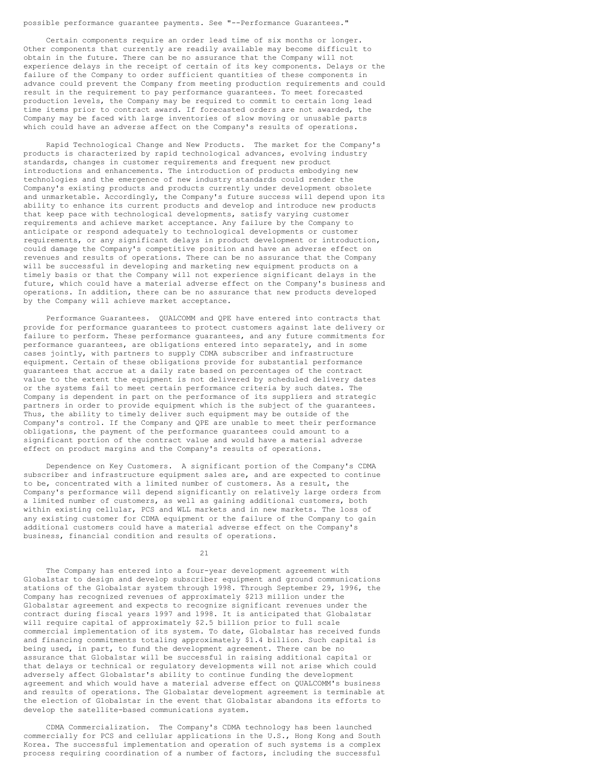#### possible performance guarantee payments. See "--Performance Guarantees."

Certain components require an order lead time of six months or longer. Other components that currently are readily available may become difficult to obtain in the future. There can be no assurance that the Company will not experience delays in the receipt of certain of its key components. Delays or the failure of the Company to order sufficient quantities of these components in advance could prevent the Company from meeting production requirements and could result in the requirement to pay performance guarantees. To meet forecasted production levels, the Company may be required to commit to certain long lead time items prior to contract award. If forecasted orders are not awarded, the Company may be faced with large inventories of slow moving or unusable parts which could have an adverse affect on the Company's results of operations.

Rapid Technological Change and New Products. The market for the Company's products is characterized by rapid technological advances, evolving industry standards, changes in customer requirements and frequent new product introductions and enhancements. The introduction of products embodying new technologies and the emergence of new industry standards could render the Company's existing products and products currently under development obsolete and unmarketable. Accordingly, the Company's future success will depend upon its ability to enhance its current products and develop and introduce new products that keep pace with technological developments, satisfy varying customer requirements and achieve market acceptance. Any failure by the Company to anticipate or respond adequately to technological developments or customer requirements, or any significant delays in product development or introduction, could damage the Company's competitive position and have an adverse effect on revenues and results of operations. There can be no assurance that the Company will be successful in developing and marketing new equipment products on a timely basis or that the Company will not experience significant delays in the future, which could have a material adverse effect on the Company's business and operations. In addition, there can be no assurance that new products developed by the Company will achieve market acceptance.

Performance Guarantees. QUALCOMM and QPE have entered into contracts that provide for performance guarantees to protect customers against late delivery or failure to perform. These performance guarantees, and any future commitments for performance guarantees, are obligations entered into separately, and in some cases jointly, with partners to supply CDMA subscriber and infrastructure equipment. Certain of these obligations provide for substantial performance guarantees that accrue at a daily rate based on percentages of the contract value to the extent the equipment is not delivered by scheduled delivery dates or the systems fail to meet certain performance criteria by such dates. The Company is dependent in part on the performance of its suppliers and strategic partners in order to provide equipment which is the subject of the guarantees. Thus, the ability to timely deliver such equipment may be outside of the Company's control. If the Company and QPE are unable to meet their performance obligations, the payment of the performance guarantees could amount to a significant portion of the contract value and would have a material adverse effect on product margins and the Company's results of operations.

Dependence on Key Customers. A significant portion of the Company's CDMA subscriber and infrastructure equipment sales are, and are expected to continue to be, concentrated with a limited number of customers. As a result, the Company's performance will depend significantly on relatively large orders from a limited number of customers, as well as gaining additional customers, both within existing cellular, PCS and WLL markets and in new markets. The loss of any existing customer for CDMA equipment or the failure of the Company to gain additional customers could have a material adverse effect on the Company's business, financial condition and results of operations.

21

The Company has entered into a four-year development agreement with Globalstar to design and develop subscriber equipment and ground communications stations of the Globalstar system through 1998. Through September 29, 1996, the Company has recognized revenues of approximately \$213 million under the Globalstar agreement and expects to recognize significant revenues under the contract during fiscal years 1997 and 1998. It is anticipated that Globalstar will require capital of approximately \$2.5 billion prior to full scale commercial implementation of its system. To date, Globalstar has received funds and financing commitments totaling approximately \$1.4 billion. Such capital is being used, in part, to fund the development agreement. There can be no assurance that Globalstar will be successful in raising additional capital or that delays or technical or regulatory developments will not arise which could adversely affect Globalstar's ability to continue funding the development agreement and which would have a material adverse effect on QUALCOMM's business and results of operations. The Globalstar development agreement is terminable at the election of Globalstar in the event that Globalstar abandons its efforts to develop the satellite-based communications system.

CDMA Commercialization. The Company's CDMA technology has been launched commercially for PCS and cellular applications in the U.S., Hong Kong and South Korea. The successful implementation and operation of such systems is a complex process requiring coordination of a number of factors, including the successful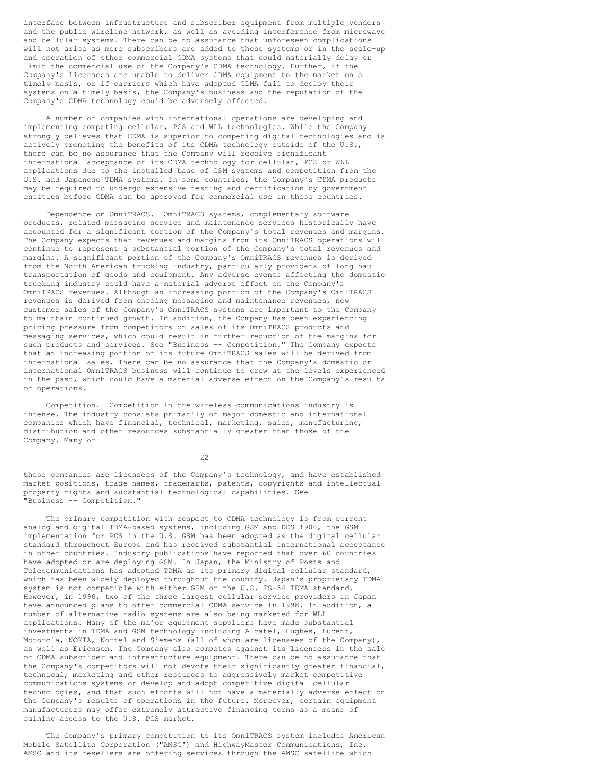interface between infrastructure and subscriber equipment from multiple vendors and the public wireline network, as well as avoiding interference from microwave and cellular systems. There can be no assurance that unforeseen complications will not arise as more subscribers are added to these systems or in the scale-up and operation of other commercial CDMA systems that could materially delay or limit the commercial use of the Company's CDMA technology. Further, if the Company's licensees are unable to deliver CDMA equipment to the market on a timely basis, or if carriers which have adopted CDMA fail to deploy their systems on a timely basis, the Company's business and the reputation of the Company's CDMA technology could be adversely affected.

A number of companies with international operations are developing and implementing competing cellular, PCS and WLL technologies. While the Company strongly believes that CDMA is superior to competing digital technologies and is actively promoting the benefits of its CDMA technology outside of the U.S., there can be no assurance that the Company will receive significant international acceptance of its CDMA technology for cellular, PCS or WLL applications due to the installed base of GSM systems and competition from the U.S. and Japanese TDMA systems. In some countries, the Company's CDMA products may be required to undergo extensive testing and certification by government entities before CDMA can be approved for commercial use in those countries.

Dependence on OmniTRACS. OmniTRACS systems, complementary software products, related messaging service and maintenance services historically have accounted for a significant portion of the Company's total revenues and margins. The Company expects that revenues and margins from its OmniTRACS operations will continue to represent a substantial portion of the Company's total revenues and margins. A significant portion of the Company's OmniTRACS revenues is derived from the North American trucking industry, particularly providers of long haul transportation of goods and equipment. Any adverse events affecting the domestic trucking industry could have a material adverse effect on the Company's OmniTRACS revenues. Although an increasing portion of the Company's OmniTRACS revenues is derived from ongoing messaging and maintenance revenues, new customer sales of the Company's OmniTRACS systems are important to the Company to maintain continued growth. In addition, the Company has been experiencing pricing pressure from competitors on sales of its OmniTRACS products and messaging services, which could result in further reduction of the margins for such products and services. See "Business -- Competition." The Company expects that an increasing portion of its future OmniTRACS sales will be derived from international sales. There can be no assurance that the Company's domestic or international OmniTRACS business will continue to grow at the levels experienced in the past, which could have a material adverse effect on the Company's results of operations.

Competition. Competition in the wireless communications industry is intense. The industry consists primarily of major domestic and international companies which have financial, technical, marketing, sales, manufacturing, distribution and other resources substantially greater than those of the Company. Many of

22

these companies are licensees of the Company's technology, and have established market positions, trade names, trademarks, patents, copyrights and intellectual property rights and substantial technological capabilities. See "Business -- Competition."

The primary competition with respect to CDMA technology is from current analog and digital TDMA-based systems, including GSM and DCS 1900, the GSM implementation for PCS in the U.S. GSM has been adopted as the digital cellular standard throughout Europe and has received substantial international acceptance in other countries. Industry publications have reported that over 60 countries have adopted or are deploying GSM. In Japan, the Ministry of Posts and Telecommunications has adopted TDMA as its primary digital cellular standard, which has been widely deployed throughout the country. Japan's proprietary TDMA system is not compatible with either GSM or the U.S. IS-54 TDMA standard. However, in 1996, two of the three largest cellular service providers in Japan have announced plans to offer commercial CDMA service in 1998. In addition, a number of alternative radio systems are also being marketed for WLL applications. Many of the major equipment suppliers have made substantial investments in TDMA and GSM technology including Alcatel, Hughes, Lucent, Motorola, NOKIA, Nortel and Siemens (all of whom are licensees of the Company), as well as Ericsson. The Company also competes against its licensees in the sale of CDMA subscriber and infrastructure equipment. There can be no assurance that the Company's competitors will not devote their significantly greater financial, technical, marketing and other resources to aggressively market competitive communications systems or develop and adopt competitive digital cellular technologies, and that such efforts will not have a materially adverse effect on the Company's results of operations in the future. Moreover, certain equipment manufacturers may offer extremely attractive financing terms as a means of gaining access to the U.S. PCS market.

The Company's primary competition to its OmniTRACS system includes American Mobile Satellite Corporation ("AMSC") and HighwayMaster Communications, Inc. AMSC and its resellers are offering services through the AMSC satellite which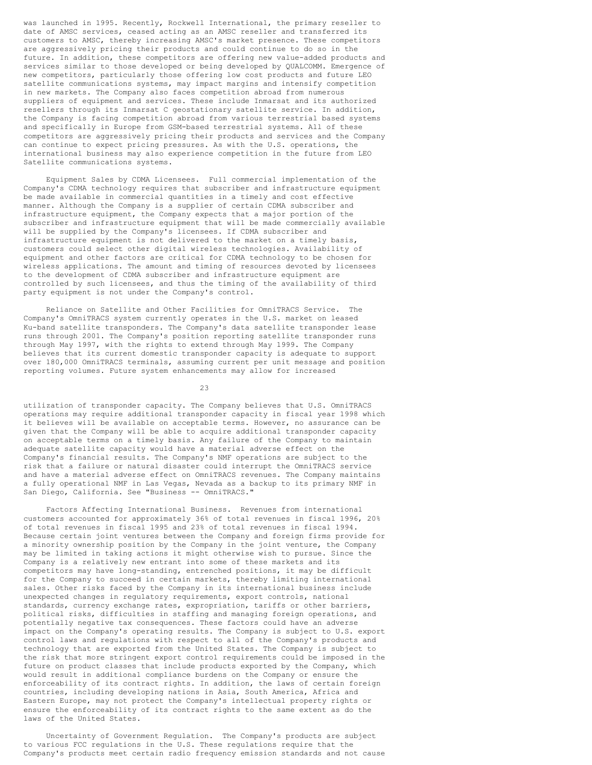was launched in 1995. Recently, Rockwell International, the primary reseller to date of AMSC services, ceased acting as an AMSC reseller and transferred its customers to AMSC, thereby increasing AMSC's market presence. These competitors are aggressively pricing their products and could continue to do so in the future. In addition, these competitors are offering new value-added products and services similar to those developed or being developed by QUALCOMM. Emergence of new competitors, particularly those offering low cost products and future LEO satellite communications systems, may impact margins and intensify competition in new markets. The Company also faces competition abroad from numerous suppliers of equipment and services. These include Inmarsat and its authorized resellers through its Inmarsat C geostationary satellite service. In addition, the Company is facing competition abroad from various terrestrial based systems and specifically in Europe from GSM-based terrestrial systems. All of these competitors are aggressively pricing their products and services and the Company can continue to expect pricing pressures. As with the U.S. operations, the international business may also experience competition in the future from LEO Satellite communications systems.

Equipment Sales by CDMA Licensees. Full commercial implementation of the Company's CDMA technology requires that subscriber and infrastructure equipment be made available in commercial quantities in a timely and cost effective manner. Although the Company is a supplier of certain CDMA subscriber and infrastructure equipment, the Company expects that a major portion of the subscriber and infrastructure equipment that will be made commercially available will be supplied by the Company's licensees. If CDMA subscriber and infrastructure equipment is not delivered to the market on a timely basis, customers could select other digital wireless technologies. Availability of equipment and other factors are critical for CDMA technology to be chosen for wireless applications. The amount and timing of resources devoted by licensees to the development of CDMA subscriber and infrastructure equipment are controlled by such licensees, and thus the timing of the availability of third party equipment is not under the Company's control.

Reliance on Satellite and Other Facilities for OmniTRACS Service. The Company's OmniTRACS system currently operates in the U.S. market on leased Ku-band satellite transponders. The Company's data satellite transponder lease runs through 2001. The Company's position reporting satellite transponder runs through May 1997, with the rights to extend through May 1999. The Company believes that its current domestic transponder capacity is adequate to support over 180,000 OmniTRACS terminals, assuming current per unit message and position reporting volumes. Future system enhancements may allow for increased

23

utilization of transponder capacity. The Company believes that U.S. OmniTRACS operations may require additional transponder capacity in fiscal year 1998 which it believes will be available on acceptable terms. However, no assurance can be given that the Company will be able to acquire additional transponder capacity on acceptable terms on a timely basis. Any failure of the Company to maintain adequate satellite capacity would have a material adverse effect on the Company's financial results. The Company's NMF operations are subject to the risk that a failure or natural disaster could interrupt the OmniTRACS service and have a material adverse effect on OmniTRACS revenues. The Company maintains a fully operational NMF in Las Vegas, Nevada as a backup to its primary NMF in San Diego, California. See "Business -- OmniTRACS."

Factors Affecting International Business. Revenues from international customers accounted for approximately 36% of total revenues in fiscal 1996, 20% of total revenues in fiscal 1995 and 23% of total revenues in fiscal 1994. Because certain joint ventures between the Company and foreign firms provide for a minority ownership position by the Company in the joint venture, the Company may be limited in taking actions it might otherwise wish to pursue. Since the Company is a relatively new entrant into some of these markets and its competitors may have long-standing, entrenched positions, it may be difficult for the Company to succeed in certain markets, thereby limiting international sales. Other risks faced by the Company in its international business include unexpected changes in regulatory requirements, export controls, national standards, currency exchange rates, expropriation, tariffs or other barriers, political risks, difficulties in staffing and managing foreign operations, and potentially negative tax consequences. These factors could have an adverse impact on the Company's operating results. The Company is subject to U.S. export control laws and regulations with respect to all of the Company's products and technology that are exported from the United States. The Company is subject to the risk that more stringent export control requirements could be imposed in the future on product classes that include products exported by the Company, which would result in additional compliance burdens on the Company or ensure the enforceability of its contract rights. In addition, the laws of certain foreign countries, including developing nations in Asia, South America, Africa and Eastern Europe, may not protect the Company's intellectual property rights or ensure the enforceability of its contract rights to the same extent as do the laws of the United States.

Uncertainty of Government Regulation. The Company's products are subject to various FCC regulations in the U.S. These regulations require that the Company's products meet certain radio frequency emission standards and not cause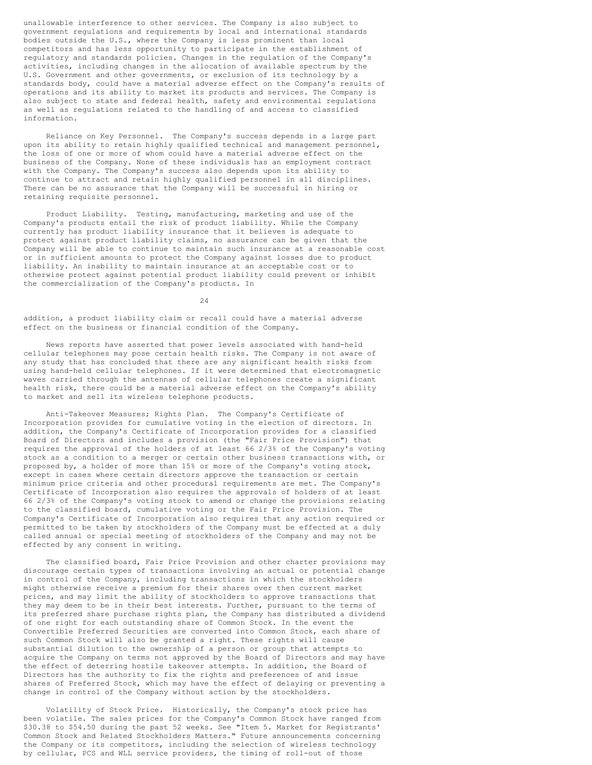unallowable interference to other services. The Company is also subject to government regulations and requirements by local and international standards bodies outside the U.S., where the Company is less prominent than local competitors and has less opportunity to participate in the establishment of regulatory and standards policies. Changes in the regulation of the Company's activities, including changes in the allocation of available spectrum by the U.S. Government and other governments, or exclusion of its technology by a standards body, could have a material adverse effect on the Company's results of operations and its ability to market its products and services. The Company is also subject to state and federal health, safety and environmental regulations as well as regulations related to the handling of and access to classified information.

Reliance on Key Personnel. The Company's success depends in a large part upon its ability to retain highly qualified technical and management personnel, the loss of one or more of whom could have a material adverse effect on the business of the Company. None of these individuals has an employment contract with the Company. The Company's success also depends upon its ability to continue to attract and retain highly qualified personnel in all disciplines. There can be no assurance that the Company will be successful in hiring or retaining requisite personnel.

Product Liability. Testing, manufacturing, marketing and use of the Company's products entail the risk of product liability. While the Company currently has product liability insurance that it believes is adequate to protect against product liability claims, no assurance can be given that the Company will be able to continue to maintain such insurance at a reasonable cost or in sufficient amounts to protect the Company against losses due to product liability. An inability to maintain insurance at an acceptable cost or to otherwise protect against potential product liability could prevent or inhibit the commercialization of the Company's products. In

24

addition, a product liability claim or recall could have a material adverse effect on the business or financial condition of the Company.

News reports have asserted that power levels associated with hand-held cellular telephones may pose certain health risks. The Company is not aware of any study that has concluded that there are any significant health risks from using hand-held cellular telephones. If it were determined that electromagnetic waves carried through the antennas of cellular telephones create a significant health risk, there could be a material adverse effect on the Company's ability to market and sell its wireless telephone products.

Anti-Takeover Measures; Rights Plan. The Company's Certificate of Incorporation provides for cumulative voting in the election of directors. In addition, the Company's Certificate of Incorporation provides for a classified Board of Directors and includes a provision (the "Fair Price Provision") that requires the approval of the holders of at least 66 2/3% of the Company's voting stock as a condition to a merger or certain other business transactions with, or proposed by, a holder of more than 15% or more of the Company's voting stock, except in cases where certain directors approve the transaction or certain minimum price criteria and other procedural requirements are met. The Company's Certificate of Incorporation also requires the approvals of holders of at least 66 2/3% of the Company's voting stock to amend or change the provisions relating to the classified board, cumulative voting or the Fair Price Provision. The Company's Certificate of Incorporation also requires that any action required or permitted to be taken by stockholders of the Company must be effected at a duly called annual or special meeting of stockholders of the Company and may not be effected by any consent in writing.

The classified board, Fair Price Provision and other charter provisions may discourage certain types of transactions involving an actual or potential change in control of the Company, including transactions in which the stockholders might otherwise receive a premium for their shares over then current market prices, and may limit the ability of stockholders to approve transactions that they may deem to be in their best interests. Further, pursuant to the terms of its preferred share purchase rights plan, the Company has distributed a dividend of one right for each outstanding share of Common Stock. In the event the Convertible Preferred Securities are converted into Common Stock, each share of such Common Stock will also be granted a right. These rights will cause substantial dilution to the ownership of a person or group that attempts to acquire the Company on terms not approved by the Board of Directors and may have the effect of deterring hostile takeover attempts. In addition, the Board of Directors has the authority to fix the rights and preferences of and issue shares of Preferred Stock, which may have the effect of delaying or preventing a change in control of the Company without action by the stockholders.

Volatility of Stock Price. Historically, the Company's stock price has been volatile. The sales prices for the Company's Common Stock have ranged from \$30.38 to \$54.50 during the past 52 weeks. See "Item 5. Market for Registrants' Common Stock and Related Stockholders Matters." Future announcements concerning the Company or its competitors, including the selection of wireless technology by cellular, PCS and WLL service providers, the timing of roll-out of those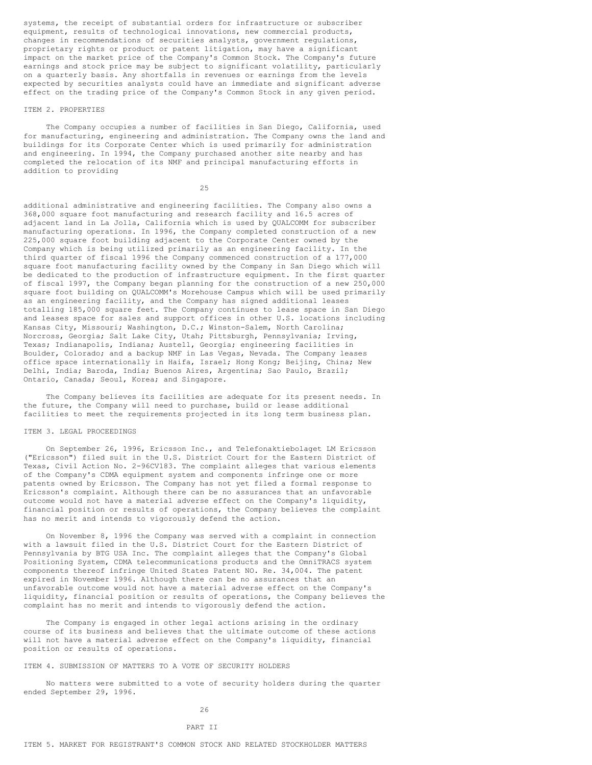systems, the receipt of substantial orders for infrastructure or subscriber equipment, results of technological innovations, new commercial products, changes in recommendations of securities analysts, government regulations, proprietary rights or product or patent litigation, may have a significant impact on the market price of the Company's Common Stock. The Company's future earnings and stock price may be subject to significant volatility, particularly on a quarterly basis. Any shortfalls in revenues or earnings from the levels expected by securities analysts could have an immediate and significant adverse effect on the trading price of the Company's Common Stock in any given period.

# ITEM 2. PROPERTIES

The Company occupies a number of facilities in San Diego, California, used for manufacturing, engineering and administration. The Company owns the land and buildings for its Corporate Center which is used primarily for administration and engineering. In 1994, the Company purchased another site nearby and has completed the relocation of its NMF and principal manufacturing efforts in addition to providing

25

additional administrative and engineering facilities. The Company also owns a 368,000 square foot manufacturing and research facility and 16.5 acres of adjacent land in La Jolla, California which is used by QUALCOMM for subscriber manufacturing operations. In 1996, the Company completed construction of a new 225,000 square foot building adjacent to the Corporate Center owned by the Company which is being utilized primarily as an engineering facility. In the third quarter of fiscal 1996 the Company commenced construction of a 177,000 square foot manufacturing facility owned by the Company in San Diego which will be dedicated to the production of infrastructure equipment. In the first quarter of fiscal 1997, the Company began planning for the construction of a new 250,000 square foot building on QUALCOMM's Morehouse Campus which will be used primarily as an engineering facility, and the Company has signed additional leases totalling 185,000 square feet. The Company continues to lease space in San Diego and leases space for sales and support offices in other U.S. locations including Kansas City, Missouri; Washington, D.C.; Winston-Salem, North Carolina; Norcross, Georgia; Salt Lake City, Utah; Pittsburgh, Pennsylvania; Irving, Texas; Indianapolis, Indiana; Austell, Georgia; engineering facilities in Boulder, Colorado; and a backup NMF in Las Vegas, Nevada. The Company leases office space internationally in Haifa, Israel; Hong Kong; Beijing, China; New Delhi, India; Baroda, India; Buenos Aires, Argentina; Sao Paulo, Brazil; Ontario, Canada; Seoul, Korea; and Singapore.

The Company believes its facilities are adequate for its present needs. In the future, the Company will need to purchase, build or lease additional facilities to meet the requirements projected in its long term business plan.

# ITEM 3. LEGAL PROCEEDINGS

On September 26, 1996, Ericsson Inc., and Telefonaktiebolaget LM Ericsson ("Ericsson") filed suit in the U.S. District Court for the Eastern District of Texas, Civil Action No. 2-96CV183. The complaint alleges that various elements of the Company's CDMA equipment system and components infringe one or more patents owned by Ericsson. The Company has not yet filed a formal response to Ericsson's complaint. Although there can be no assurances that an unfavorable outcome would not have a material adverse effect on the Company's liquidity, financial position or results of operations, the Company believes the complaint has no merit and intends to vigorously defend the action.

On November 8, 1996 the Company was served with a complaint in connection with a lawsuit filed in the U.S. District Court for the Eastern District of Pennsylvania by BTG USA Inc. The complaint alleges that the Company's Global Positioning System, CDMA telecommunications products and the OmniTRACS system components thereof infringe United States Patent NO. Re. 34,004. The patent expired in November 1996. Although there can be no assurances that an unfavorable outcome would not have a material adverse effect on the Company's liquidity, financial position or results of operations, the Company believes the complaint has no merit and intends to vigorously defend the action.

The Company is engaged in other legal actions arising in the ordinary course of its business and believes that the ultimate outcome of these actions will not have a material adverse effect on the Company's liquidity, financial position or results of operations.

# ITEM 4. SUBMISSION OF MATTERS TO A VOTE OF SECURITY HOLDERS

No matters were submitted to a vote of security holders during the quarter ended September 29, 1996.

26

# PART II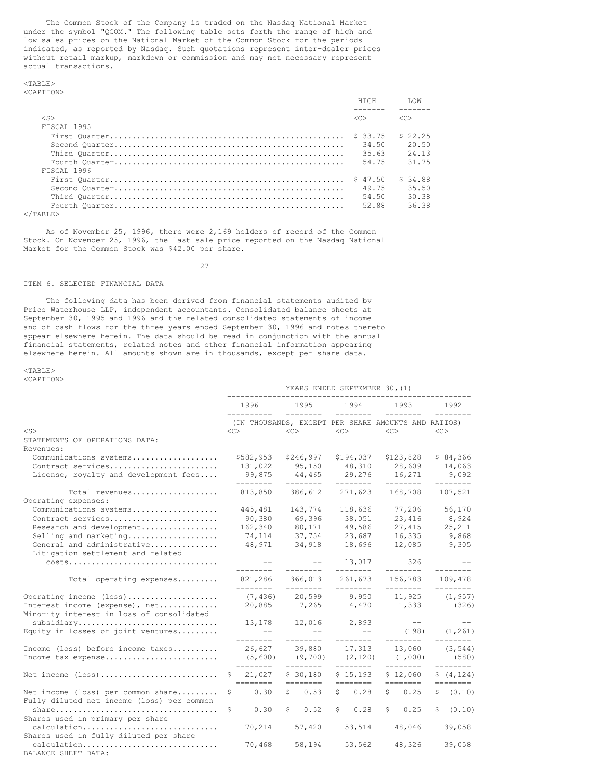The Common Stock of the Company is traded on the Nasdaq National Market under the symbol "QCOM." The following table sets forth the range of high and low sales prices on the National Market of the Common Stock for the periods indicated, as reported by Nasdaq. Such quotations represent inter-dealer prices without retail markup, markdown or commission and may not necessary represent actual transactions.

# <TABLE>

<CAPTION>

|                   | HTGH                | <b>T.OW</b>         |
|-------------------|---------------------|---------------------|
|                   |                     |                     |
| $<$ S>            | $\langle C \rangle$ | $\langle C \rangle$ |
| FISCAL 1995       |                     |                     |
|                   | \$ 33.75            | \$22.25             |
|                   | 34.50               | 20.50               |
|                   | 35.63               | 24.13               |
|                   | 54.75               | 31.75               |
| FISCAL 1996       |                     |                     |
|                   | \$47.50             | \$ 34.88            |
|                   | 49.75               | 35.50               |
|                   | 54.50               | 30.38               |
|                   | 52.88               | 36.38               |
| $\langle$ /TARLE> |                     |                     |

As of November 25, 1996, there were 2,169 holders of record of the Common Stock. On November 25, 1996, the last sale price reported on the Nasdaq National Market for the Common Stock was \$42.00 per share.

27

#### ITEM 6. SELECTED FINANCIAL DATA

The following data has been derived from financial statements audited by Price Waterhouse LLP, independent accountants. Consolidated balance sheets at September 30, 1995 and 1996 and the related consolidated statements of income and of cash flows for the three years ended September 30, 1996 and notes thereto appear elsewhere herein. The data should be read in conjunction with the annual financial statements, related notes and other financial information appearing elsewhere herein. All amounts shown are in thousands, except per share data.

#### <TABLE> <CAPTION>

|                                                           | YEARS ENDED SEPTEMBER 30, (1) |                                                                   |  |                      |  |                      |  |                      |   |                         |
|-----------------------------------------------------------|-------------------------------|-------------------------------------------------------------------|--|----------------------|--|----------------------|--|----------------------|---|-------------------------|
|                                                           |                               | 1996                                                              |  | 1995                 |  | 1994                 |  | 1993                 |   | 1992                    |
|                                                           |                               | __________<br>(IN THOUSANDS, EXCEPT PER SHARE AMOUNTS AND RATIOS) |  | ---------            |  | ---------            |  | ---------            |   | $- - - - - - - -$       |
| $<$ S $>$                                                 | $<<$ $>>$                     |                                                                   |  | $\langle C \rangle$  |  | $<\!\!\rm C\!\!>$    |  | <<                   |   |                         |
| STATEMENTS OF OPERATIONS DATA:<br>Revenues:               |                               |                                                                   |  |                      |  |                      |  |                      |   |                         |
| Communications systems                                    |                               | \$582,953                                                         |  | \$246,997            |  | \$194,037            |  | \$123,828            |   | \$84,366                |
| Contract services                                         |                               | 131,022                                                           |  | 95,150               |  | 48,310               |  | 28,609               |   | 14,063                  |
| License, royalty and development fees                     |                               | 99,875                                                            |  | 44,465               |  | 29,276               |  | 16,271               |   | 9,092                   |
|                                                           |                               | --------                                                          |  | ---------            |  | ---------            |  | --------             |   | --------                |
| Total revenues                                            |                               | 813,850                                                           |  | 386,612              |  | 271,623              |  | 168,708              |   | 107,521                 |
| Operating expenses:                                       |                               |                                                                   |  |                      |  |                      |  |                      |   |                         |
| Communications systems                                    |                               | 445,481                                                           |  | 143,774              |  | 118,636              |  | 77,206               |   | 56,170                  |
| Contract services                                         |                               | 90,380                                                            |  | 69,396               |  | 38,051               |  | 23,416               |   | 8,924                   |
| Research and development                                  |                               | 162,340                                                           |  | 80,171               |  | 49,586               |  | 27,415               |   | 25,211                  |
| Selling and marketing                                     |                               | 74,114                                                            |  | 37,754               |  | 23,687               |  | 16,335               |   | 9,868                   |
| General and administrative                                |                               | 48,971                                                            |  | 34,918               |  | 18,696               |  | 12,085               |   | 9,305                   |
| Litigation settlement and related                         |                               |                                                                   |  |                      |  |                      |  |                      |   |                         |
| $costs$                                                   |                               | $---$                                                             |  | $- -$                |  | 13,017               |  | 326                  |   |                         |
| Total operating expenses                                  |                               | ---------<br>821,286                                              |  | ---------<br>366,013 |  | ---------<br>261,673 |  | ---------<br>156,783 |   | ---------<br>109,478    |
|                                                           |                               | ---------<br>(7, 436)                                             |  | --------<br>20,599   |  | ---------<br>9,950   |  | --------<br>11,925   |   | --------<br>(1, 957)    |
| Operating income (loss)<br>Interest income (expense), net |                               | 20,885                                                            |  | 7,265                |  | 4,470                |  | 1,333                |   | (326)                   |
| Minority interest in loss of consolidated                 |                               |                                                                   |  |                      |  |                      |  |                      |   |                         |
| subsidiary                                                |                               | 13,178                                                            |  | 12,016               |  | 2,893                |  | $- - -$              |   | $- -$                   |
| Equity in losses of joint ventures                        |                               | $ -$<br>---------                                                 |  | $ -$<br>---------    |  | $--$<br>---------    |  | (198)<br>---------   |   | (1, 261)<br>---------   |
| Income (loss) before income taxes                         |                               | 26,627                                                            |  | 39,880               |  | 17,313               |  | 13,060               |   | (3, 544)                |
| Income tax expense                                        |                               | (5,600)                                                           |  | (9, 700)             |  | (2, 120)             |  | (1,000)              |   | (580)                   |
|                                                           |                               | --------                                                          |  | ---------            |  | ---------            |  | ---------            |   | ---------               |
| Net income (loss)                                         | \$                            | 21,027<br>========                                                |  | \$30,180<br>======== |  | \$15,193<br>======== |  | \$12,060<br>======== |   | \$ (4, 124)<br>======== |
| Net income (loss) per common share                        | \$                            | 0.30                                                              |  | \$0.53               |  | \$0.28               |  | 0.25<br>$\mathsf{S}$ |   | \$ (0.10)               |
| Fully diluted net income (loss) per common                |                               |                                                                   |  |                      |  |                      |  |                      |   |                         |
|                                                           | \$.                           | 0.30                                                              |  | \$0.52               |  | \$0.28               |  | \$0.25               | S | (0.10)                  |
| Shares used in primary per share                          |                               |                                                                   |  |                      |  |                      |  |                      |   |                         |
| calculation                                               |                               | 70,214                                                            |  | 57,420               |  | 53,514               |  | 48,046               |   | 39,058                  |
| Shares used in fully diluted per share                    |                               |                                                                   |  |                      |  |                      |  |                      |   |                         |
| calculation<br>BALANCE SHEET DATA:                        |                               | 70,468                                                            |  | 58,194               |  | 53,562               |  | 48,326               |   | 39,058                  |
|                                                           |                               |                                                                   |  |                      |  |                      |  |                      |   |                         |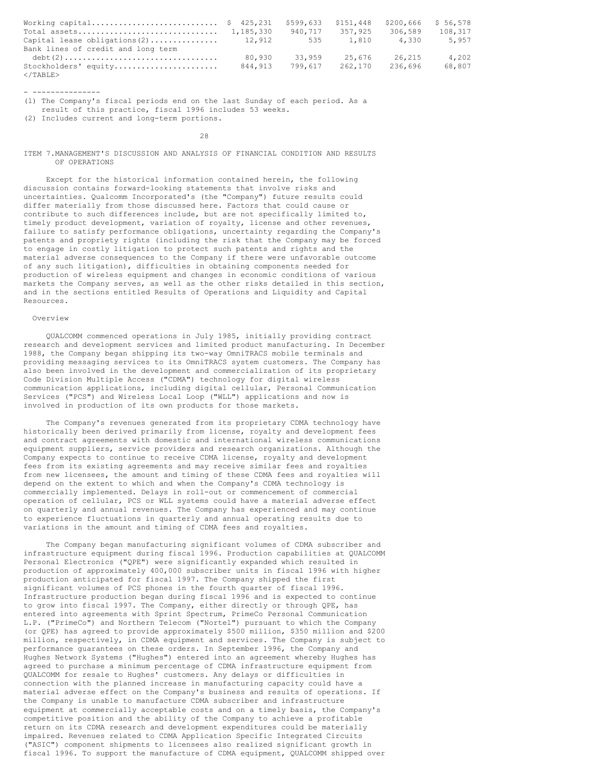| Working capital \$ 425,231         |         | \$599.633 | \$151,448 | \$200,666 | \$56.578 |
|------------------------------------|---------|-----------|-----------|-----------|----------|
|                                    |         | 940.717   | 357,925   | 306,589   | 108,317  |
| Capital lease obligations (2)      | 12,912  | 535       | 1.810     | 4.330     | 5,957    |
| Bank lines of credit and long term |         |           |           |           |          |
|                                    | 80.930  | 33.959    | 25.676    | 26,215    | 4,202    |
| Stockholders' equity               | 844.913 | 799.617   | 262,170   | 236,696   | 68,807   |
| $\langle$ /TABLE>                  |         |           |           |           |          |

- ---------------

(1) The Company's fiscal periods end on the last Sunday of each period. As a result of this practice, fiscal 1996 includes 53 weeks.

(2) Includes current and long-term portions.

28

# ITEM 7.MANAGEMENT'S DISCUSSION AND ANALYSIS OF FINANCIAL CONDITION AND RESULTS OF OPERATIONS

Except for the historical information contained herein, the following discussion contains forward-looking statements that involve risks and uncertainties. Qualcomm Incorporated's (the "Company") future results could differ materially from those discussed here. Factors that could cause or contribute to such differences include, but are not specifically limited to, timely product development, variation of royalty, license and other revenues, failure to satisfy performance obligations, uncertainty regarding the Company's patents and propriety rights (including the risk that the Company may be forced to engage in costly litigation to protect such patents and rights and the material adverse consequences to the Company if there were unfavorable outcome of any such litigation), difficulties in obtaining components needed for production of wireless equipment and changes in economic conditions of various markets the Company serves, as well as the other risks detailed in this section, and in the sections entitled Results of Operations and Liquidity and Capital Resources.

# Overview

QUALCOMM commenced operations in July 1985, initially providing contract research and development services and limited product manufacturing. In December 1988, the Company began shipping its two-way OmniTRACS mobile terminals and providing messaging services to its OmniTRACS system customers. The Company has also been involved in the development and commercialization of its proprietary Code Division Multiple Access ("CDMA") technology for digital wireless communication applications, including digital cellular, Personal Communication Services ("PCS") and Wireless Local Loop ("WLL") applications and now is involved in production of its own products for those markets.

The Company's revenues generated from its proprietary CDMA technology have historically been derived primarily from license, royalty and development fees and contract agreements with domestic and international wireless communications equipment suppliers, service providers and research organizations. Although the Company expects to continue to receive CDMA license, royalty and development fees from its existing agreements and may receive similar fees and royalties from new licensees, the amount and timing of these CDMA fees and royalties will depend on the extent to which and when the Company's CDMA technology is commercially implemented. Delays in roll-out or commencement of commercial operation of cellular, PCS or WLL systems could have a material adverse effect on quarterly and annual revenues. The Company has experienced and may continue to experience fluctuations in quarterly and annual operating results due to variations in the amount and timing of CDMA fees and royalties.

The Company began manufacturing significant volumes of CDMA subscriber and infrastructure equipment during fiscal 1996. Production capabilities at QUALCOMM Personal Electronics ("QPE") were significantly expanded which resulted in production of approximately 400,000 subscriber units in fiscal 1996 with higher production anticipated for fiscal 1997. The Company shipped the first significant volumes of PCS phones in the fourth quarter of fiscal 1996. Infrastructure production began during fiscal 1996 and is expected to continue to grow into fiscal 1997. The Company, either directly or through QPE, has entered into agreements with Sprint Spectrum, PrimeCo Personal Communication L.P. ("PrimeCo") and Northern Telecom ("Nortel") pursuant to which the Company (or QPE) has agreed to provide approximately \$500 million, \$350 million and \$200 million, respectively, in CDMA equipment and services. The Company is subject to performance guarantees on these orders. In September 1996, the Company and Hughes Network Systems ("Hughes") entered into an agreement whereby Hughes has agreed to purchase a minimum percentage of CDMA infrastructure equipment from QUALCOMM for resale to Hughes' customers. Any delays or difficulties in connection with the planned increase in manufacturing capacity could have a material adverse effect on the Company's business and results of operations. If the Company is unable to manufacture CDMA subscriber and infrastructure equipment at commercially acceptable costs and on a timely basis, the Company's competitive position and the ability of the Company to achieve a profitable return on its CDMA research and development expenditures could be materially impaired. Revenues related to CDMA Application Specific Integrated Circuits ("ASIC") component shipments to licensees also realized significant growth in fiscal 1996. To support the manufacture of CDMA equipment, QUALCOMM shipped over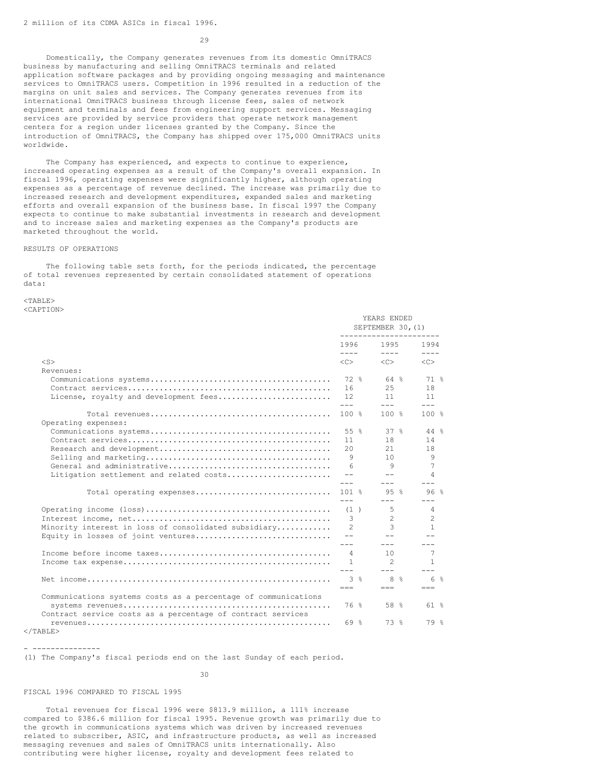29

Domestically, the Company generates revenues from its domestic OmniTRACS business by manufacturing and selling OmniTRACS terminals and related application software packages and by providing ongoing messaging and maintenance services to OmniTRACS users. Competition in 1996 resulted in a reduction of the margins on unit sales and services. The Company generates revenues from its international OmniTRACS business through license fees, sales of network equipment and terminals and fees from engineering support services. Messaging services are provided by service providers that operate network management centers for a region under licenses granted by the Company. Since the introduction of OmniTRACS, the Company has shipped over 175,000 OmniTRACS units worldwide.

The Company has experienced, and expects to continue to experience, increased operating expenses as a result of the Company's overall expansion. In fiscal 1996, operating expenses were significantly higher, although operating expenses as a percentage of revenue declined. The increase was primarily due to increased research and development expenditures, expanded sales and marketing efforts and overall expansion of the business base. In fiscal 1997 the Company expects to continue to make substantial investments in research and development and to increase sales and marketing expenses as the Company's products are marketed throughout the world.

# RESULTS OF OPERATIONS

The following table sets forth, for the periods indicated, the percentage of total revenues represented by certain consolidated statement of operations data:

#### <TABLE> <CAPTION>

|                                                                | YEARS ENDED<br>SEPTEMBER 30, (1)<br>-------------- |                          |                       |
|----------------------------------------------------------------|----------------------------------------------------|--------------------------|-----------------------|
|                                                                | 1996<br>$- - - -$                                  | 1995<br>$\frac{1}{2}$    | 1994<br>$- - - -$     |
| $<$ S>                                                         | < <sub></sub>                                      | $<<$ $>$                 | <<                    |
| Revenues:                                                      |                                                    |                          |                       |
|                                                                | 72.8                                               | 64%                      | 71%                   |
|                                                                | 16                                                 | 2.5                      | 18                    |
| License, royalty and development fees                          | 12<br>$- - -$                                      | 11<br>$- - -$            | 11<br>$- - -$         |
|                                                                | $100 \text{ }$ %                                   | $100*$                   | 100%                  |
| Operating expenses:                                            |                                                    |                          |                       |
|                                                                | 55%                                                | 37%                      | 44%                   |
|                                                                | 11                                                 | 18                       | 14                    |
|                                                                | 20                                                 | 21                       | 18                    |
|                                                                | 9                                                  | 10                       | 9                     |
|                                                                | 6                                                  | 9                        | 7                     |
| Litigation settlement and related costs                        |                                                    | $- -$                    | 4                     |
| Total operating expenses                                       | $- - -$<br>101 <sup>8</sup><br>$---$               | $- - -$<br>9.5%<br>$---$ | $---$<br>96%<br>$---$ |
|                                                                | (1)                                                | .5                       | 4                     |
|                                                                | 3                                                  | 2                        | 2                     |
| Minority interest in loss of consolidated subsidiary           | $\mathcal{P}$                                      | २                        | 1                     |
| Equity in losses of joint ventures                             |                                                    |                          |                       |
|                                                                | $---$<br>4                                         | $---$<br>10              | $---$<br>7            |
|                                                                |                                                    | $\mathcal{D}$            | 1                     |
|                                                                | $\mathbf{1}$<br>$- - -$                            | $- - -$                  | $- - -$               |
|                                                                | 3%<br>$==-$                                        | 8%<br>$= = =$            | 6 %<br>$= == =$       |
| Communications systems costs as a percentage of communications |                                                    |                          |                       |
|                                                                | 76 %                                               | 58 %                     | 61 %                  |
| Contract service costs as a percentage of contract services    | 69 %                                               | 73 %                     | 79 %                  |
| $\langle$ /TABLE>                                              |                                                    |                          |                       |

- ---------------

(1) The Company's fiscal periods end on the last Sunday of each period.

30

# FISCAL 1996 COMPARED TO FISCAL 1995

Total revenues for fiscal 1996 were \$813.9 million, a 111% increase compared to \$386.6 million for fiscal 1995. Revenue growth was primarily due to the growth in communications systems which was driven by increased revenues related to subscriber, ASIC, and infrastructure products, as well as increased messaging revenues and sales of OmniTRACS units internationally. Also contributing were higher license, royalty and development fees related to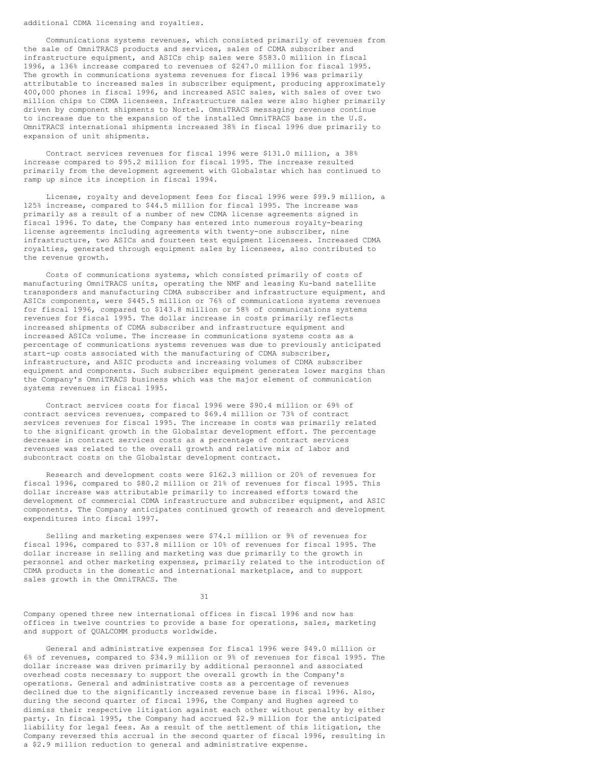#### additional CDMA licensing and royalties.

Communications systems revenues, which consisted primarily of revenues from the sale of OmniTRACS products and services, sales of CDMA subscriber and infrastructure equipment, and ASICs chip sales were \$583.0 million in fiscal 1996, a 136% increase compared to revenues of \$247.0 million for fiscal 1995. The growth in communications systems revenues for fiscal 1996 was primarily attributable to increased sales in subscriber equipment, producing approximately 400,000 phones in fiscal 1996, and increased ASIC sales, with sales of over two million chips to CDMA licensees. Infrastructure sales were also higher primarily driven by component shipments to Nortel. OmniTRACS messaging revenues continue to increase due to the expansion of the installed OmniTRACS base in the U.S. OmniTRACS international shipments increased 38% in fiscal 1996 due primarily to expansion of unit shipments.

Contract services revenues for fiscal 1996 were \$131.0 million, a 38% increase compared to \$95.2 million for fiscal 1995. The increase resulted primarily from the development agreement with Globalstar which has continued to ramp up since its inception in fiscal 1994.

License, royalty and development fees for fiscal 1996 were \$99.9 million, a 125% increase, compared to \$44.5 million for fiscal 1995. The increase was primarily as a result of a number of new CDMA license agreements signed in fiscal 1996. To date, the Company has entered into numerous royalty-bearing license agreements including agreements with twenty-one subscriber, nine infrastructure, two ASICs and fourteen test equipment licensees. Increased CDMA royalties, generated through equipment sales by licensees, also contributed to the revenue growth.

Costs of communications systems, which consisted primarily of costs of manufacturing OmniTRACS units, operating the NMF and leasing Ku-band satellite transponders and manufacturing CDMA subscriber and infrastructure equipment, and ASICs components, were \$445.5 million or 76% of communications systems revenues for fiscal 1996, compared to \$143.8 million or 58% of communications systems revenues for fiscal 1995. The dollar increase in costs primarily reflects increased shipments of CDMA subscriber and infrastructure equipment and increased ASICs volume. The increase in communications systems costs as a percentage of communications systems revenues was due to previously anticipated start-up costs associated with the manufacturing of CDMA subscriber, infrastructure, and ASIC products and increasing volumes of CDMA subscriber equipment and components. Such subscriber equipment generates lower margins than the Company's OmniTRACS business which was the major element of communication systems revenues in fiscal 1995.

Contract services costs for fiscal 1996 were \$90.4 million or 69% of contract services revenues, compared to \$69.4 million or 73% of contract services revenues for fiscal 1995. The increase in costs was primarily related to the significant growth in the Globalstar development effort. The percentage decrease in contract services costs as a percentage of contract services revenues was related to the overall growth and relative mix of labor and subcontract costs on the Globalstar development contract.

Research and development costs were \$162.3 million or 20% of revenues for fiscal 1996, compared to \$80.2 million or 21% of revenues for fiscal 1995. This dollar increase was attributable primarily to increased efforts toward the development of commercial CDMA infrastructure and subscriber equipment, and ASIC components. The Company anticipates continued growth of research and development expenditures into fiscal 1997.

Selling and marketing expenses were \$74.1 million or 9% of revenues for fiscal 1996, compared to \$37.8 million or 10% of revenues for fiscal 1995. The dollar increase in selling and marketing was due primarily to the growth in personnel and other marketing expenses, primarily related to the introduction of CDMA products in the domestic and international marketplace, and to support sales growth in the OmniTRACS. The

31

Company opened three new international offices in fiscal 1996 and now has offices in twelve countries to provide a base for operations, sales, marketing and support of QUALCOMM products worldwide.

General and administrative expenses for fiscal 1996 were \$49.0 million or 6% of revenues, compared to \$34.9 million or 9% of revenues for fiscal 1995. The dollar increase was driven primarily by additional personnel and associated overhead costs necessary to support the overall growth in the Company's operations. General and administrative costs as a percentage of revenues declined due to the significantly increased revenue base in fiscal 1996. Also, during the second quarter of fiscal 1996, the Company and Hughes agreed to dismiss their respective litigation against each other without penalty by either party. In fiscal 1995, the Company had accrued \$2.9 million for the anticipated liability for legal fees. As a result of the settlement of this litigation, the Company reversed this accrual in the second quarter of fiscal 1996, resulting in a \$2.9 million reduction to general and administrative expense.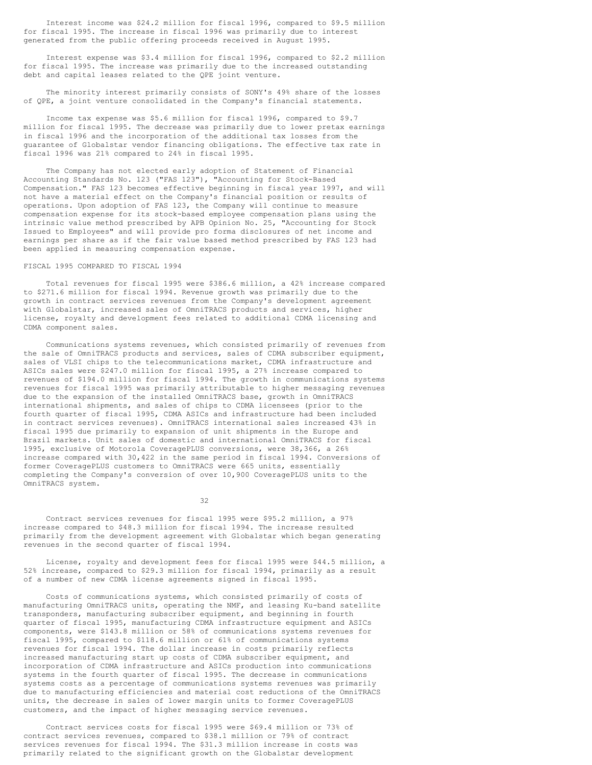Interest income was \$24.2 million for fiscal 1996, compared to \$9.5 million for fiscal 1995. The increase in fiscal 1996 was primarily due to interest generated from the public offering proceeds received in August 1995.

Interest expense was \$3.4 million for fiscal 1996, compared to \$2.2 million for fiscal 1995. The increase was primarily due to the increased outstanding debt and capital leases related to the QPE joint venture.

The minority interest primarily consists of SONY's 49% share of the losses of QPE, a joint venture consolidated in the Company's financial statements.

Income tax expense was \$5.6 million for fiscal 1996, compared to \$9.7 million for fiscal 1995. The decrease was primarily due to lower pretax earnings in fiscal 1996 and the incorporation of the additional tax losses from the guarantee of Globalstar vendor financing obligations. The effective tax rate in fiscal 1996 was 21% compared to 24% in fiscal 1995.

The Company has not elected early adoption of Statement of Financial Accounting Standards No. 123 ("FAS 123"), "Accounting for Stock-Based Compensation." FAS 123 becomes effective beginning in fiscal year 1997, and will not have a material effect on the Company's financial position or results of operations. Upon adoption of FAS 123, the Company will continue to measure compensation expense for its stock-based employee compensation plans using the intrinsic value method prescribed by APB Opinion No. 25, "Accounting for Stock Issued to Employees" and will provide pro forma disclosures of net income and earnings per share as if the fair value based method prescribed by FAS 123 had been applied in measuring compensation expense.

# FISCAL 1995 COMPARED TO FISCAL 1994

Total revenues for fiscal 1995 were \$386.6 million, a 42% increase compared to \$271.6 million for fiscal 1994. Revenue growth was primarily due to the growth in contract services revenues from the Company's development agreement with Globalstar, increased sales of OmniTRACS products and services, higher license, royalty and development fees related to additional CDMA licensing and CDMA component sales.

Communications systems revenues, which consisted primarily of revenues from the sale of OmniTRACS products and services, sales of CDMA subscriber equipment, sales of VLSI chips to the telecommunications market, CDMA infrastructure and ASICs sales were \$247.0 million for fiscal 1995, a 27% increase compared to revenues of \$194.0 million for fiscal 1994. The growth in communications systems revenues for fiscal 1995 was primarily attributable to higher messaging revenues due to the expansion of the installed OmniTRACS base, growth in OmniTRACS international shipments, and sales of chips to CDMA licensees (prior to the fourth quarter of fiscal 1995, CDMA ASICs and infrastructure had been included in contract services revenues). OmniTRACS international sales increased 43% in fiscal 1995 due primarily to expansion of unit shipments in the Europe and Brazil markets. Unit sales of domestic and international OmniTRACS for fiscal 1995, exclusive of Motorola CoveragePLUS conversions, were 38,366, a 26% increase compared with 30,422 in the same period in fiscal 1994. Conversions of former CoveragePLUS customers to OmniTRACS were 665 units, essentially completing the Company's conversion of over 10,900 CoveragePLUS units to the OmniTRACS system.

32

Contract services revenues for fiscal 1995 were \$95.2 million, a 97% increase compared to \$48.3 million for fiscal 1994. The increase resulted primarily from the development agreement with Globalstar which began generating revenues in the second quarter of fiscal 1994.

License, royalty and development fees for fiscal 1995 were \$44.5 million, a 52% increase, compared to \$29.3 million for fiscal 1994, primarily as a result of a number of new CDMA license agreements signed in fiscal 1995.

Costs of communications systems, which consisted primarily of costs of manufacturing OmniTRACS units, operating the NMF, and leasing Ku-band satellite transponders, manufacturing subscriber equipment, and beginning in fourth quarter of fiscal 1995, manufacturing CDMA infrastructure equipment and ASICs components, were \$143.8 million or 58% of communications systems revenues for fiscal 1995, compared to \$118.6 million or 61% of communications systems revenues for fiscal 1994. The dollar increase in costs primarily reflects increased manufacturing start up costs of CDMA subscriber equipment, and incorporation of CDMA infrastructure and ASICs production into communications systems in the fourth quarter of fiscal 1995. The decrease in communications systems costs as a percentage of communications systems revenues was primarily due to manufacturing efficiencies and material cost reductions of the OmniTRACS units, the decrease in sales of lower margin units to former CoveragePLUS customers, and the impact of higher messaging service revenues.

Contract services costs for fiscal 1995 were \$69.4 million or 73% of contract services revenues, compared to \$38.1 million or 79% of contract services revenues for fiscal 1994. The \$31.3 million increase in costs was primarily related to the significant growth on the Globalstar development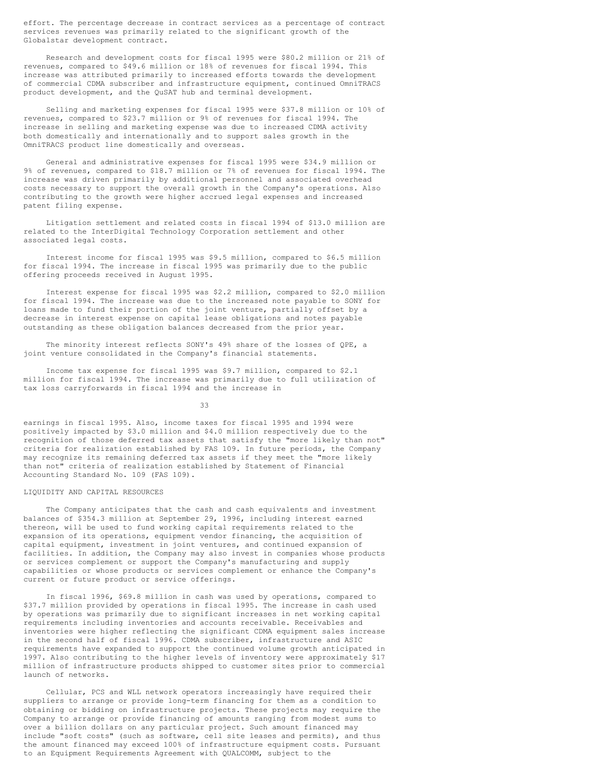effort. The percentage decrease in contract services as a percentage of contract services revenues was primarily related to the significant growth of the Globalstar development contract.

Research and development costs for fiscal 1995 were \$80.2 million or 21% of revenues, compared to \$49.6 million or 18% of revenues for fiscal 1994. This increase was attributed primarily to increased efforts towards the development of commercial CDMA subscriber and infrastructure equipment, continued OmniTRACS product development, and the QuSAT hub and terminal development.

Selling and marketing expenses for fiscal 1995 were \$37.8 million or 10% of revenues, compared to \$23.7 million or 9% of revenues for fiscal 1994. The increase in selling and marketing expense was due to increased CDMA activity both domestically and internationally and to support sales growth in the OmniTRACS product line domestically and overseas.

General and administrative expenses for fiscal 1995 were \$34.9 million or 9% of revenues, compared to \$18.7 million or 7% of revenues for fiscal 1994. The increase was driven primarily by additional personnel and associated overhead costs necessary to support the overall growth in the Company's operations. Also contributing to the growth were higher accrued legal expenses and increased patent filing expense.

Litigation settlement and related costs in fiscal 1994 of \$13.0 million are related to the InterDigital Technology Corporation settlement and other associated legal costs.

Interest income for fiscal 1995 was \$9.5 million, compared to \$6.5 million for fiscal 1994. The increase in fiscal 1995 was primarily due to the public offering proceeds received in August 1995.

Interest expense for fiscal 1995 was \$2.2 million, compared to \$2.0 million for fiscal 1994. The increase was due to the increased note payable to SONY for loans made to fund their portion of the joint venture, partially offset by a decrease in interest expense on capital lease obligations and notes payable outstanding as these obligation balances decreased from the prior year.

The minority interest reflects SONY's 49% share of the losses of QPE, a joint venture consolidated in the Company's financial statements.

Income tax expense for fiscal 1995 was \$9.7 million, compared to \$2.1 million for fiscal 1994. The increase was primarily due to full utilization of tax loss carryforwards in fiscal 1994 and the increase in

33

earnings in fiscal 1995. Also, income taxes for fiscal 1995 and 1994 were positively impacted by \$3.0 million and \$4.0 million respectively due to the recognition of those deferred tax assets that satisfy the "more likely than not" criteria for realization established by FAS 109. In future periods, the Company may recognize its remaining deferred tax assets if they meet the "more likely than not" criteria of realization established by Statement of Financial Accounting Standard No. 109 (FAS 109).

### LIQUIDITY AND CAPITAL RESOURCES

The Company anticipates that the cash and cash equivalents and investment balances of \$354.3 million at September 29, 1996, including interest earned thereon, will be used to fund working capital requirements related to the expansion of its operations, equipment vendor financing, the acquisition of capital equipment, investment in joint ventures, and continued expansion of facilities. In addition, the Company may also invest in companies whose products or services complement or support the Company's manufacturing and supply capabilities or whose products or services complement or enhance the Company's current or future product or service offerings.

In fiscal 1996, \$69.8 million in cash was used by operations, compared to \$37.7 million provided by operations in fiscal 1995. The increase in cash used by operations was primarily due to significant increases in net working capital requirements including inventories and accounts receivable. Receivables and inventories were higher reflecting the significant CDMA equipment sales increase in the second half of fiscal 1996. CDMA subscriber, infrastructure and ASIC requirements have expanded to support the continued volume growth anticipated in 1997. Also contributing to the higher levels of inventory were approximately \$17 million of infrastructure products shipped to customer sites prior to commercial launch of networks.

Cellular, PCS and WLL network operators increasingly have required their suppliers to arrange or provide long-term financing for them as a condition to obtaining or bidding on infrastructure projects. These projects may require the Company to arrange or provide financing of amounts ranging from modest sums to over a billion dollars on any particular project. Such amount financed may include "soft costs" (such as software, cell site leases and permits), and thus the amount financed may exceed 100% of infrastructure equipment costs. Pursuant to an Equipment Requirements Agreement with QUALCOMM, subject to the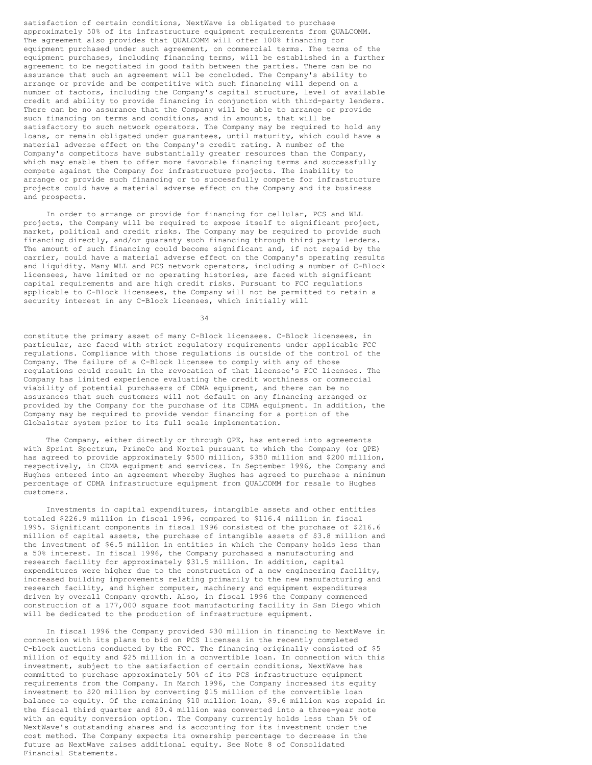satisfaction of certain conditions, NextWave is obligated to purchase approximately 50% of its infrastructure equipment requirements from QUALCOMM. The agreement also provides that QUALCOMM will offer 100% financing for equipment purchased under such agreement, on commercial terms. The terms of the equipment purchases, including financing terms, will be established in a further agreement to be negotiated in good faith between the parties. There can be no assurance that such an agreement will be concluded. The Company's ability to arrange or provide and be competitive with such financing will depend on a number of factors, including the Company's capital structure, level of available credit and ability to provide financing in conjunction with third-party lenders. There can be no assurance that the Company will be able to arrange or provide such financing on terms and conditions, and in amounts, that will be satisfactory to such network operators. The Company may be required to hold any loans, or remain obligated under guarantees, until maturity, which could have a material adverse effect on the Company's credit rating. A number of the Company's competitors have substantially greater resources than the Company, which may enable them to offer more favorable financing terms and successfully compete against the Company for infrastructure projects. The inability to arrange or provide such financing or to successfully compete for infrastructure projects could have a material adverse effect on the Company and its business and prospects.

In order to arrange or provide for financing for cellular, PCS and WLL projects, the Company will be required to expose itself to significant project, market, political and credit risks. The Company may be required to provide such financing directly, and/or guaranty such financing through third party lenders. The amount of such financing could become significant and, if not repaid by the carrier, could have a material adverse effect on the Company's operating results and liquidity. Many WLL and PCS network operators, including a number of C-Block licensees, have limited or no operating histories, are faced with significant capital requirements and are high credit risks. Pursuant to FCC regulations applicable to C-Block licensees, the Company will not be permitted to retain a security interest in any C-Block licenses, which initially will

34

constitute the primary asset of many C-Block licensees. C-Block licensees, in particular, are faced with strict regulatory requirements under applicable FCC regulations. Compliance with those regulations is outside of the control of the Company. The failure of a C-Block licensee to comply with any of those regulations could result in the revocation of that licensee's FCC licenses. The Company has limited experience evaluating the credit worthiness or commercial viability of potential purchasers of CDMA equipment, and there can be no assurances that such customers will not default on any financing arranged or provided by the Company for the purchase of its CDMA equipment. In addition, the Company may be required to provide vendor financing for a portion of the Globalstar system prior to its full scale implementation.

The Company, either directly or through QPE, has entered into agreements with Sprint Spectrum, PrimeCo and Nortel pursuant to which the Company (or QPE) has agreed to provide approximately \$500 million, \$350 million and \$200 million, respectively, in CDMA equipment and services. In September 1996, the Company and Hughes entered into an agreement whereby Hughes has agreed to purchase a minimum percentage of CDMA infrastructure equipment from QUALCOMM for resale to Hughes customers.

Investments in capital expenditures, intangible assets and other entities totaled \$226.9 million in fiscal 1996, compared to \$116.4 million in fiscal 1995. Significant components in fiscal 1996 consisted of the purchase of \$216.6 million of capital assets, the purchase of intangible assets of \$3.8 million and the investment of \$6.5 million in entities in which the Company holds less than a 50% interest. In fiscal 1996, the Company purchased a manufacturing and research facility for approximately \$31.5 million. In addition, capital expenditures were higher due to the construction of a new engineering facility, increased building improvements relating primarily to the new manufacturing and research facility, and higher computer, machinery and equipment expenditures driven by overall Company growth. Also, in fiscal 1996 the Company commenced construction of a 177,000 square foot manufacturing facility in San Diego which will be dedicated to the production of infrastructure equipment.

In fiscal 1996 the Company provided \$30 million in financing to NextWave in connection with its plans to bid on PCS licenses in the recently completed C-block auctions conducted by the FCC. The financing originally consisted of \$5 million of equity and \$25 million in a convertible loan. In connection with this investment, subject to the satisfaction of certain conditions, NextWave has committed to purchase approximately 50% of its PCS infrastructure equipment requirements from the Company. In March 1996, the Company increased its equity investment to \$20 million by converting \$15 million of the convertible loan balance to equity. Of the remaining \$10 million loan, \$9.6 million was repaid in the fiscal third quarter and \$0.4 million was converted into a three-year note with an equity conversion option. The Company currently holds less than 5% of NextWave's outstanding shares and is accounting for its investment under the cost method. The Company expects its ownership percentage to decrease in the future as NextWave raises additional equity. See Note 8 of Consolidated Financial Statements.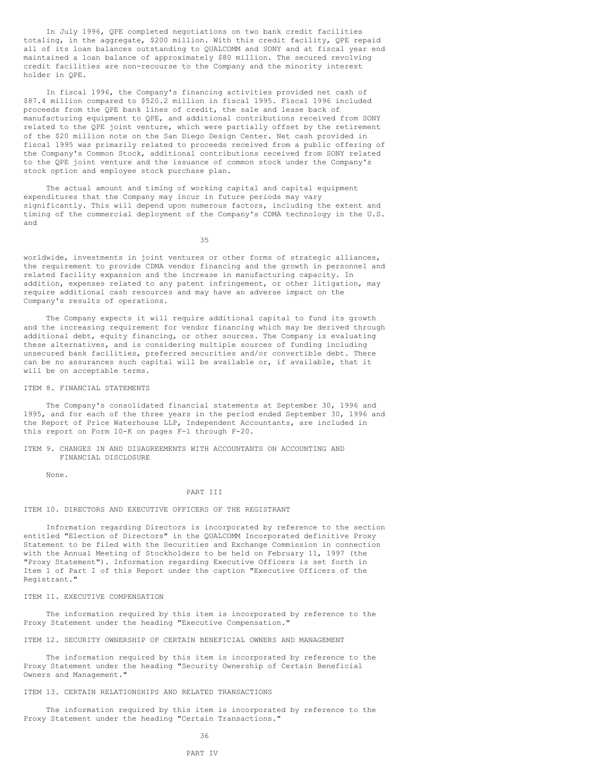In July 1996, QPE completed negotiations on two bank credit facilities totaling, in the aggregate, \$200 million. With this credit facility, QPE repaid all of its loan balances outstanding to QUALCOMM and SONY and at fiscal year end maintained a loan balance of approximately \$80 million. The secured revolving credit facilities are non-recourse to the Company and the minority interest holder in QPE.

In fiscal 1996, the Company's financing activities provided net cash of \$87.4 million compared to \$520.2 million in fiscal 1995. Fiscal 1996 included proceeds from the QPE bank lines of credit, the sale and lease back of manufacturing equipment to QPE, and additional contributions received from SONY related to the QPE joint venture, which were partially offset by the retirement of the \$20 million note on the San Diego Design Center. Net cash provided in fiscal 1995 was primarily related to proceeds received from a public offering of the Company's Common Stock, additional contributions received from SONY related to the QPE joint venture and the issuance of common stock under the Company's stock option and employee stock purchase plan.

The actual amount and timing of working capital and capital equipment expenditures that the Company may incur in future periods may vary significantly. This will depend upon numerous factors, including the extent and timing of the commercial deployment of the Company's CDMA technology in the U.S. and

35

worldwide, investments in joint ventures or other forms of strategic alliances, the requirement to provide CDMA vendor financing and the growth in personnel and related facility expansion and the increase in manufacturing capacity. In addition, expenses related to any patent infringement, or other litigation, may require additional cash resources and may have an adverse impact on the Company's results of operations.

The Company expects it will require additional capital to fund its growth and the increasing requirement for vendor financing which may be derived through additional debt, equity financing, or other sources. The Company is evaluating these alternatives, and is considering multiple sources of funding including unsecured bank facilities, preferred securities and/or convertible debt. There can be no assurances such capital will be available or, if available, that it will be on acceptable terms.

### ITEM 8. FINANCIAL STATEMENTS

The Company's consolidated financial statements at September 30, 1996 and 1995, and for each of the three years in the period ended September 30, 1996 and the Report of Price Waterhouse LLP, Independent Accountants, are included in this report on Form 10-K on pages F-1 through F-20.

ITEM 9. CHANGES IN AND DISAGREEMENTS WITH ACCOUNTANTS ON ACCOUNTING AND FINANCIAL DISCLOSURE

None.

### PART TIT

# ITEM 10. DIRECTORS AND EXECUTIVE OFFICERS OF THE REGISTRANT

Information regarding Directors is incorporated by reference to the section entitled "Election of Directors" in the QUALCOMM Incorporated definitive Proxy Statement to be filed with the Securities and Exchange Commission in connection with the Annual Meeting of Stockholders to be held on February 11, 1997 (the "Proxy Statement"). Information regarding Executive Officers is set forth in Item 1 of Part I of this Report under the caption "Executive Officers of the Registrant."

# ITEM 11. EXECUTIVE COMPENSATION

The information required by this item is incorporated by reference to the Proxy Statement under the heading "Executive Compensation."

ITEM 12. SECURITY OWNERSHIP OF CERTAIN BENEFICIAL OWNERS AND MANAGEMENT

The information required by this item is incorporated by reference to the Proxy Statement under the heading "Security Ownership of Certain Beneficial Owners and Management."

ITEM 13. CERTAIN RELATIONSHIPS AND RELATED TRANSACTIONS

The information required by this item is incorporated by reference to the Proxy Statement under the heading "Certain Transactions."

36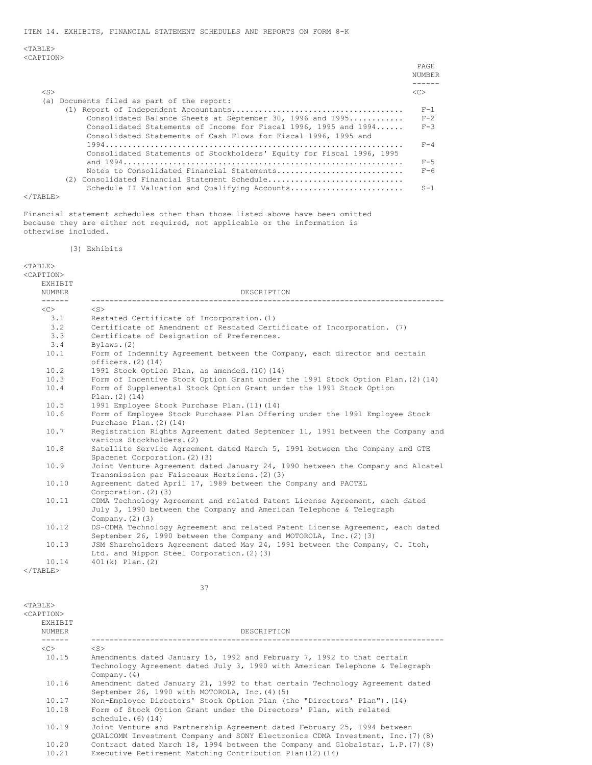<TABLE> <CAPTION>

|                                                                       | <b>PAGE</b>   |
|-----------------------------------------------------------------------|---------------|
|                                                                       | NUMBER        |
|                                                                       |               |
| $<$ S $>$                                                             | < <sub></sub> |
| Documents filed as part of the report:<br>(a)                         |               |
|                                                                       | $F - 1$       |
| Consolidated Balance Sheets at September 30, 1996 and 1995            | $F - 2$       |
| Consolidated Statements of Income for Fiscal 1996, 1995 and $1994$    | $F - 3$       |
| Consolidated Statements of Cash Flows for Fiscal 1996, 1995 and       |               |
|                                                                       | $F - 4$       |
| Consolidated Statements of Stockholders' Equity for Fiscal 1996, 1995 |               |
|                                                                       | $F - 5$       |
| Notes to Consolidated Financial Statements                            | $F - 6$       |
| (2) Consolidated Financial Statement Schedule                         |               |
| Schedule II Valuation and Qualifying Accounts                         | $S-1$         |

 $<$ /TABLE>

Financial statement schedules other than those listed above have been omitted because they are either not required, not applicable or the information is otherwise included.

(3) Exhibits

| $<$ TABLE><br><caption><br/>EXHIBIT</caption> |                                                                                                                                                                           |
|-----------------------------------------------|---------------------------------------------------------------------------------------------------------------------------------------------------------------------------|
| <b>NUMBER</b><br>$- - - - - -$                | DESCRIPTION                                                                                                                                                               |
| <<>                                           | $<$ S $>$                                                                                                                                                                 |
| 3.1                                           | Restated Certificate of Incorporation. (1)                                                                                                                                |
| 3.2                                           | Certificate of Amendment of Restated Certificate of Incorporation. (7)                                                                                                    |
| 3.3                                           | Certificate of Designation of Preferences.                                                                                                                                |
| 3.4                                           | Bylaws. (2)                                                                                                                                                               |
| 10.1                                          | Form of Indemnity Agreement between the Company, each director and certain<br>officers. (2) (14)                                                                          |
| 10.2                                          | 1991 Stock Option Plan, as amended. (10) (14)                                                                                                                             |
| 10.3                                          | Form of Incentive Stock Option Grant under the 1991 Stock Option Plan. (2) (14)                                                                                           |
| 10.4                                          | Form of Supplemental Stock Option Grant under the 1991 Stock Option<br>Plan. $(2)$ $(14)$                                                                                 |
| 10.5                                          | 1991 Employee Stock Purchase Plan. (11) (14)                                                                                                                              |
| 10.6                                          | Form of Employee Stock Purchase Plan Offering under the 1991 Employee Stock<br>Purchase Plan. (2) (14)                                                                    |
| 10.7                                          | Registration Rights Agreement dated September 11, 1991 between the Company and<br>various Stockholders. (2)                                                               |
| 10.8                                          | Satellite Service Agreement dated March 5, 1991 between the Company and GTE<br>Spacenet Corporation. (2) (3)                                                              |
| 10.9                                          | Joint Venture Agreement dated January 24, 1990 between the Company and Alcatel<br>Transmission par Faisceaux Hertziens. (2) (3)                                           |
| 10.10                                         | Agreement dated April 17, 1989 between the Company and PACTEL<br>Corporation. (2) (3)                                                                                     |
| 10.11                                         | CDMA Technology Agreement and related Patent License Agreement, each dated<br>July 3, 1990 between the Company and American Telephone & Telegraph<br>Company. $(2)$ $(3)$ |
| 10.12                                         | DS-CDMA Technology Agreement and related Patent License Agreement, each dated<br>September 26, 1990 between the Company and MOTOROLA, Inc. (2) (3)                        |
| 10.13                                         | JSM Shareholders Agreement dated May 24, 1991 between the Company, C. Itoh,<br>Ltd. and Nippon Steel Corporation. (2) (3)                                                 |
| 10.14                                         | $401(k)$ Plan. $(2)$                                                                                                                                                      |
| $\langle$ /TABLE>                             |                                                                                                                                                                           |
|                                               | 37                                                                                                                                                                        |
| $<$ TABLE><br><caption><br/>EXHIBIT</caption> |                                                                                                                                                                           |
| <b>NUMBER</b>                                 | DESCRIPTION                                                                                                                                                               |
| $- - - - - -$                                 |                                                                                                                                                                           |

 $\langle C \rangle$   $\langle S \rangle$ <br>10.15 Amer Amendments dated January 15, 1992 and February 7, 1992 to that certain Technology Agreement dated July 3, 1990 with American Telephone & Telegraph Company.(4) 10.16 Amendment dated January 21, 1992 to that certain Technology Agreement dated September 26, 1990 with MOTOROLA, Inc.(4)(5) 10.17 Mon-Employee Directors' Stock Option Plan (the "Directors' Plan").(14)<br>10.18 Form of Stock Option Grant under the Directors' Plan, with related Form of Stock Option Grant under the Directors' Plan, with related schedule.(6)(14)

10.19 Joint Venture and Partnership Agreement dated February 25, 1994 between QUALCOMM Investment Company and SONY Electronics CDMA Investment, Inc.(7)(8) 10.20 Contract dated March 18, 1994 between the Company and Globalstar, L.P.(7)(8)<br>10.21 Executive Retirement Matching Contribution Plan(12)(14)

Executive Retirement Matching Contribution Plan(12)(14)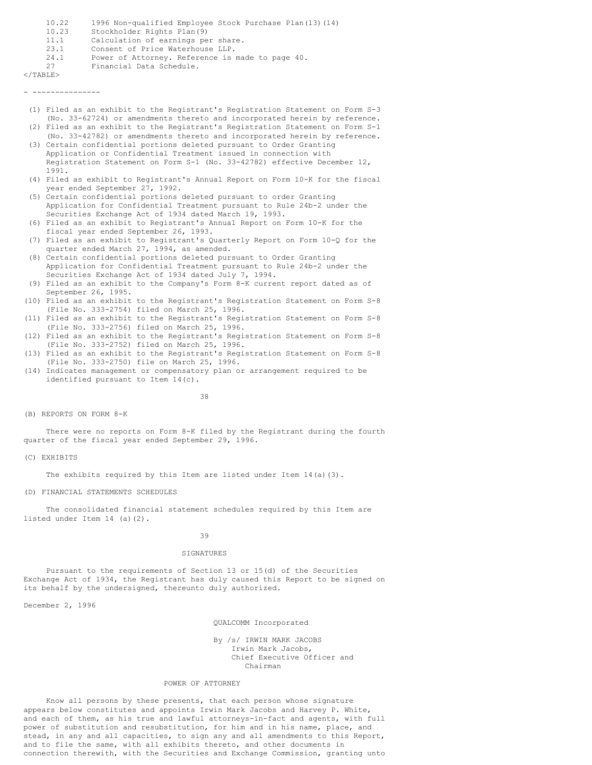- 10.22 1996 Non-qualified Employee Stock Purchase Plan(13)(14)
- 10.23 Stockholder Rights Plan(9)
- 11.1 Calculation of earnings per share.<br>23.1 Consent of Price Waterhouse LLP.
- Consent of Price Waterhouse LLP.
- 24.1 Power of Attorney. Reference is made to page 40.
- 27 Financial Data Schedule.

```
\langle/TABLE>
```
- ---------------

- (1) Filed as an exhibit to the Registrant's Registration Statement on Form S-3 (No. 33-62724) or amendments thereto and incorporated herein by reference.
- (2) Filed as an exhibit to the Registrant's Registration Statement on Form S-1 (No. 33-42782) or amendments thereto and incorporated herein by reference.
- (3) Certain confidential portions deleted pursuant to Order Granting Application or Confidential Treatment issued in connection with Registration Statement on Form S-1 (No. 33-42782) effective December 12, 1991.
- (4) Filed as exhibit to Registrant's Annual Report on Form 10-K for the fiscal year ended September 27, 1992.
- (5) Certain confidential portions deleted pursuant to order Granting Application for Confidential Treatment pursuant to Rule 24b-2 under the Securities Exchange Act of 1934 dated March 19, 1993.
- (6) Filed as an exhibit to Registrant's Annual Report on Form 10-K for the fiscal year ended September 26, 1993.
- (7) Filed as an exhibit to Registrant's Quarterly Report on Form 10-Q for the quarter ended March 27, 1994, as amended.
- (8) Certain confidential portions deleted pursuant to Order Granting Application for Confidential Treatment pursuant to Rule 24b-2 under the Securities Exchange Act of 1934 dated July 7, 1994.
- (9) Filed as an exhibit to the Company's Form 8-K current report dated as of September 26, 1995.
- (10) Filed as an exhibit to the Registrant's Registration Statement on Form S-8 (File No. 333-2754) filed on March 25, 1996.
- (11) Filed as an exhibit to the Registrant's Registration Statement on Form S-8 (File No. 333-2756) filed on March 25, 1996.
- (12) Filed as an exhibit to the Registrant's Registration Statement on Form S-8 (File No. 333-2752) filed on March 25, 1996.
- (13) Filed as an exhibit to the Registrant's Registration Statement on Form S-8 (File No. 333-2750) file on March 25, 1996.
- (14) Indicates management or compensatory plan or arrangement required to be identified pursuant to Item 14(c).

#### 38

#### (B) REPORTS ON FORM 8-K

There were no reports on Form 8-K filed by the Registrant during the fourth quarter of the fiscal year ended September 29, 1996.

### (C) EXHIBITS

The exhibits required by this Item are listed under Item  $14(a)(3)$ .

### (D) FINANCIAL STATEMENTS SCHEDULES

The consolidated financial statement schedules required by this Item are listed under Item 14 (a)(2).

#### 39

#### SIGNATURES

Pursuant to the requirements of Section 13 or 15(d) of the Securities Exchange Act of 1934, the Registrant has duly caused this Report to be signed on its behalf by the undersigned, thereunto duly authorized.

December 2, 1996

### QUALCOMM Incorporated

By /s/ IRWIN MARK JACOBS Irwin Mark Jacobs, Chief Executive Officer and Chairman

# POWER OF ATTORNEY

Know all persons by these presents, that each person whose signature appears below constitutes and appoints Irwin Mark Jacobs and Harvey P. White, and each of them, as his true and lawful attorneys-in-fact and agents, with full power of substitution and resubstitution, for him and in his name, place, and stead, in any and all capacities, to sign any and all amendments to this Report, and to file the same, with all exhibits thereto, and other documents in connection therewith, with the Securities and Exchange Commission, granting unto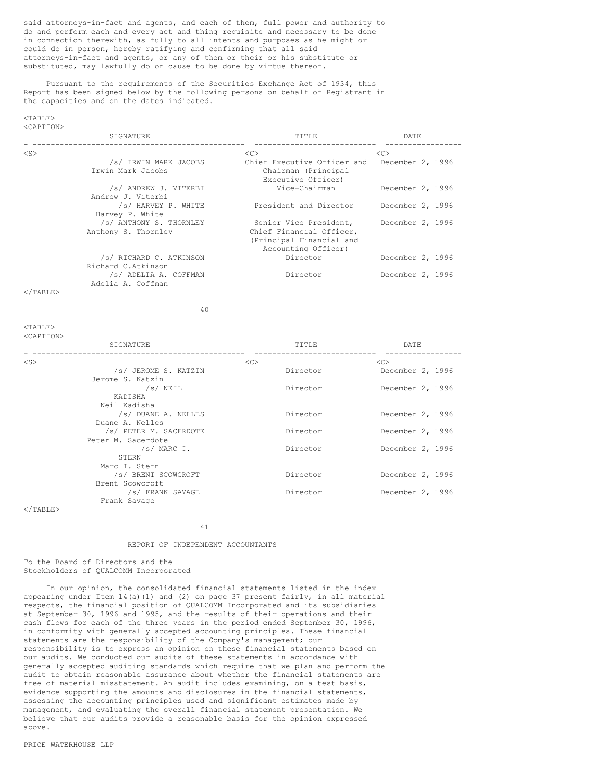said attorneys-in-fact and agents, and each of them, full power and authority to do and perform each and every act and thing requisite and necessary to be done in connection therewith, as fully to all intents and purposes as he might or could do in person, hereby ratifying and confirming that all said attorneys-in-fact and agents, or any of them or their or his substitute or substituted, may lawfully do or cause to be done by virtue thereof.

Pursuant to the requirements of the Securities Exchange Act of 1934, this Report has been signed below by the following persons on behalf of Registrant in the capacities and on the dates indicated.

|                 | SIGNATURE                                      | TITLE                                                                                                 | DATE             |
|-----------------|------------------------------------------------|-------------------------------------------------------------------------------------------------------|------------------|
| $<$ S $>$       |                                                | <<                                                                                                    | <<               |
|                 | /s/ IRWIN MARK JACOBS<br>Irwin Mark Jacobs     | Chief Executive Officer and<br>Chairman (Principal<br>Executive Officer)                              | December 2, 1996 |
|                 | /s/ ANDREW J. VITERBI<br>Andrew J. Viterbi     | Vice-Chairman                                                                                         | December 2, 1996 |
|                 | /s/ HARVEY P. WHITE<br>Harvey P. White         | President and Director                                                                                | December 2, 1996 |
|                 | /s/ ANTHONY S. THORNLEY<br>Anthony S. Thornley | Senior Vice President,<br>Chief Financial Officer,<br>(Principal Financial and<br>Accounting Officer) | December 2, 1996 |
|                 | /s/ RICHARD C. ATKINSON<br>Richard C.Atkinson  | Director                                                                                              | December 2, 1996 |
| ノ / m ៱ n τ : ヽ | /s/ ADELIA A. COFFMAN<br>Adelia A. Coffman     | Director                                                                                              | December 2, 1996 |

</TABLE>

40

 $<$ TABLE> <CAPTION>

|                   | SIGNATURE<br>_____________________ |    | <b>TITLE</b> | DATE             |
|-------------------|------------------------------------|----|--------------|------------------|
| $<$ S $>$         |                                    | << |              | <<               |
|                   | /s/ JEROME S. KATZIN               |    | Director     | December 2, 1996 |
|                   | Jerome S. Katzin                   |    |              |                  |
|                   | /s/ NEIL                           |    | Director     | December 2, 1996 |
|                   | KADISHA                            |    |              |                  |
|                   | Neil Kadisha                       |    |              |                  |
|                   | /s/ DUANE A. NELLES                |    | Director     | December 2, 1996 |
|                   | Duane A. Nelles                    |    |              |                  |
|                   | /s/ PETER M. SACERDOTE             |    | Director     | December 2, 1996 |
|                   | Peter M. Sacerdote                 |    |              |                  |
|                   | $/s/$ MARC I.                      |    | Director     | December 2, 1996 |
|                   | STERN                              |    |              |                  |
|                   | Marc I. Stern                      |    |              |                  |
|                   | /s/ BRENT SCOWCROFT                |    | Director     | December 2, 1996 |
|                   | Brent Scowcroft                    |    |              |                  |
|                   | /s/ FRANK SAVAGE                   |    | Director     | December 2, 1996 |
|                   | Frank Savage                       |    |              |                  |
| $\langle$ /TABLE> |                                    |    |              |                  |

# 41 REPORT OF INDEPENDENT ACCOUNTANTS

To the Board of Directors and the Stockholders of QUALCOMM Incorporated

In our opinion, the consolidated financial statements listed in the index appearing under Item  $14(a)(1)$  and (2) on page 37 present fairly, in all material respects, the financial position of QUALCOMM Incorporated and its subsidiaries at September 30, 1996 and 1995, and the results of their operations and their cash flows for each of the three years in the period ended September 30, 1996, in conformity with generally accepted accounting principles. These financial statements are the responsibility of the Company's management; our responsibility is to express an opinion on these financial statements based on our audits. We conducted our audits of these statements in accordance with generally accepted auditing standards which require that we plan and perform the audit to obtain reasonable assurance about whether the financial statements are free of material misstatement. An audit includes examining, on a test basis, evidence supporting the amounts and disclosures in the financial statements, assessing the accounting principles used and significant estimates made by management, and evaluating the overall financial statement presentation. We believe that our audits provide a reasonable basis for the opinion expressed above.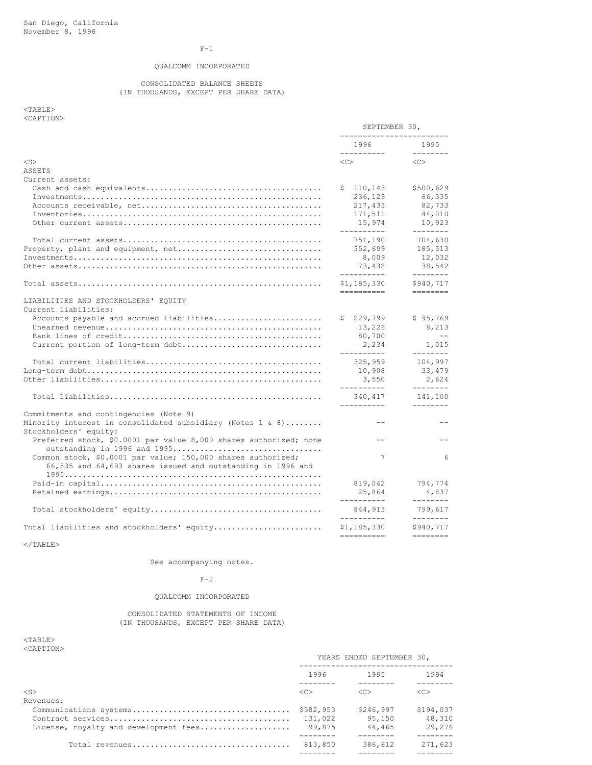# $F-1$

# QUALCOMM INCORPORATED

### CONSOLIDATED BALANCE SHEETS (IN THOUSANDS, EXCEPT PER SHARE DATA)

<TABLE> <CAPTION>

|                                                                                                                             | SEPTEMBER 30,<br>------------------------ |                             |
|-----------------------------------------------------------------------------------------------------------------------------|-------------------------------------------|-----------------------------|
|                                                                                                                             | 1996<br>__________                        | 1995<br>--------            |
| $<$ S $>$                                                                                                                   | <<>                                       | <<                          |
| ASSETS                                                                                                                      |                                           |                             |
| Current assets:                                                                                                             |                                           |                             |
|                                                                                                                             | \$110, 143                                | \$500,629                   |
|                                                                                                                             | 236,129                                   | 66,335                      |
|                                                                                                                             | 217,433                                   | 82,733                      |
|                                                                                                                             | 171,511                                   | 44,010                      |
|                                                                                                                             | 15,974<br>__________                      | 10,923<br>$- - - - - - - -$ |
|                                                                                                                             | 751,190                                   | 704,630                     |
| Property, plant and equipment, net                                                                                          | 352,699                                   | 185,513                     |
|                                                                                                                             | 8,009                                     | 12,032                      |
|                                                                                                                             | 73,432                                    | 38,542                      |
|                                                                                                                             | __________<br>\$1,185,330<br>==========   | --------<br>\$940,717       |
| LIABILITIES AND STOCKHOLDERS' EQUITY                                                                                        |                                           |                             |
| Current liabilities:                                                                                                        |                                           |                             |
| Accounts payable and accrued liabilities                                                                                    | \$229,799                                 | \$95,769                    |
|                                                                                                                             | 13,226                                    | 8,213                       |
|                                                                                                                             | 80,700                                    | $--$                        |
| Current portion of long-term debt                                                                                           | 2,234<br>__________                       | 1,015<br>---------          |
|                                                                                                                             | 325,959                                   | 104,997                     |
|                                                                                                                             | 10,908                                    | 33,479                      |
|                                                                                                                             | 3,550<br>__________                       | 2,624<br>--------           |
|                                                                                                                             | 340.417                                   | 141,100                     |
|                                                                                                                             | __________                                | $- - - - - - - -$           |
| Commitments and contingencies (Note 9)                                                                                      |                                           |                             |
| Minority interest in consolidated subsidiary (Notes $1 \& 8) \ldots \ldots$<br>Stockholders' equity:                        |                                           |                             |
| Preferred stock, \$0.0001 par value 8,000 shares authorized; none                                                           |                                           |                             |
|                                                                                                                             |                                           |                             |
| Common stock, \$0.0001 par value; 150,000 shares authorized;<br>66,535 and 64,693 shares issued and outstanding in 1996 and | 7                                         | 6                           |
|                                                                                                                             |                                           |                             |
|                                                                                                                             | 819,042                                   | 794,774                     |
|                                                                                                                             | 25,864                                    | 4,837                       |
|                                                                                                                             | __________<br>844, 913                    | --------<br>799,617         |
|                                                                                                                             | __________                                | ---------                   |
| Total liabilities and stockholders' equity                                                                                  | \$1,185,330<br>==========                 | \$940,717<br>========       |

 $<$ /TABLE $>$ 

See accompanying notes.

# $F-2$

# QUALCOMM INCORPORATED

# CONSOLIDATED STATEMENTS OF INCOME (IN THOUSANDS, EXCEPT PER SHARE DATA)

<TABLE> <CAPTION>

|                                       | YEARS ENDED SEPTEMBER 30, |               |           |
|---------------------------------------|---------------------------|---------------|-----------|
|                                       | 1996                      | 1995          | 1994      |
| $<$ S $>$                             | <<                        | < <sub></sub> | くC>       |
| Revenues:                             |                           |               |           |
|                                       | \$582,953                 | \$246.997     | \$194,037 |
|                                       | 131,022                   | 95,150        | 48,310    |
| License, royalty and development fees | 99,875                    | 44,465        | 29,276    |
|                                       |                           |               |           |
|                                       | 813,850                   | 386.612       | 271,623   |
|                                       |                           |               |           |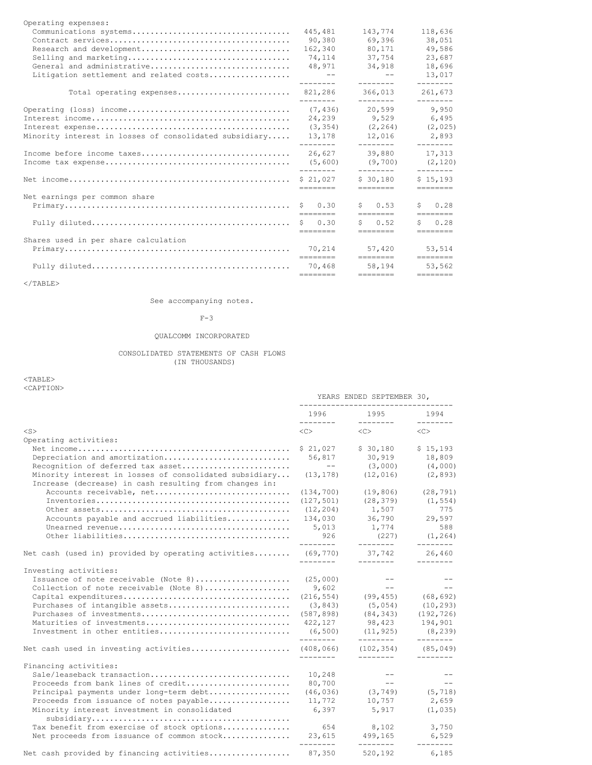| Operating expenses:                                    |                                          |                                          |                                          |
|--------------------------------------------------------|------------------------------------------|------------------------------------------|------------------------------------------|
|                                                        | 445,481                                  | 143,774                                  | 118,636                                  |
|                                                        | 90,380                                   | 69,396                                   | 38,051                                   |
| Research and development                               | 162,340                                  | 80,171                                   | 49,586                                   |
|                                                        | 74,114                                   | 37,754                                   | 23,687                                   |
| General and administrative                             | 48,971                                   | 34,918                                   | 18,696                                   |
| Litigation settlement and related costs                |                                          |                                          | 13,017                                   |
| Total operating expenses                               | --------<br>821,286<br>$- - - - - - - -$ | --------<br>366,013<br>$- - - - - - - -$ | --------<br>261,673<br>$- - - - - - - -$ |
|                                                        | (7, 436)                                 | 20,599                                   | 9,950                                    |
|                                                        | 24,239                                   | 9,529                                    | 6,495                                    |
|                                                        | (3, 354)                                 | (2, 264)                                 | (2, 025)                                 |
| Minority interest in losses of consolidated subsidiary | 13,178                                   | 12,016                                   | 2,893                                    |
| Income before income taxes                             | --------<br>26,627                       | $- - - - - - - -$<br>39,880              | --------<br>17,313                       |
|                                                        | (5, 600)                                 | (9, 700)                                 | (2, 120)                                 |
|                                                        | --------<br>\$21.027                     | $- - - - - - - -$<br>\$30.180            | $- - - - - - - -$<br>\$15.193            |
|                                                        | ========                                 | ========                                 | --------                                 |
| Net earnings per common share                          |                                          |                                          |                                          |
|                                                        | ========                                 | $S = 0.53$<br>========                   | $S = 0.28$<br>========                   |
|                                                        | $S = 0.30$                               | $S = 0.52$                               | 0.28<br>S.                               |
|                                                        | ---------                                | $=$ ========                             | --------                                 |
| Shares used in per share calculation                   |                                          |                                          |                                          |
|                                                        | 70,214<br>========                       | 57,420<br>$=$ ========                   | 53,514                                   |
|                                                        | 70.468                                   | 58.194                                   | 53,562                                   |
|                                                        | ========                                 | ========                                 | ========                                 |

</TABLE>

See accompanying notes.

 $F-3$ 

# QUALCOMM INCORPORATED

CONSOLIDATED STATEMENTS OF CASH FLOWS (IN THOUSANDS)

# $<$ TABLE $>$

<CAPTION>

|                                                              | YEARS ENDED SEPTEMBER 30,<br>----------------------------- |                                  |                                |
|--------------------------------------------------------------|------------------------------------------------------------|----------------------------------|--------------------------------|
|                                                              | 1996<br>---------                                          | 1995<br>---------                | 1994<br>$- - - - - - - -$      |
| $<$ S $>$                                                    | $\langle C \rangle$                                        | $\langle$ C> $\langle$ C>        | $<\!\!\rm C\!\!>$              |
| Operating activities:                                        |                                                            |                                  |                                |
|                                                              | \$21,027                                                   | \$30,180                         | \$15,193                       |
| Depreciation and amortization                                | 56,817                                                     | 30,919                           | 18,809                         |
| Recognition of deferred tax asset                            | $---$                                                      | (3,000)                          | (4,000)                        |
| Minority interest in losses of consolidated subsidiary       | (13, 178)                                                  | (12, 016)                        | (2, 893)                       |
| Increase (decrease) in cash resulting from changes in:       |                                                            |                                  |                                |
| Accounts receivable, net                                     | (134, 700)                                                 | (19, 806)                        | (28, 791)                      |
|                                                              | (127, 501)                                                 | (28, 379)                        | (1, 554)                       |
|                                                              | (12, 204)                                                  | 1,507                            | 775                            |
| Accounts payable and accrued liabilities                     | 134,030                                                    | 36,790                           | 29,597                         |
|                                                              | 5,013                                                      | 1,774                            | 588                            |
|                                                              | 926                                                        | (227)                            | (1, 264)                       |
|                                                              | ---------                                                  | ---------                        | $- - - - - - - -$              |
| Net cash (used in) provided by operating activities (69,770) |                                                            | 37.742                           | 26,460                         |
|                                                              | ---------                                                  | ---------                        | ---------                      |
| Investing activities:                                        |                                                            |                                  |                                |
| Issuance of note receivable (Note 8)                         | (25,000)                                                   | $---$                            | $- -$                          |
| Collection of note receivable (Note 8)                       | 9,602                                                      | $---$                            | $\qquad \qquad -$              |
|                                                              | (216, 554)                                                 | (99, 455)                        | (68, 692)                      |
| Purchases of intangible assets                               | (3, 843)                                                   | (5, 054)                         | (10, 293)                      |
| Purchases of investments                                     | (587, 898)                                                 | (84, 343)                        | (192, 726)                     |
| Maturities of investments                                    | 422,127                                                    | 98,423                           | 194,901                        |
| Investment in other entities                                 | (6, 500)                                                   | (11, 925)                        | (8, 239)                       |
|                                                              | ---------                                                  | ---------                        | --------                       |
| Net cash used in investing activities (408,066)              | ---------                                                  | (102, 354)<br>---------          | (85, 049)<br>$- - - - - - - -$ |
| Financing activities:                                        |                                                            |                                  |                                |
| Sale/leaseback transaction                                   | 10,248                                                     |                                  |                                |
| Proceeds from bank lines of credit                           | 80,700                                                     | <b>Service Contract Contract</b> | $- -$                          |
|                                                              |                                                            |                                  |                                |
| Principal payments under long-term debt                      |                                                            | $(46, 036)$ $(3, 749)$           | (5, 718)                       |
| Proceeds from issuance of notes payable                      |                                                            | 11,772 10,757                    | 2,659                          |
| Minority interest investment in consolidated                 | 6,397                                                      | 5,917                            | (1, 035)                       |
|                                                              |                                                            |                                  |                                |
| Tax benefit from exercise of stock options                   |                                                            | 654 8,102                        | 3,750                          |
| Net proceeds from issuance of common stock                   | 23,615<br>--------                                         | 499,165<br>---------             | 6,529<br>$- - - - - - - -$     |
| Net cash provided by financing activities                    | 87,350                                                     | 520,192                          | 6,185                          |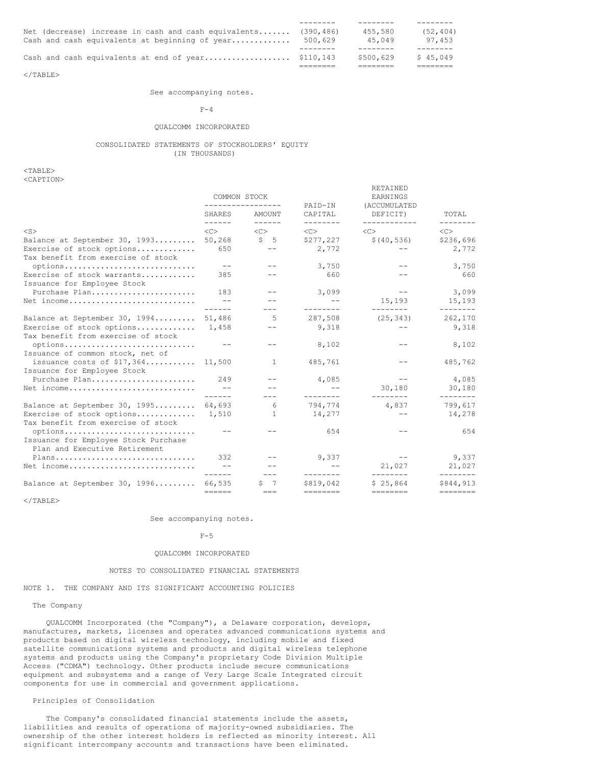| Net (decrease) increase in cash and cash equivalents | (390, 486) | 455.580   | (52, 404) |
|------------------------------------------------------|------------|-----------|-----------|
| Cash and cash equivalents at beginning of year       | 500.629    | 45.049    | 97.453    |
|                                                      |            |           |           |
|                                                      |            | \$500,629 | \$45.049  |
|                                                      |            |           |           |

 $\langle$ /TABLE>

# See accompanying notes.

# $F-4$

# QUALCOMM INCORPORATED

# CONSOLIDATED STATEMENTS OF STOCKHOLDERS' EQUITY (IN THOUSANDS)

<TABLE> <CAPTION>

|                                                                                  | COMMON STOCK<br>------------ |                         | EARNINGS<br>PAID-IN            |                                        |                                                                                                       |
|----------------------------------------------------------------------------------|------------------------------|-------------------------|--------------------------------|----------------------------------------|-------------------------------------------------------------------------------------------------------|
|                                                                                  | SHARES                       | AMOUNT<br>$- - - - - -$ | CAPITAL                        | (ACCUMULATED<br>DEFICIT)               | TOTAL                                                                                                 |
| $<$ S $>$                                                                        | $- - - - - -$<br><<          | <<>                     | ---------<br>$<<$ $<$ $>$      | ------------<br>$\langle$ C> $\rangle$ | ---------<br><<                                                                                       |
| Balance at September 30, 1993                                                    | 50,268                       | 5 <sub>5</sub>          | \$277,227                      | \$ (40, 536)                           | \$236,696                                                                                             |
| Exercise of stock options<br>Tax benefit from exercise of stock                  | 650                          | $\qquad \qquad -$       | 2,772                          |                                        | 2,772                                                                                                 |
| options                                                                          | $- -$                        |                         | 3,750                          |                                        | 3,750                                                                                                 |
| Exercise of stock warrants<br>Issuance for Employee Stock                        | 385                          |                         | 660                            |                                        | 660                                                                                                   |
| Purchase Plan                                                                    | 183                          |                         | 3,099                          |                                        | 3,099                                                                                                 |
| Net income                                                                       | $- -$                        |                         | $\frac{1}{2}$                  | 15,193                                 | 15,193                                                                                                |
|                                                                                  | ------                       |                         | --------                       | --------                               | --------                                                                                              |
| Balance at September 30, 1994                                                    | 51,486                       | 5                       | 287,508                        | (25, 343)                              | 262,170                                                                                               |
| Exercise of stock options<br>Tax benefit from exercise of stock                  | 1,458                        | $- -$                   | 9,318                          | $- -$                                  | 9,318                                                                                                 |
| options<br>Issuance of common stock, net of                                      |                              |                         | 8,102                          |                                        | 8,102                                                                                                 |
| issuance costs of $$17,364$<br>Issuance for Employee Stock                       | 11,500                       | 1                       | 485,761                        |                                        | 485,762                                                                                               |
| Purchase Plan                                                                    | 249                          |                         | 4,085                          | $- -$                                  | 4,085                                                                                                 |
| Net income                                                                       | $ -$<br>------               |                         | $\qquad \qquad -$<br>--------- | 30,180<br>---------                    | 30,180<br>--------                                                                                    |
| Balance at September 30, 1995                                                    | 64,693                       | 6                       | 794,774                        | 4,837                                  | 799,617                                                                                               |
| Exercise of stock options<br>Tax benefit from exercise of stock                  | 1,510                        | $\mathbf{1}$            | 14,277                         | $- -$                                  | 14,278                                                                                                |
| options<br>Issuance for Employee Stock Purchase<br>Plan and Executive Retirement | $- -$                        |                         | 654                            |                                        | 654                                                                                                   |
| Plans                                                                            | 332                          |                         | 9,337                          |                                        | 9,337                                                                                                 |
| Net income                                                                       | $- -$<br>$- - - - - -$       |                         | ---------                      | 21,027<br>--------                     | 21,027<br>--------                                                                                    |
| Balance at September 30, 1996                                                    | 66,535<br>$= = = = = = =$    | Ŝ.<br>- 7<br>$== =$     | \$819,042<br>========          | \$25.864<br>========                   | \$844,913<br>$\qquad \qquad \blacksquare = \blacksquare = \blacksquare = \blacksquare = \blacksquare$ |

RETAINED

 $\langle$ /TABLE>

# See accompanying notes.

 $F-5$ 

# QUALCOMM INCORPORATED

# NOTES TO CONSOLIDATED FINANCIAL STATEMENTS

# NOTE 1. THE COMPANY AND ITS SIGNIFICANT ACCOUNTING POLICIES

The Company

QUALCOMM Incorporated (the "Company"), a Delaware corporation, develops, manufactures, markets, licenses and operates advanced communications systems and products based on digital wireless technology, including mobile and fixed satellite communications systems and products and digital wireless telephone systems and products using the Company's proprietary Code Division Multiple Access ("CDMA") technology. Other products include secure communications equipment and subsystems and a range of Very Large Scale Integrated circuit components for use in commercial and government applications.

# Principles of Consolidation

The Company's consolidated financial statements include the assets, liabilities and results of operations of majority-owned subsidiaries. The ownership of the other interest holders is reflected as minority interest. All significant intercompany accounts and transactions have been eliminated.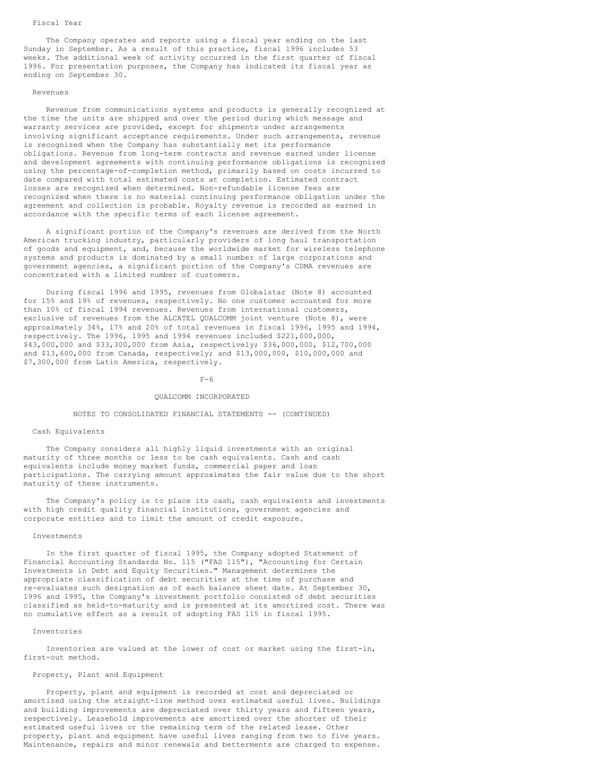#### Fiscal Year

The Company operates and reports using a fiscal year ending on the last Sunday in September. As a result of this practice, fiscal 1996 includes 53 weeks. The additional week of activity occurred in the first quarter of fiscal 1996. For presentation purposes, the Company has indicated its fiscal year as ending on September 30.

### Revenues

Revenue from communications systems and products is generally recognized at the time the units are shipped and over the period during which message and warranty services are provided, except for shipments under arrangements involving significant acceptance requirements. Under such arrangements, revenue is recognized when the Company has substantially met its performance obligations. Revenue from long-term contracts and revenue earned under license and development agreements with continuing performance obligations is recognized using the percentage-of-completion method, primarily based on costs incurred to date compared with total estimated costs at completion. Estimated contract losses are recognized when determined. Non-refundable license fees are recognized when there is no material continuing performance obligation under the agreement and collection is probable. Royalty revenue is recorded as earned in accordance with the specific terms of each license agreement.

A significant portion of the Company's revenues are derived from the North American trucking industry, particularly providers of long haul transportation of goods and equipment, and, because the worldwide market for wireless telephone systems and products is dominated by a small number of large corporations and government agencies, a significant portion of the Company's CDMA revenues are concentrated with a limited number of customers.

During fiscal 1996 and 1995, revenues from Globalstar (Note 8) accounted for 15% and 19% of revenues, respectively. No one customer accounted for more than 10% of fiscal 1994 revenues. Revenues from international customers, exclusive of revenues from the ALCATEL QUALCOMM joint venture (Note 8), were approximately 34%, 17% and 20% of total revenues in fiscal 1996, 1995 and 1994, respectively. The 1996, 1995 and 1994 revenues included \$221,000,000, \$43,000,000 and \$33,300,000 from Asia, respectively; \$36,000,000, \$12,700,000 and \$13,600,000 from Canada, respectively; and \$13,000,000, \$10,000,000 and \$7,300,000 from Latin America, respectively.

 $F-6$ 

# QUALCOMM INCORPORATED

#### NOTES TO CONSOLIDATED FINANCIAL STATEMENTS -- (CONTINUED)

# Cash Equivalents

The Company considers all highly liquid investments with an original maturity of three months or less to be cash equivalents. Cash and cash equivalents include money market funds, commercial paper and loan participations. The carrying amount approximates the fair value due to the short maturity of these instruments.

The Company's policy is to place its cash, cash equivalents and investments with high credit quality financial institutions, government agencies and corporate entities and to limit the amount of credit exposure.

# Investments

In the first quarter of fiscal 1995, the Company adopted Statement of Financial Accounting Standards No. 115 ("FAS 115"), "Accounting for Certain Investments in Debt and Equity Securities." Management determines the appropriate classification of debt securities at the time of purchase and re-evaluates such designation as of each balance sheet date. At September 30, 1996 and 1995, the Company's investment portfolio consisted of debt securities classified as held-to-maturity and is presented at its amortized cost. There was no cumulative effect as a result of adopting FAS 115 in fiscal 1995.

#### Inventories

Inventories are valued at the lower of cost or market using the first-in, first-out method.

# Property, Plant and Equipment

Property, plant and equipment is recorded at cost and depreciated or amortized using the straight-line method over estimated useful lives. Buildings and building improvements are depreciated over thirty years and fifteen years, respectively. Leasehold improvements are amortized over the shorter of their estimated useful lives or the remaining term of the related lease. Other property, plant and equipment have useful lives ranging from two to five years. Maintenance, repairs and minor renewals and betterments are charged to expense.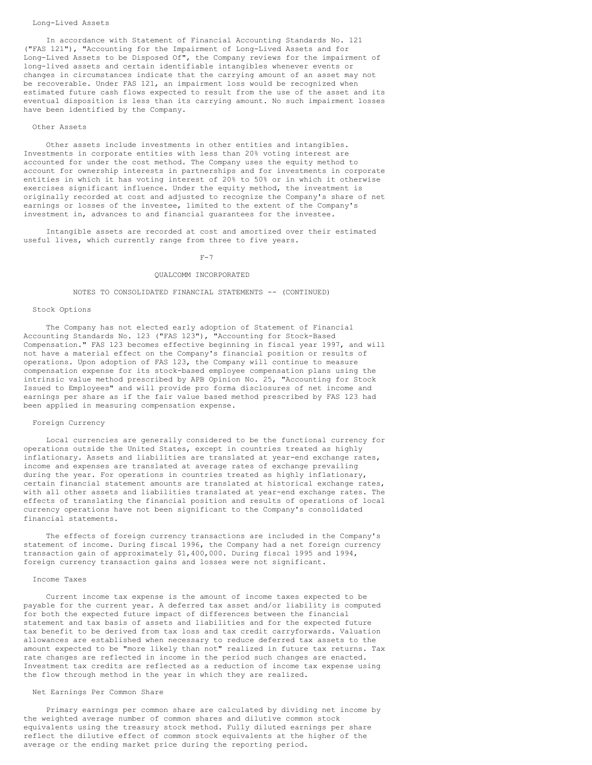#### Long-Lived Assets

In accordance with Statement of Financial Accounting Standards No. 121 ("FAS 121"), "Accounting for the Impairment of Long-Lived Assets and for Long-Lived Assets to be Disposed Of", the Company reviews for the impairment of long-lived assets and certain identifiable intangibles whenever events or changes in circumstances indicate that the carrying amount of an asset may not be recoverable. Under FAS 121, an impairment loss would be recognized when estimated future cash flows expected to result from the use of the asset and its eventual disposition is less than its carrying amount. No such impairment losses have been identified by the Company.

# Other Assets

Other assets include investments in other entities and intangibles. Investments in corporate entities with less than 20% voting interest are accounted for under the cost method. The Company uses the equity method to account for ownership interests in partnerships and for investments in corporate entities in which it has voting interest of 20% to 50% or in which it otherwise exercises significant influence. Under the equity method, the investment is originally recorded at cost and adjusted to recognize the Company's share of net earnings or losses of the investee, limited to the extent of the Company's investment in, advances to and financial guarantees for the investee.

Intangible assets are recorded at cost and amortized over their estimated useful lives, which currently range from three to five years.

 $F-7$ 

# QUALCOMM INCORPORATED

#### NOTES TO CONSOLIDATED FINANCIAL STATEMENTS -- (CONTINUED)

#### Stock Options

The Company has not elected early adoption of Statement of Financial Accounting Standards No. 123 ("FAS 123"), "Accounting for Stock-Based Compensation." FAS 123 becomes effective beginning in fiscal year 1997, and will not have a material effect on the Company's financial position or results of operations. Upon adoption of FAS 123, the Company will continue to measure compensation expense for its stock-based employee compensation plans using the intrinsic value method prescribed by APB Opinion No. 25, "Accounting for Stock Issued to Employees" and will provide pro forma disclosures of net income and earnings per share as if the fair value based method prescribed by FAS 123 had been applied in measuring compensation expense.

### Foreign Currency

Local currencies are generally considered to be the functional currency for operations outside the United States, except in countries treated as highly inflationary. Assets and liabilities are translated at year-end exchange rates, income and expenses are translated at average rates of exchange prevailing during the year. For operations in countries treated as highly inflationary, certain financial statement amounts are translated at historical exchange rates, with all other assets and liabilities translated at year-end exchange rates. The effects of translating the financial position and results of operations of local currency operations have not been significant to the Company's consolidated financial statements.

The effects of foreign currency transactions are included in the Company's statement of income. During fiscal 1996, the Company had a net foreign currency transaction gain of approximately \$1,400,000. During fiscal 1995 and 1994, foreign currency transaction gains and losses were not significant.

# Income Taxes

Current income tax expense is the amount of income taxes expected to be payable for the current year. A deferred tax asset and/or liability is computed for both the expected future impact of differences between the financial statement and tax basis of assets and liabilities and for the expected future tax benefit to be derived from tax loss and tax credit carryforwards. Valuation allowances are established when necessary to reduce deferred tax assets to the amount expected to be "more likely than not" realized in future tax returns. Tax rate changes are reflected in income in the period such changes are enacted. Investment tax credits are reflected as a reduction of income tax expense using the flow through method in the year in which they are realized.

#### Net Earnings Per Common Share

Primary earnings per common share are calculated by dividing net income by the weighted average number of common shares and dilutive common stock equivalents using the treasury stock method. Fully diluted earnings per share reflect the dilutive effect of common stock equivalents at the higher of the average or the ending market price during the reporting period.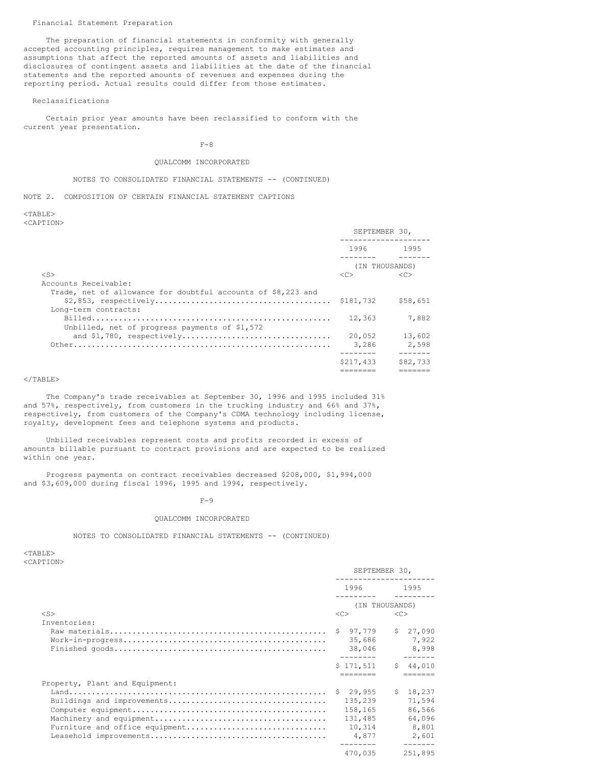# Financial Statement Preparation

The preparation of financial statements in conformity with generally accepted accounting principles, requires management to make estimates and assumptions that affect the reported amounts of assets and liabilities and disclosures of contingent assets and liabilities at the date of the financial statements and the reported amounts of revenues and expenses during the reporting period. Actual results could differ from those estimates.

#### Reclassifications

Certain prior year amounts have been reclassified to conform with the current year presentation.

 $F-8$ 

#### QUALCOMM INCORPORATED

# NOTES TO CONSOLIDATED FINANCIAL STATEMENTS -- (CONTINUED)

NOTE 2. COMPOSITION OF CERTAIN FINANCIAL STATEMENT CAPTIONS

<TABLE> <CAPTION>

|                                                                                      | SEPTEMBER 30,  |               |
|--------------------------------------------------------------------------------------|----------------|---------------|
|                                                                                      | 1996           | 1995          |
|                                                                                      | (IN THOUSANDS) |               |
| $<$ S $>$                                                                            | < <sub></sub>  | < <sub></sub> |
| Accounts Receivable:                                                                 |                |               |
| Trade, net of allowance for doubtful accounts of \$8,223 and<br>Long-term contracts: | \$181,732      | \$58,651      |
| Unbilled, net of progress payments of \$1,572                                        | 12,363         | 7.882         |
| and $$1,780$ , respectively                                                          | 20,052         | 13,602        |
|                                                                                      | 3,286          | 2,598<br>.    |
|                                                                                      | \$217,433      | \$82,733      |
|                                                                                      |                |               |

#### $<$ /TABLE>

The Company's trade receivables at September 30, 1996 and 1995 included 31% and 57%, respectively, from customers in the trucking industry and 66% and 37%, respectively, from customers of the Company's CDMA technology including license, royalty, development fees and telephone systems and products.

Unbilled receivables represent costs and profits recorded in excess of amounts billable pursuant to contract provisions and are expected to be realized within one year.

Progress payments on contract receivables decreased \$208,000, \$1,994,000 and \$3,609,000 during fiscal 1996, 1995 and 1994, respectively.

#### $F-9$

### QUALCOMM INCORPORATED

NOTES TO CONSOLIDATED FINANCIAL STATEMENTS -- (CONTINUED)

<TABLE> <CAPTION>

|                                | SEPTEMBER 30,                                                |                                                                                 |
|--------------------------------|--------------------------------------------------------------|---------------------------------------------------------------------------------|
|                                | 1996 —                                                       | 1995                                                                            |
|                                |                                                              | (IN THOUSANDS)                                                                  |
| $<$ S $>$                      | $<$ C $>$                                                    | <<                                                                              |
| Inventories:                   | 97,779<br>\$<br>35,686<br>38,046<br>--------                 | \$27,090<br>7,922<br>8,998<br>$- - - - - - -$                                   |
|                                | \$171.511                                                    | 44,010<br>Ŝ.                                                                    |
| Property, Plant and Equipment: |                                                              |                                                                                 |
| Furniture and office equipment | \$29,955<br>135,239<br>158,165<br>131,485<br>10,314<br>4,877 | S.<br>18,237<br>71,594<br>86,566<br>64,096<br>8,801<br>2,601<br>$- - - - - - -$ |
|                                | 470,035                                                      | 251,895                                                                         |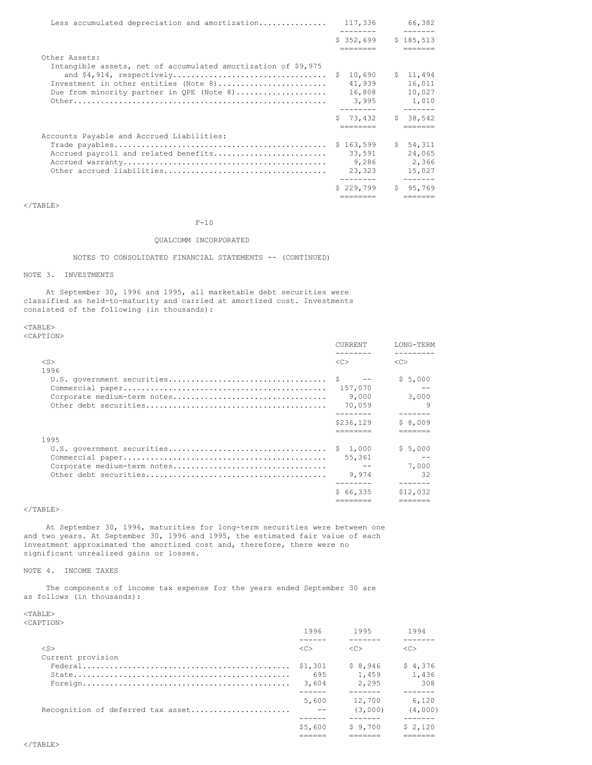| Less accumulated depreciation and amortization                                                                                                                       | 117,336<br>--------                             | 66,382<br>$- - - - - - -$                                |
|----------------------------------------------------------------------------------------------------------------------------------------------------------------------|-------------------------------------------------|----------------------------------------------------------|
|                                                                                                                                                                      | \$352,699                                       | \$185,513                                                |
| Other Assets:<br>Intangible assets, net of accumulated amortization of \$9,975<br>Investment in other entities (Note 8)<br>Due from minority partner in QPE (Note 8) | 10,690<br>41,939<br>16,808<br>3,995<br>-------- | \$11,494<br>16,011<br>10,027<br>1,010<br>$- - - - - - -$ |
|                                                                                                                                                                      | \$73.432                                        | \$38,542                                                 |
| Accounts Payable and Accrued Liabilities:<br>Accrued payroll and related benefits                                                                                    | \$163,599<br>33,591<br>9,286<br>23,323          | \$54,311<br>24,065<br>2,366<br>15,027                    |
|                                                                                                                                                                      | \$229,799<br>========                           | \$95,769<br>=======                                      |

</TABLE>

# $F-10$

# QUALCOMM INCORPORATED

NOTES TO CONSOLIDATED FINANCIAL STATEMENTS -- (CONTINUED)

# NOTE 3. INVESTMENTS

At September 30, 1996 and 1995, all marketable debt securities were classified as held-to-maturity and carried at amortized cost. Investments consisted of the following (in thousands):

# <TABLE>

<CAPTION>

|                             | CURRENT                                       | LONG-TERM                        |
|-----------------------------|-----------------------------------------------|----------------------------------|
| $<$ S $>$<br>1996           | < <sub></sub>                                 | < <sub></sub>                    |
| Corporate medium-term notes | \$<br>157,070<br>9,000<br>70,059<br>\$236,129 | \$5,000<br>3,000<br>9<br>\$8,009 |
| 1995                        | \$1,000                                       | \$5,000                          |
|                             | 55,361<br>9,974                               | 7,000<br>32                      |
|                             | \$66.335                                      | \$12,032                         |

 $<$ /TABLE>

At September 30, 1996, maturities for long-term securities were between one and two years. At September 30, 1996 and 1995, the estimated fair value of each investment approximated the amortized cost and, therefore, there were no significant unrealized gains or losses.

# NOTE 4. INCOME TAXES

The components of income tax expense for the years ended September 30 are as follows (in thousands):

<TABLE> <CAPTION>

|                                                                                                            | 1996          | 1995              | 1994             |
|------------------------------------------------------------------------------------------------------------|---------------|-------------------|------------------|
| $<$ S>                                                                                                     | < <sub></sub> | < <sub></sub>     | <<               |
| Current provision                                                                                          |               |                   |                  |
|                                                                                                            | \$1,301       | \$8.946           | \$4,376          |
| $State$                                                                                                    | 695           | 1,459             | 1,436            |
| $\text{Foreign} \dots \dots \dots \dots \dots \dots \dots \dots \dots \dots \dots \dots \dots \dots \dots$ | 3,604         | 2,295             | 308              |
|                                                                                                            |               |                   |                  |
| Recognition of deferred tax asset                                                                          | 5,600<br>---  | 12,700<br>(3,000) | 6,120<br>(4,000) |
|                                                                                                            |               |                   |                  |
|                                                                                                            | \$5,600       | \$9.700           | \$2.120          |
|                                                                                                            |               |                   |                  |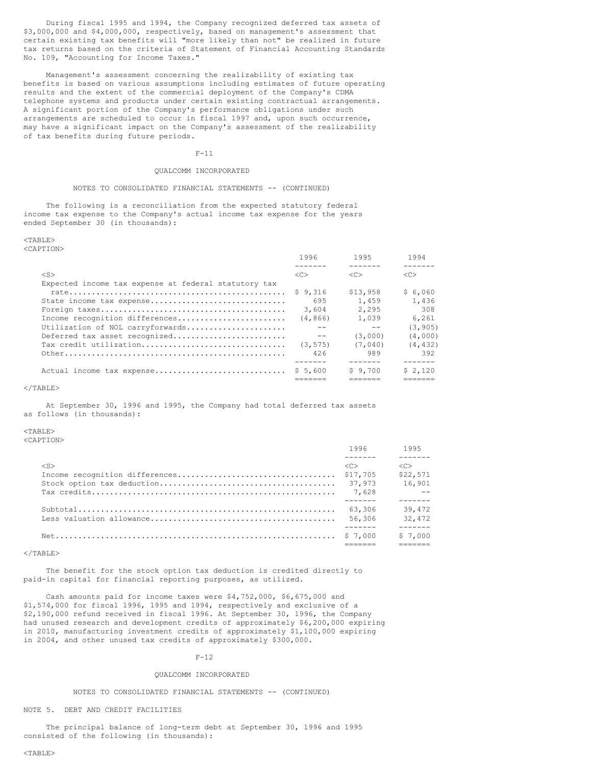During fiscal 1995 and 1994, the Company recognized deferred tax assets of \$3,000,000 and \$4,000,000, respectively, based on management's assessment that certain existing tax benefits will "more likely than not" be realized in future tax returns based on the criteria of Statement of Financial Accounting Standards No. 109, "Accounting for Income Taxes."

Management's assessment concerning the realizability of existing tax benefits is based on various assumptions including estimates of future operating results and the extent of the commercial deployment of the Company's CDMA telephone systems and products under certain existing contractual arrangements. A significant portion of the Company's performance obligations under such arrangements are scheduled to occur in fiscal 1997 and, upon such occurrence, may have a significant impact on the Company's assessment of the realizability of tax benefits during future periods.

# F-11

# QUALCOMM INCORPORATED

#### NOTES TO CONSOLIDATED FINANCIAL STATEMENTS -- (CONTINUED)

The following is a reconciliation from the expected statutory federal income tax expense to the Company's actual income tax expense for the years ended September 30 (in thousands):

<TABLE> <CAPTION>

|                                                      | 1996     | 1995     | 1994     |
|------------------------------------------------------|----------|----------|----------|
|                                                      |          |          |          |
| $<$ S>                                               | <<       | <<       | <<       |
| Expected income tax expense at federal statutory tax |          |          |          |
|                                                      | \$9.316  | \$13,958 | \$6.060  |
| State income tax expense                             | 695      | 1,459    | 1,436    |
|                                                      | 3,604    | 2,295    | 308      |
| Income recognition differences                       | (4, 866) | 1,039    | 6.261    |
| Utilization of NOL carryforwards                     | --       | $- -$    | (3, 905) |
| Deferred tax asset recognized                        | $ -$     | (3,000)  | (4,000)  |
| Tax credit utilization                               | (3, 575) | (7,040)  | (4, 432) |
|                                                      | 426      | 989      | 392      |
|                                                      |          |          |          |
| Actual income tax expense                            | \$5.600  | \$9.700  | \$2.120  |
|                                                      |          |          |          |

### $<$ /TABLE>

At September 30, 1996 and 1995, the Company had total deferred tax assets as follows (in thousands):

 $<$ TABLE>

<CAPTION>

|        | 1996                                               | 1995                                      |
|--------|----------------------------------------------------|-------------------------------------------|
| $<$ S> | $\langle C \rangle$<br>\$17,705<br>37,973<br>7.628 | $\langle C \rangle$<br>\$22,571<br>16,901 |
|        | 63.306<br>56,306                                   | 39.472<br>32,472                          |
|        |                                                    | \$7.000                                   |

 $<$ /TABLE>

The benefit for the stock option tax deduction is credited directly to paid-in capital for financial reporting purposes, as utilized.

Cash amounts paid for income taxes were \$4,752,000, \$6,675,000 and \$1,574,000 for fiscal 1996, 1995 and 1994, respectively and exclusive of a \$2,190,000 refund received in fiscal 1996. At September 30, 1996, the Company had unused research and development credits of approximately \$6,200,000 expiring in 2010, manufacturing investment credits of approximately \$1,100,000 expiring in 2004, and other unused tax credits of approximately \$300,000.

# $F-12$

#### QUALCOMM INCORPORATED

#### NOTES TO CONSOLIDATED FINANCIAL STATEMENTS -- (CONTINUED)

### NOTE 5. DEBT AND CREDIT FACILITIES

The principal balance of long-term debt at September 30, 1996 and 1995 consisted of the following (in thousands):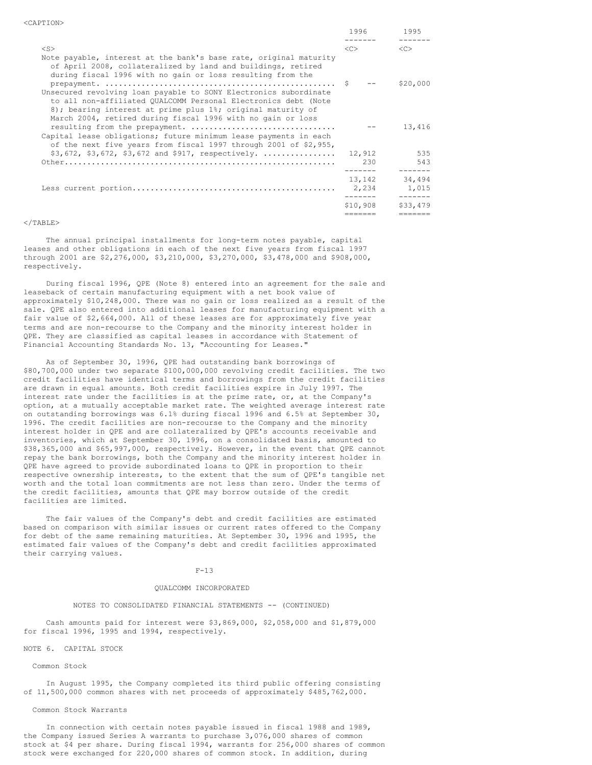|                                                                                                                                                                                                                                                                  | 1996          | 1995              |
|------------------------------------------------------------------------------------------------------------------------------------------------------------------------------------------------------------------------------------------------------------------|---------------|-------------------|
| $<$ S $>$                                                                                                                                                                                                                                                        | < <sub></sub> | < <sub></sub>     |
| Note payable, interest at the bank's base rate, original maturity<br>of April 2008, collateralized by land and buildings, retired<br>during fiscal 1996 with no gain or loss resulting from the                                                                  |               |                   |
| Unsecured revolving loan payable to SONY Electronics subordinate<br>to all non-affiliated OUALCOMM Personal Electronics debt (Note<br>8); bearing interest at prime plus 1%; original maturity of<br>March 2004, retired during fiscal 1996 with no gain or loss |               | \$20,000          |
| Capital lease obligations; future minimum lease payments in each<br>of the next five years from fiscal 1997 through 2001 of \$2,955,                                                                                                                             |               | 13,416            |
| $$3,672, $3,672, $3,672 \text{ and } $917, \text{ respectively.} \dots \dots \dots \dots$                                                                                                                                                                        | 12,912        | 535               |
|                                                                                                                                                                                                                                                                  | 230           | 543               |
|                                                                                                                                                                                                                                                                  | 13,142        | -------<br>34,494 |
|                                                                                                                                                                                                                                                                  | 2,234         | 1,015<br>-------  |
|                                                                                                                                                                                                                                                                  | \$10,908      | \$33,479          |
|                                                                                                                                                                                                                                                                  | -------       | -------           |

### $\langle$ /TABLE>

The annual principal installments for long-term notes payable, capital leases and other obligations in each of the next five years from fiscal 1997 through 2001 are \$2,276,000, \$3,210,000, \$3,270,000, \$3,478,000 and \$908,000, respectively.

During fiscal 1996, QPE (Note 8) entered into an agreement for the sale and leaseback of certain manufacturing equipment with a net book value of approximately \$10,248,000. There was no gain or loss realized as a result of the sale. QPE also entered into additional leases for manufacturing equipment with a fair value of \$2,664,000. All of these leases are for approximately five year terms and are non-recourse to the Company and the minority interest holder in QPE. They are classified as capital leases in accordance with Statement of Financial Accounting Standards No. 13, "Accounting for Leases."

As of September 30, 1996, QPE had outstanding bank borrowings of \$80,700,000 under two separate \$100,000,000 revolving credit facilities. The two credit facilities have identical terms and borrowings from the credit facilities are drawn in equal amounts. Both credit facilities expire in July 1997. The interest rate under the facilities is at the prime rate, or, at the Company's option, at a mutually acceptable market rate. The weighted average interest rate on outstanding borrowings was 6.1% during fiscal 1996 and 6.5% at September 30, 1996. The credit facilities are non-recourse to the Company and the minority interest holder in QPE and are collateralized by QPE's accounts receivable and inventories, which at September 30, 1996, on a consolidated basis, amounted to \$38,365,000 and \$65,997,000, respectively. However, in the event that QPE cannot repay the bank borrowings, both the Company and the minority interest holder in QPE have agreed to provide subordinated loans to QPE in proportion to their respective ownership interests, to the extent that the sum of QPE's tangible net worth and the total loan commitments are not less than zero. Under the terms of the credit facilities, amounts that QPE may borrow outside of the credit facilities are limited.

The fair values of the Company's debt and credit facilities are estimated based on comparison with similar issues or current rates offered to the Company for debt of the same remaining maturities. At September 30, 1996 and 1995, the estimated fair values of the Company's debt and credit facilities approximated their carrying values.

#### $F-13$

#### QUALCOMM INCORPORATED

# NOTES TO CONSOLIDATED FINANCIAL STATEMENTS -- (CONTINUED)

Cash amounts paid for interest were \$3,869,000, \$2,058,000 and \$1,879,000 for fiscal 1996, 1995 and 1994, respectively.

#### NOTE 6. CAPITAL STOCK

Common Stock

In August 1995, the Company completed its third public offering consisting of 11,500,000 common shares with net proceeds of approximately \$485,762,000.

#### Common Stock Warrants

In connection with certain notes payable issued in fiscal 1988 and 1989, the Company issued Series A warrants to purchase 3,076,000 shares of common stock at \$4 per share. During fiscal 1994, warrants for 256,000 shares of common stock were exchanged for 220,000 shares of common stock. In addition, during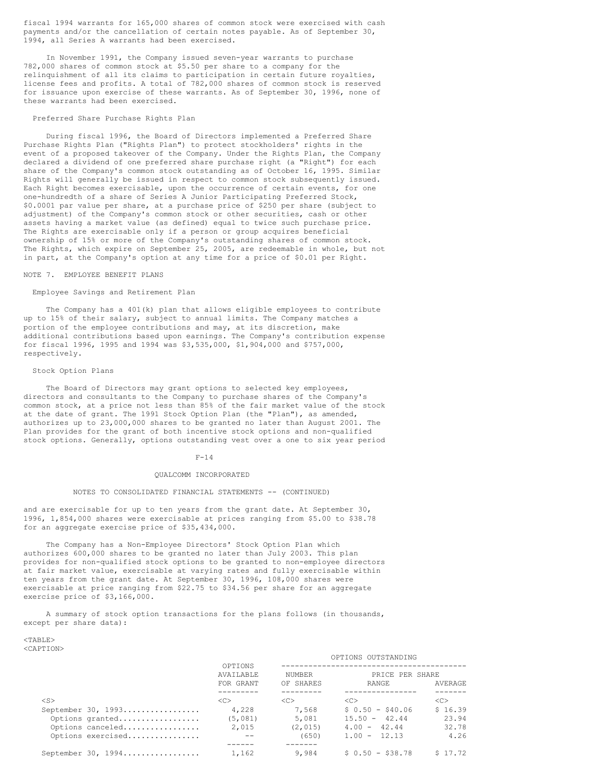fiscal 1994 warrants for 165,000 shares of common stock were exercised with cash payments and/or the cancellation of certain notes payable. As of September 30, 1994, all Series A warrants had been exercised.

In November 1991, the Company issued seven-year warrants to purchase 782,000 shares of common stock at \$5.50 per share to a company for the relinquishment of all its claims to participation in certain future royalties, license fees and profits. A total of 782,000 shares of common stock is reserved for issuance upon exercise of these warrants. As of September 30, 1996, none of these warrants had been exercised.

#### Preferred Share Purchase Rights Plan

During fiscal 1996, the Board of Directors implemented a Preferred Share Purchase Rights Plan ("Rights Plan") to protect stockholders' rights in the event of a proposed takeover of the Company. Under the Rights Plan, the Company declared a dividend of one preferred share purchase right (a "Right") for each share of the Company's common stock outstanding as of October 16, 1995. Similar Rights will generally be issued in respect to common stock subsequently issued. Each Right becomes exercisable, upon the occurrence of certain events, for one one-hundredth of a share of Series A Junior Participating Preferred Stock, \$0.0001 par value per share, at a purchase price of \$250 per share (subject to adjustment) of the Company's common stock or other securities, cash or other assets having a market value (as defined) equal to twice such purchase price. The Rights are exercisable only if a person or group acquires beneficial ownership of 15% or more of the Company's outstanding shares of common stock. The Rights, which expire on September 25, 2005, are redeemable in whole, but not in part, at the Company's option at any time for a price of \$0.01 per Right.

#### NOTE 7. EMPLOYEE BENEFIT PLANS

#### Employee Savings and Retirement Plan

The Company has a 401(k) plan that allows eligible employees to contribute up to 15% of their salary, subject to annual limits. The Company matches a portion of the employee contributions and may, at its discretion, make additional contributions based upon earnings. The Company's contribution expense for fiscal 1996, 1995 and 1994 was \$3,535,000, \$1,904,000 and \$757,000, respectively.

### Stock Option Plans

The Board of Directors may grant options to selected key employees, directors and consultants to the Company to purchase shares of the Company's common stock, at a price not less than 85% of the fair market value of the stock at the date of grant. The 1991 Stock Option Plan (the "Plan"), as amended, authorizes up to 23,000,000 shares to be granted no later than August 2001. The Plan provides for the grant of both incentive stock options and non-qualified stock options. Generally, options outstanding vest over a one to six year period

#### $F - 14$

#### QUALCOMM INCORPORATED

### NOTES TO CONSOLIDATED FINANCIAL STATEMENTS -- (CONTINUED)

and are exercisable for up to ten years from the grant date. At September 30, 1996, 1,854,000 shares were exercisable at prices ranging from \$5.00 to \$38.78 for an aggregate exercise price of \$35,434,000.

The Company has a Non-Employee Directors' Stock Option Plan which authorizes 600,000 shares to be granted no later than July 2003. This plan provides for non-qualified stock options to be granted to non-employee directors at fair market value, exercisable at varying rates and fully exercisable within ten years from the grant date. At September 30, 1996, 108,000 shares were exercisable at price ranging from \$22.75 to \$34.56 per share for an aggregate exercise price of \$3,166,000.

A summary of stock option transactions for the plans follows (in thousands, except per share data):

<TABLE> <CAPTION>

|                      |                                          |                     | OPTIONS OUTSTANDING      |         |
|----------------------|------------------------------------------|---------------------|--------------------------|---------|
|                      | OPTIONS<br><b>AVATLABLE</b><br>FOR GRANT | NUMBER<br>OF SHARES | PRICE PER SHARE<br>RANGE | AVERAGE |
| $<$ S>               | < <sub></sub>                            | < <sub></sub>       | <<                       | <<      |
| September 30, $1993$ | 4,228                                    | 7.568               | $$0.50 - $40.06$         | \$16.39 |
| Options granted      | (5,081)                                  | 5,081               | $15.50 - 42.44$          | 23.94   |
| Options canceled     | 2,015                                    | (2, 015)            | $4.00 - 42.44$           | 32.78   |
| Options exercised    |                                          | (650)               | $1.00 - 12.13$           | 4.26    |
|                      |                                          |                     |                          |         |
| September 30, $1994$ | 1,162                                    | 9,984               | $$0.50 - $38.78$         | \$17.72 |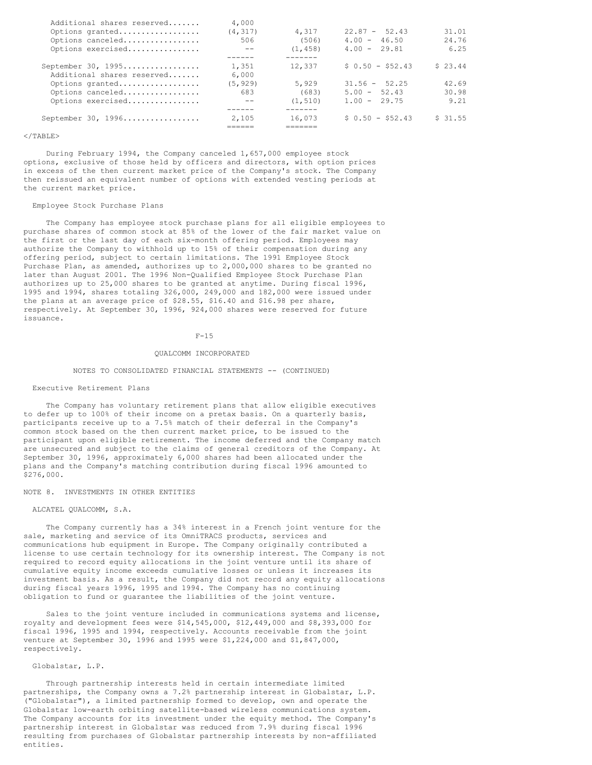| Additional shares reserved | 4,000    |          |                  |         |
|----------------------------|----------|----------|------------------|---------|
| Options granted            | (4, 317) | 4.317    | $22.87 - 52.43$  | 31.01   |
| Options canceled           | 506      | (506)    | $4.00 - 46.50$   | 24.76   |
| Options exercised          | $- -$    | (1, 458) | $4.00 - 29.81$   | 6.25    |
|                            |          |          |                  |         |
| September 30, $1995$       | 1,351    | 12,337   | $$0.50 - $52.43$ | \$23.44 |
| Additional shares reserved | 6,000    |          |                  |         |
| Options granted            | (5, 929) | 5,929    | $31.56 - 52.25$  | 42.69   |
| Options canceled           | 683      | (683)    | $5.00 - 52.43$   | 30.98   |
| Options exercised          | $- -$    | (1, 510) | $1.00 - 29.75$   | 9.21    |
|                            |          |          |                  |         |
| September 30, $1996$       | 2,105    | 16,073   | $$0.50 - $52.43$ | \$31.55 |
|                            |          |          |                  |         |

# </TABLE>

During February 1994, the Company canceled 1,657,000 employee stock options, exclusive of those held by officers and directors, with option prices in excess of the then current market price of the Company's stock. The Company then reissued an equivalent number of options with extended vesting periods at the current market price.

#### Employee Stock Purchase Plans

The Company has employee stock purchase plans for all eligible employees to purchase shares of common stock at 85% of the lower of the fair market value on the first or the last day of each six-month offering period. Employees may authorize the Company to withhold up to 15% of their compensation during any offering period, subject to certain limitations. The 1991 Employee Stock Purchase Plan, as amended, authorizes up to 2,000,000 shares to be granted no later than August 2001. The 1996 Non-Qualified Employee Stock Purchase Plan authorizes up to 25,000 shares to be granted at anytime. During fiscal 1996, 1995 and 1994, shares totaling 326,000, 249,000 and 182,000 were issued under the plans at an average price of \$28.55, \$16.40 and \$16.98 per share, respectively. At September 30, 1996, 924,000 shares were reserved for future issuance.

 $F-15$ 

# QUALCOMM INCORPORATED

# NOTES TO CONSOLIDATED FINANCIAL STATEMENTS -- (CONTINUED)

# Executive Retirement Plans

The Company has voluntary retirement plans that allow eligible executives to defer up to 100% of their income on a pretax basis. On a quarterly basis, participants receive up to a 7.5% match of their deferral in the Company's common stock based on the then current market price, to be issued to the participant upon eligible retirement. The income deferred and the Company match are unsecured and subject to the claims of general creditors of the Company. At September 30, 1996, approximately 6,000 shares had been allocated under the plans and the Company's matching contribution during fiscal 1996 amounted to \$276,000.

# NOTE 8. INVESTMENTS IN OTHER ENTITIES

# ALCATEL QUALCOMM, S.A.

The Company currently has a 34% interest in a French joint venture for the sale, marketing and service of its OmniTRACS products, services and communications hub equipment in Europe. The Company originally contributed a license to use certain technology for its ownership interest. The Company is not required to record equity allocations in the joint venture until its share of cumulative equity income exceeds cumulative losses or unless it increases its investment basis. As a result, the Company did not record any equity allocations during fiscal years 1996, 1995 and 1994. The Company has no continuing obligation to fund or guarantee the liabilities of the joint venture.

Sales to the joint venture included in communications systems and license, royalty and development fees were \$14,545,000, \$12,449,000 and \$8,393,000 for fiscal 1996, 1995 and 1994, respectively. Accounts receivable from the joint venture at September 30, 1996 and 1995 were \$1,224,000 and \$1,847,000, respectively.

# Globalstar, L.P.

Through partnership interests held in certain intermediate limited partnerships, the Company owns a 7.2% partnership interest in Globalstar, L.P. ("Globalstar"), a limited partnership formed to develop, own and operate the Globalstar low-earth orbiting satellite-based wireless communications system. The Company accounts for its investment under the equity method. The Company's partnership interest in Globalstar was reduced from 7.9% during fiscal 1996 resulting from purchases of Globalstar partnership interests by non-affiliated entities.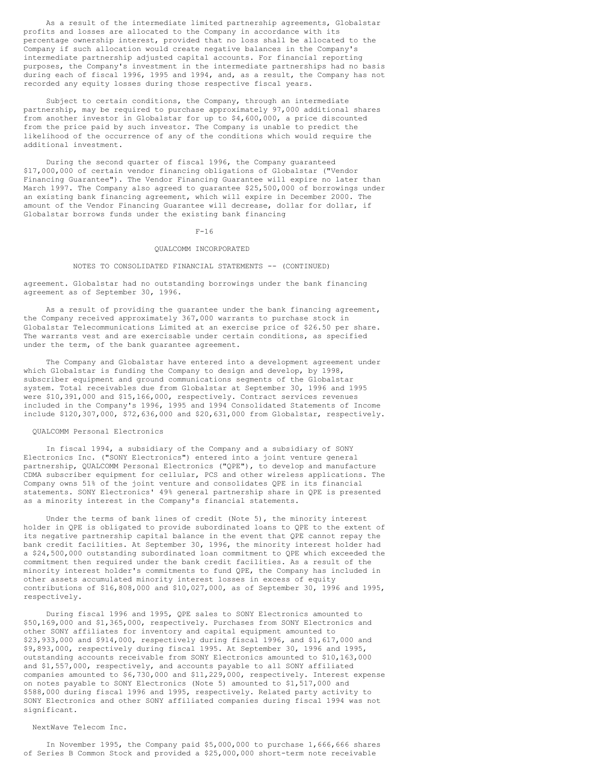As a result of the intermediate limited partnership agreements, Globalstar profits and losses are allocated to the Company in accordance with its percentage ownership interest, provided that no loss shall be allocated to the Company if such allocation would create negative balances in the Company's intermediate partnership adjusted capital accounts. For financial reporting purposes, the Company's investment in the intermediate partnerships had no basis during each of fiscal 1996, 1995 and 1994, and, as a result, the Company has not recorded any equity losses during those respective fiscal years.

Subject to certain conditions, the Company, through an intermediate partnership, may be required to purchase approximately 97,000 additional shares from another investor in Globalstar for up to \$4,600,000, a price discounted from the price paid by such investor. The Company is unable to predict the likelihood of the occurrence of any of the conditions which would require the additional investment.

During the second quarter of fiscal 1996, the Company guaranteed \$17,000,000 of certain vendor financing obligations of Globalstar ("Vendor Financing Guarantee"). The Vendor Financing Guarantee will expire no later than March 1997. The Company also agreed to guarantee \$25,500,000 of borrowings under an existing bank financing agreement, which will expire in December 2000. The amount of the Vendor Financing Guarantee will decrease, dollar for dollar, if Globalstar borrows funds under the existing bank financing

#### $F-16$

#### QUALCOMM INCORPORATED

#### NOTES TO CONSOLIDATED FINANCIAL STATEMENTS -- (CONTINUED)

agreement. Globalstar had no outstanding borrowings under the bank financing agreement as of September 30, 1996.

As a result of providing the guarantee under the bank financing agreement, the Company received approximately 367,000 warrants to purchase stock in Globalstar Telecommunications Limited at an exercise price of \$26.50 per share. The warrants vest and are exercisable under certain conditions, as specified under the term, of the bank guarantee agreement.

The Company and Globalstar have entered into a development agreement under which Globalstar is funding the Company to design and develop, by 1998, subscriber equipment and ground communications segments of the Globalstar system. Total receivables due from Globalstar at September 30, 1996 and 1995 were \$10,391,000 and \$15,166,000, respectively. Contract services revenues included in the Company's 1996, 1995 and 1994 Consolidated Statements of Income include \$120,307,000, \$72,636,000 and \$20,631,000 from Globalstar, respectively.

# QUALCOMM Personal Electronics

In fiscal 1994, a subsidiary of the Company and a subsidiary of SONY Electronics Inc. ("SONY Electronics") entered into a joint venture general partnership, QUALCOMM Personal Electronics ("QPE"), to develop and manufacture CDMA subscriber equipment for cellular, PCS and other wireless applications. The Company owns 51% of the joint venture and consolidates QPE in its financial statements. SONY Electronics' 49% general partnership share in QPE is presented as a minority interest in the Company's financial statements.

Under the terms of bank lines of credit (Note 5), the minority interest holder in QPE is obligated to provide subordinated loans to QPE to the extent of its negative partnership capital balance in the event that QPE cannot repay the bank credit facilities. At September 30, 1996, the minority interest holder had a \$24,500,000 outstanding subordinated loan commitment to QPE which exceeded the commitment then required under the bank credit facilities. As a result of the minority interest holder's commitments to fund QPE, the Company has included in other assets accumulated minority interest losses in excess of equity contributions of \$16,808,000 and \$10,027,000, as of September 30, 1996 and 1995, respectively.

During fiscal 1996 and 1995, QPE sales to SONY Electronics amounted to \$50,169,000 and \$1,365,000, respectively. Purchases from SONY Electronics and other SONY affiliates for inventory and capital equipment amounted to \$23,933,000 and \$914,000, respectively during fiscal 1996, and \$1,617,000 and \$9,893,000, respectively during fiscal 1995. At September 30, 1996 and 1995, outstanding accounts receivable from SONY Electronics amounted to \$10,163,000 and \$1,557,000, respectively, and accounts payable to all SONY affiliated companies amounted to \$6,730,000 and \$11,229,000, respectively. Interest expense on notes payable to SONY Electronics (Note 5) amounted to \$1,517,000 and \$588,000 during fiscal 1996 and 1995, respectively. Related party activity to SONY Electronics and other SONY affiliated companies during fiscal 1994 was not significant.

# NextWave Telecom Inc.

In November 1995, the Company paid \$5,000,000 to purchase 1,666,666 shares of Series B Common Stock and provided a \$25,000,000 short-term note receivable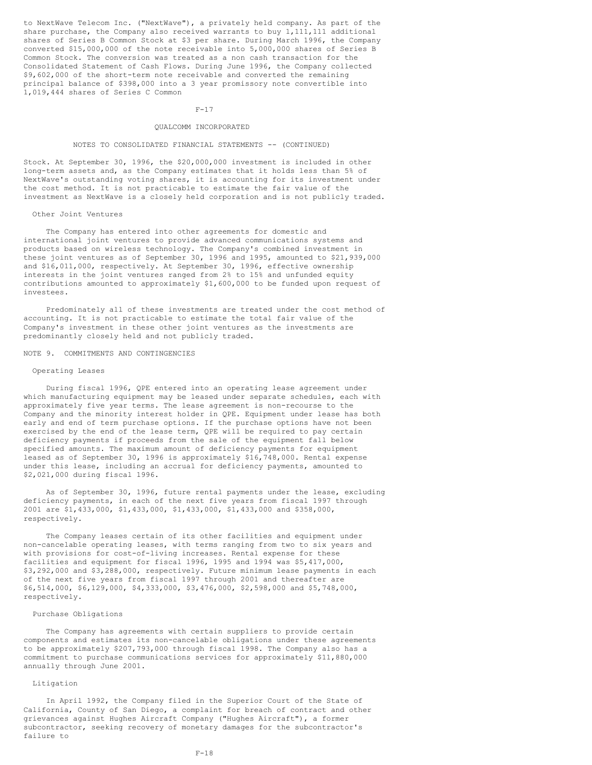to NextWave Telecom Inc. ("NextWave"), a privately held company. As part of the share purchase, the Company also received warrants to buy 1,111,111 additional shares of Series B Common Stock at \$3 per share. During March 1996, the Company converted \$15,000,000 of the note receivable into 5,000,000 shares of Series B Common Stock. The conversion was treated as a non cash transaction for the Consolidated Statement of Cash Flows. During June 1996, the Company collected \$9,602,000 of the short-term note receivable and converted the remaining principal balance of \$398,000 into a 3 year promissory note convertible into 1,019,444 shares of Series C Common

#### $F-17$

### QUALCOMM INCORPORATED

#### NOTES TO CONSOLIDATED FINANCIAL STATEMENTS -- (CONTINUED)

Stock. At September 30, 1996, the \$20,000,000 investment is included in other long-term assets and, as the Company estimates that it holds less than 5% of NextWave's outstanding voting shares, it is accounting for its investment under the cost method. It is not practicable to estimate the fair value of the investment as NextWave is a closely held corporation and is not publicly traded.

#### Other Joint Ventures

The Company has entered into other agreements for domestic and international joint ventures to provide advanced communications systems and products based on wireless technology. The Company's combined investment in these joint ventures as of September 30, 1996 and 1995, amounted to \$21,939,000 and \$16,011,000, respectively. At September 30, 1996, effective ownership interests in the joint ventures ranged from 2% to 15% and unfunded equity contributions amounted to approximately \$1,600,000 to be funded upon request of investees.

Predominately all of these investments are treated under the cost method of accounting. It is not practicable to estimate the total fair value of the Company's investment in these other joint ventures as the investments are predominantly closely held and not publicly traded.

# NOTE 9. COMMITMENTS AND CONTINGENCIES

# Operating Leases

During fiscal 1996, QPE entered into an operating lease agreement under which manufacturing equipment may be leased under separate schedules, each with approximately five year terms. The lease agreement is non-recourse to the Company and the minority interest holder in QPE. Equipment under lease has both early and end of term purchase options. If the purchase options have not been exercised by the end of the lease term, QPE will be required to pay certain deficiency payments if proceeds from the sale of the equipment fall below specified amounts. The maximum amount of deficiency payments for equipment leased as of September 30, 1996 is approximately \$16,748,000. Rental expense under this lease, including an accrual for deficiency payments, amounted to \$2,021,000 during fiscal 1996.

As of September 30, 1996, future rental payments under the lease, excluding deficiency payments, in each of the next five years from fiscal 1997 through 2001 are \$1,433,000, \$1,433,000, \$1,433,000, \$1,433,000 and \$358,000, respectively.

The Company leases certain of its other facilities and equipment under non-cancelable operating leases, with terms ranging from two to six years and with provisions for cost-of-living increases. Rental expense for these facilities and equipment for fiscal 1996, 1995 and 1994 was \$5,417,000, \$3,292,000 and \$3,288,000, respectively. Future minimum lease payments in each of the next five years from fiscal 1997 through 2001 and thereafter are \$6,514,000, \$6,129,000, \$4,333,000, \$3,476,000, \$2,598,000 and \$5,748,000, respectively.

#### Purchase Obligations

The Company has agreements with certain suppliers to provide certain components and estimates its non-cancelable obligations under these agreements to be approximately \$207,793,000 through fiscal 1998. The Company also has a commitment to purchase communications services for approximately \$11,880,000 annually through June 2001.

# Litigation

In April 1992, the Company filed in the Superior Court of the State of California, County of San Diego, a complaint for breach of contract and other grievances against Hughes Aircraft Company ("Hughes Aircraft"), a former subcontractor, seeking recovery of monetary damages for the subcontractor's failure to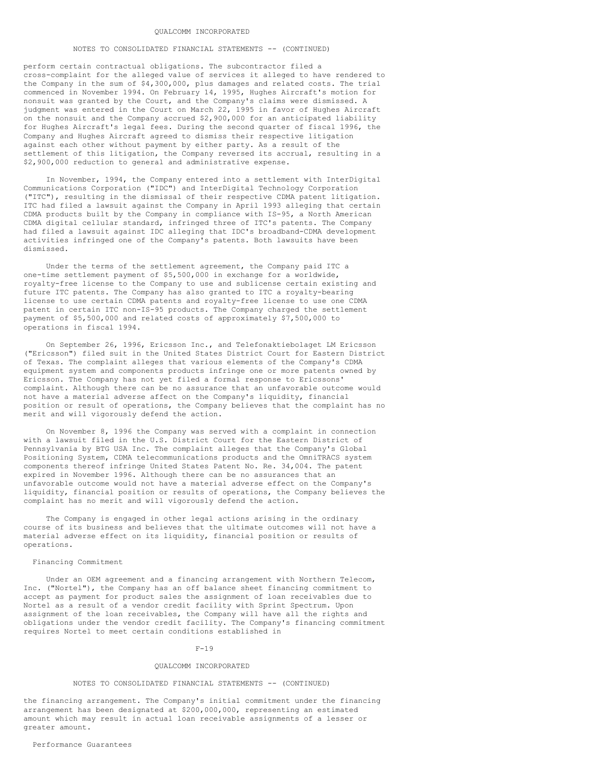#### QUALCOMM INCORPORATED

# NOTES TO CONSOLIDATED FINANCIAL STATEMENTS -- (CONTINUED)

perform certain contractual obligations. The subcontractor filed a cross-complaint for the alleged value of services it alleged to have rendered to the Company in the sum of \$4,300,000, plus damages and related costs. The trial commenced in November 1994. On February 14, 1995, Hughes Aircraft's motion for nonsuit was granted by the Court, and the Company's claims were dismissed. A judgment was entered in the Court on March 22, 1995 in favor of Hughes Aircraft on the nonsuit and the Company accrued \$2,900,000 for an anticipated liability for Hughes Aircraft's legal fees. During the second quarter of fiscal 1996, the Company and Hughes Aircraft agreed to dismiss their respective litigation against each other without payment by either party. As a result of the settlement of this litigation, the Company reversed its accrual, resulting in a \$2,900,000 reduction to general and administrative expense.

In November, 1994, the Company entered into a settlement with InterDigital Communications Corporation ("IDC") and InterDigital Technology Corporation ("ITC"), resulting in the dismissal of their respective CDMA patent litigation. ITC had filed a lawsuit against the Company in April 1993 alleging that certain CDMA products built by the Company in compliance with IS-95, a North American CDMA digital cellular standard, infringed three of ITC's patents. The Company had filed a lawsuit against IDC alleging that IDC's broadband-CDMA development activities infringed one of the Company's patents. Both lawsuits have been dismissed.

Under the terms of the settlement agreement, the Company paid ITC a one-time settlement payment of \$5,500,000 in exchange for a worldwide, royalty-free license to the Company to use and sublicense certain existing and future ITC patents. The Company has also granted to ITC a royalty-bearing license to use certain CDMA patents and royalty-free license to use one CDMA patent in certain ITC non-IS-95 products. The Company charged the settlement payment of \$5,500,000 and related costs of approximately \$7,500,000 to operations in fiscal 1994.

On September 26, 1996, Ericsson Inc., and Telefonaktiebolaget LM Ericsson ("Ericsson") filed suit in the United States District Court for Eastern District of Texas. The complaint alleges that various elements of the Company's CDMA equipment system and components products infringe one or more patents owned by Ericsson. The Company has not yet filed a formal response to Ericssons' complaint. Although there can be no assurance that an unfavorable outcome would not have a material adverse affect on the Company's liquidity, financial position or result of operations, the Company believes that the complaint has no merit and will vigorously defend the action.

On November 8, 1996 the Company was served with a complaint in connection with a lawsuit filed in the U.S. District Court for the Eastern District of Pennsylvania by BTG USA Inc. The complaint alleges that the Company's Global Positioning System, CDMA telecommunications products and the OmniTRACS system components thereof infringe United States Patent No. Re. 34,004. The patent expired in November 1996. Although there can be no assurances that an unfavorable outcome would not have a material adverse effect on the Company's liquidity, financial position or results of operations, the Company believes the complaint has no merit and will vigorously defend the action.

The Company is engaged in other legal actions arising in the ordinary course of its business and believes that the ultimate outcomes will not have a material adverse effect on its liquidity, financial position or results of operations.

# Financing Commitment

Under an OEM agreement and a financing arrangement with Northern Telecom, Inc. ("Nortel"), the Company has an off balance sheet financing commitment to accept as payment for product sales the assignment of loan receivables due to Nortel as a result of a vendor credit facility with Sprint Spectrum. Upon assignment of the loan receivables, the Company will have all the rights and obligations under the vendor credit facility. The Company's financing commitment requires Nortel to meet certain conditions established in

# F-19

# QUALCOMM INCORPORATED

### NOTES TO CONSOLIDATED FINANCIAL STATEMENTS -- (CONTINUED)

the financing arrangement. The Company's initial commitment under the financing arrangement has been designated at \$200,000,000, representing an estimated amount which may result in actual loan receivable assignments of a lesser or greater amount.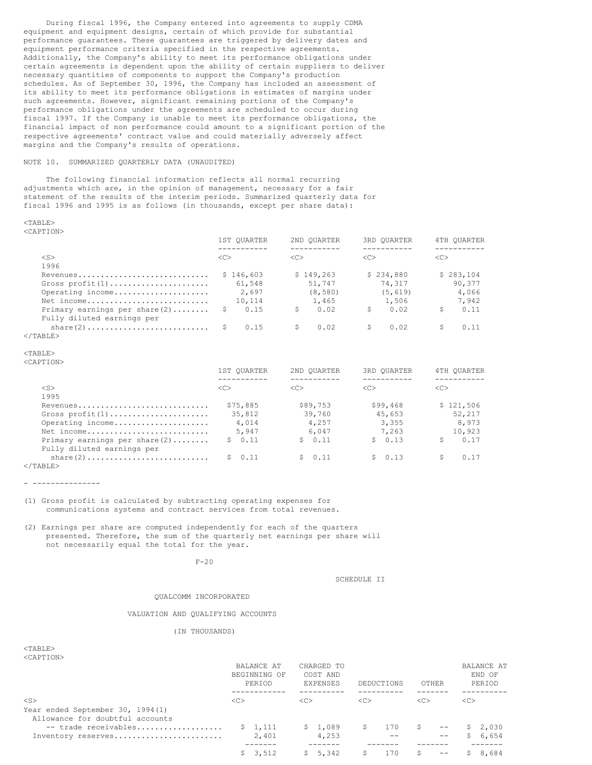During fiscal 1996, the Company entered into agreements to supply CDMA equipment and equipment designs, certain of which provide for substantial performance guarantees. These guarantees are triggered by delivery dates and equipment performance criteria specified in the respective agreements. Additionally, the Company's ability to meet its performance obligations under certain agreements is dependent upon the ability of certain suppliers to deliver necessary quantities of components to support the Company's production schedules. As of September 30, 1996, the Company has included an assessment of its ability to meet its performance obligations in estimates of margins under such agreements. However, significant remaining portions of the Company's performance obligations under the agreements are scheduled to occur during fiscal 1997. If the Company is unable to meet its performance obligations, the financial impact of non performance could amount to a significant portion of the respective agreements' contract value and could materially adversely affect margins and the Company's results of operations.

# NOTE 10. SUMMARIZED QUARTERLY DATA (UNAUDITED)

The following financial information reflects all normal recurring adjustments which are, in the opinion of management, necessary for a fair statement of the results of the interim periods. Summarized quarterly data for fiscal 1996 and 1995 is as follows (in thousands, except per share data):

#### $<$ TABLE>

<CAPTION>

|                                                             | 1ST OUARTER   | 2ND OUARTER   |               | 3RD OUARTER   | 4TH OUARTER |
|-------------------------------------------------------------|---------------|---------------|---------------|---------------|-------------|
|                                                             |               |               |               |               |             |
| $<$ S>                                                      | < <sub></sub> | < <sub></sub> | < <sub></sub> | < <sub></sub> |             |
| 1996                                                        |               |               |               |               |             |
|                                                             | \$146,603     | \$149,263     |               | \$234,880     | \$283.104   |
| Gross $profit(1) \ldots \ldots \ldots \ldots \ldots \ldots$ | 61,548        |               | 51,747        | 74.317        | 90,377      |
| Operating income                                            | 2,697         |               | (8, 580)      | (5, 619)      | 4,066       |
| Net income                                                  | 10,114        |               | 1,465         | 1,506         | 7,942       |
| Primary earnings per share $(2)$                            | 0.15<br>S.    | S.            | 0.02<br>S.    | 0.02          | 0.11<br>Ŝ   |
| Fully diluted earnings per                                  |               |               |               |               |             |
| share $(2)$                                                 | 0.15          |               | 0.02<br>S.    | 0.02          | 0.1         |
| $\langle$ /TABLE>                                           |               |               |               |               |             |

# $<$ TABLE>

<CAPTION>

|                                                             | 1ST OUARTER         | 2ND OUARTER   | 3RD OUARTER   | 4TH OUARTER   |
|-------------------------------------------------------------|---------------------|---------------|---------------|---------------|
|                                                             |                     |               |               |               |
| $<$ S $>$                                                   | $\langle C \rangle$ | < <sub></sub> | < <sub></sub> | < <sub></sub> |
| 1995                                                        |                     |               |               |               |
| Revenues                                                    | \$75,885            | \$89,753      | \$99,468      | \$121,506     |
| Gross $profit(1) \ldots \ldots \ldots \ldots \ldots \ldots$ | 35,812              | 39,760        | 45,653        | 52,217        |
| Operating income                                            | 4,014               | 4,257         | 3,355         | 8,973         |
| Net income                                                  | 5,947               | 6,047         | 7,263         | 10,923        |
| Primary earnings per share $(2)$                            | \$0.11              | $S \t 0.11$   | $5 \t 0.13$   | 0.17<br>Ŝ.    |
| Fully diluted earnings per                                  |                     |               |               |               |
| share $(2)$                                                 | $S = 0.11$          | 0.11          | S 0.13        | 0.17          |
|                                                             |                     |               |               |               |

# $<$ /TABLE>

- ---------------

(1) Gross profit is calculated by subtracting operating expenses for communications systems and contract services from total revenues.

(2) Earnings per share are computed independently for each of the quarters presented. Therefore, the sum of the quarterly net earnings per share will not necessarily equal the total for the year.

 $F-20$ 

### SCHEDULE II

#### QUALCOMM INCORPORATED

#### VALUATION AND QUALIFYING ACCOUNTS

#### (IN THOUSANDS)

 $<$ TABLE> <CAPTION>

| NUAL LEUIV                                                                                                        |               |                                      |               |                                    |               |            |               |              |               |                                |
|-------------------------------------------------------------------------------------------------------------------|---------------|--------------------------------------|---------------|------------------------------------|---------------|------------|---------------|--------------|---------------|--------------------------------|
|                                                                                                                   |               | BALANCE AT<br>BEGINNING OF<br>PERIOD |               | CHARGED TO<br>COST AND<br>EXPENSES |               | DEDUCTIONS |               | OTHER        |               | BALANCE AT<br>END OF<br>PERIOD |
| $<$ S>                                                                                                            | < <sub></sub> |                                      | < <sub></sub> |                                    | < <sub></sub> |            | < <sub></sub> |              | < <sub></sub> |                                |
| Year ended September 30, 1994(1)<br>Allowance for doubtful accounts<br>-- trade receivables<br>Inventory reserves |               | \$1,111<br>2,401                     |               | \$1,089<br>4,253                   | S.            | 170        | $\mathcal{S}$ | $--$<br>$--$ |               | \$2,030<br>\$6,654             |
|                                                                                                                   |               | \$3.512                              |               | \$ 5.342                           | S.            | 170        | $\mathcal{S}$ | $- -$        | S.            | 8.684                          |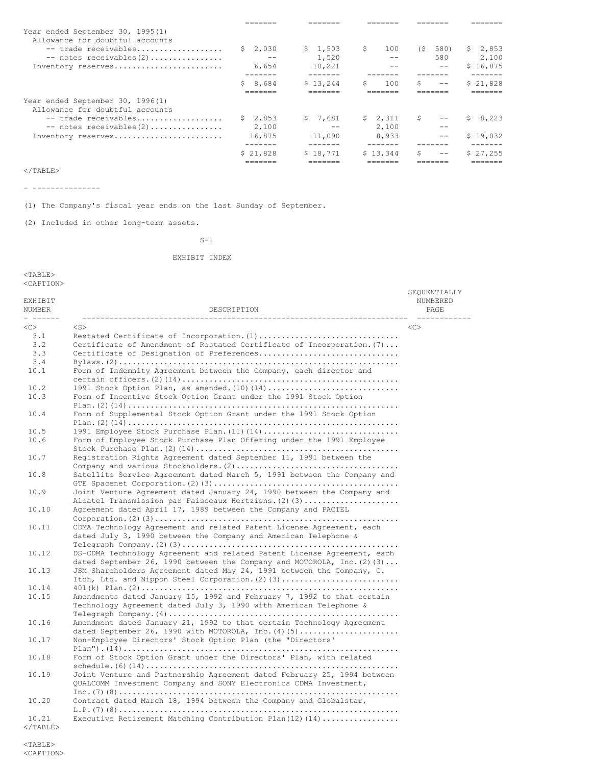|                                                                     | _______            |                     |           |             |                     |
|---------------------------------------------------------------------|--------------------|---------------------|-----------|-------------|---------------------|
| Year ended September 30, 1995(1)<br>Allowance for doubtful accounts |                    |                     |           |             |                     |
| -- trade receivables                                                | 2,030              | \$1,503             | S.<br>100 | (\$<br>580) | 2,853<br>S.         |
| $--$ notes receivables (2)                                          |                    | 1,520               | $- -$     | 580         | 2,100               |
| Inventory reserves                                                  | 6,654              | 10,221              |           | $ -$        | \$16.875            |
|                                                                     | -------<br>\$8.684 | -------<br>\$13.244 | 100       | Ŝ<br>$- -$  | -------<br>\$21.828 |
|                                                                     | -------            |                     |           |             |                     |
| Year ended September 30, 1996(1)<br>Allowance for doubtful accounts |                    |                     |           |             |                     |
| -- trade receivables                                                | \$2.853            | \$ 7.681            | \$2.311   | S.<br>$- -$ | S.<br>8.223         |
| $--$ notes receivables (2)                                          | 2,100              | $- -$               | 2,100     | --          |                     |
| Inventory reserves                                                  | 16,875             | 11,090              | 8,933     | $- -$       | \$19,032            |
|                                                                     | -------            |                     |           |             | -------             |
|                                                                     | \$21.828           | \$18.771            | \$13.344  | Ŝ<br>$- -$  | \$27.255            |
|                                                                     | -------            |                     |           |             | ______              |

 $\rm <$  /TABLE>

- ---------------

(1) The Company's fiscal year ends on the last Sunday of September.

(2) Included in other long-term assets.

 $S-1$ 

# EXHIBIT INDEX

 $<$ TABLE $>$ <CAPTION>

| EXHIBIT<br>NUMBER | DESCRIPTION                                                             | SEQUENTIALLY<br>NUMBERED<br>PAGE |
|-------------------|-------------------------------------------------------------------------|----------------------------------|
| <<>               | $<$ S $>$                                                               | <<                               |
| 3.1               | Restated Certificate of Incorporation. (1)                              |                                  |
| 3.2               | Certificate of Amendment of Restated Certificate of Incorporation. (7)  |                                  |
| 3.3               | Certificate of Designation of Preferences                               |                                  |
| 3.4               |                                                                         |                                  |
| 10.1              | Form of Indemnity Agreement between the Company, each director and      |                                  |
| 10.2              |                                                                         |                                  |
|                   | 1991 Stock Option Plan, as amended. $(10)$ $(14)$                       |                                  |
| 10.3              | Form of Incentive Stock Option Grant under the 1991 Stock Option        |                                  |
|                   |                                                                         |                                  |
| 10.4              | Form of Supplemental Stock Option Grant under the 1991 Stock Option     |                                  |
|                   |                                                                         |                                  |
| 10.5              | 1991 Employee Stock Purchase Plan. (11) (14)                            |                                  |
| 10.6              | Form of Employee Stock Purchase Plan Offering under the 1991 Employee   |                                  |
|                   |                                                                         |                                  |
| 10.7              | Registration Rights Agreement dated September 11, 1991 between the      |                                  |
|                   |                                                                         |                                  |
| 10.8              | Satellite Service Agreement dated March 5, 1991 between the Company and |                                  |
|                   |                                                                         |                                  |
| 10.9              | Joint Venture Agreement dated January 24, 1990 between the Company and  |                                  |
|                   | Alcatel Transmission par Faisceaux Hertziens. (2) (3)                   |                                  |
| 10.10             | Agreement dated April 17, 1989 between the Company and PACTEL           |                                  |
|                   |                                                                         |                                  |
| 10.11             | CDMA Technology Agreement and related Patent License Agreement, each    |                                  |
|                   | dated July 3, 1990 between the Company and American Telephone $\&$      |                                  |
|                   |                                                                         |                                  |
| 10.12             | DS-CDMA Technology Agreement and related Patent License Agreement, each |                                  |
|                   |                                                                         |                                  |
|                   | dated September 26, 1990 between the Company and MOTOROLA, Inc. (2) (3) |                                  |
| 10.13             | JSM Shareholders Agreement dated May 24, 1991 between the Company, C.   |                                  |
|                   | Itoh, Ltd. and Nippon Steel Corporation. (2) (3)                        |                                  |
| 10.14             |                                                                         |                                  |
| 10.15             | Amendments dated January 15, 1992 and February 7, 1992 to that certain  |                                  |
|                   | Technology Agreement dated July 3, 1990 with American Telephone &       |                                  |
|                   |                                                                         |                                  |
| 10.16             | Amendment dated January 21, 1992 to that certain Technology Agreement   |                                  |
|                   | dated September 26, 1990 with MOTOROLA, Inc. $(4)$ $(5)$                |                                  |
| 10.17             | Non-Employee Directors' Stock Option Plan (the "Directors'              |                                  |
|                   |                                                                         |                                  |
| 10.18             | Form of Stock Option Grant under the Directors' Plan, with related      |                                  |
|                   |                                                                         |                                  |
| 10.19             | Joint Venture and Partnership Agreement dated February 25, 1994 between |                                  |
|                   | QUALCOMM Investment Company and SONY Electronics CDMA Investment,       |                                  |
|                   |                                                                         |                                  |
| 10.20             | Contract dated March 18, 1994 between the Company and Globalstar,       |                                  |
|                   |                                                                         |                                  |
| 10.21             | Executive Retirement Matching Contribution Plan(12)(14)                 |                                  |
|                   |                                                                         |                                  |

  |  ||  |  |  |
<TABLE>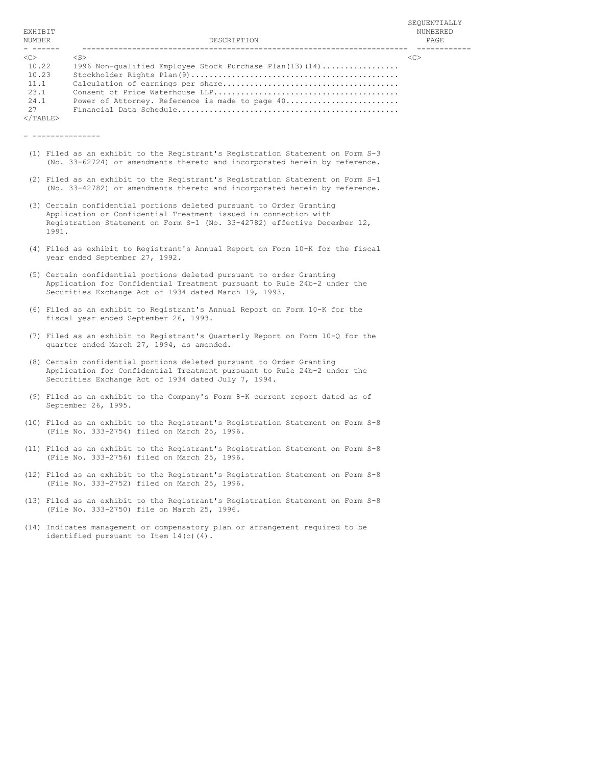| EXHIBIT<br>NUMBER                                           |                               | DESCRIPTION<br>--------------------------------                                                                                                                                                                     | SEQUENTIALLY<br>NUMBERED<br>PAGE<br>-------- |
|-------------------------------------------------------------|-------------------------------|---------------------------------------------------------------------------------------------------------------------------------------------------------------------------------------------------------------------|----------------------------------------------|
| $<\subset>$<br>10.22<br>10.23<br>11.1<br>23.1<br>24.1<br>27 | - ------<br>$\langle$ /TABLE> | $<$ S $>$<br>1996 Non-qualified Employee Stock Purchase Plan (13) (14)<br>Power of Attorney. Reference is made to page 40<br>---------------                                                                        | <<                                           |
|                                                             |                               | (1) Filed as an exhibit to the Registrant's Registration Statement on Form S-3<br>(No. 33-62724) or amendments thereto and incorporated herein by reference.                                                        |                                              |
|                                                             |                               | (2) Filed as an exhibit to the Registrant's Registration Statement on Form S-1<br>(No. 33-42782) or amendments thereto and incorporated herein by reference.                                                        |                                              |
|                                                             | 1991.                         | (3) Certain confidential portions deleted pursuant to Order Granting<br>Application or Confidential Treatment issued in connection with<br>Registration Statement on Form S-1 (No. 33-42782) effective December 12, |                                              |
|                                                             |                               | (4) Filed as exhibit to Registrant's Annual Report on Form 10-K for the fiscal<br>year ended September 27, 1992.                                                                                                    |                                              |
|                                                             |                               | (5) Certain confidential portions deleted pursuant to order Granting<br>Application for Confidential Treatment pursuant to Rule 24b-2 under the<br>Securities Exchange Act of 1934 dated March 19, 1993.            |                                              |
|                                                             |                               | (6) Filed as an exhibit to Registrant's Annual Report on Form 10-K for the<br>fiscal year ended September 26, 1993.                                                                                                 |                                              |
|                                                             |                               | (7) Filed as an exhibit to Registrant's Quarterly Report on Form 10-Q for the<br>quarter ended March 27, 1994, as amended.                                                                                          |                                              |
|                                                             |                               | (8) Certain confidential portions deleted pursuant to Order Granting<br>Application for Confidential Treatment pursuant to Rule 24b-2 under the<br>Securities Exchange Act of 1934 dated July 7, 1994.              |                                              |
|                                                             |                               | (9) Filed as an exhibit to the Company's Form 8-K current report dated as of<br>September 26, 1995.                                                                                                                 |                                              |
|                                                             |                               | (10) Filed as an exhibit to the Registrant's Registration Statement on Form S-8<br>(File No. 333-2754) filed on March 25, 1996.                                                                                     |                                              |
|                                                             |                               | (11) Filed as an exhibit to the Registrant's Registration Statement on Form S-8<br>(File No. 333-2756) filed on March 25, 1996.                                                                                     |                                              |
|                                                             |                               | (12) Filed as an exhibit to the Registrant's Registration Statement on Form S-8<br>(File No. 333-2752) filed on March 25, 1996.                                                                                     |                                              |
|                                                             |                               | (13) Filed as an exhibit to the Registrant's Registration Statement on Form S-8<br>(File No. 333-2750) file on March 25, 1996.                                                                                      |                                              |
|                                                             |                               | (14) Indicates management or compensatory plan or arrangement required to be<br>identified pursuant to Item 14(c)(4).                                                                                               |                                              |
|                                                             |                               |                                                                                                                                                                                                                     |                                              |
|                                                             |                               |                                                                                                                                                                                                                     |                                              |
|                                                             |                               |                                                                                                                                                                                                                     |                                              |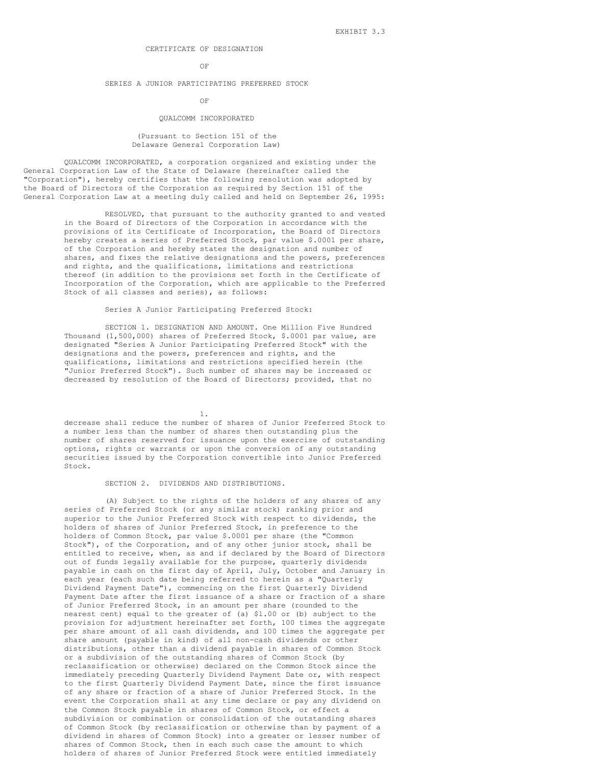# CERTIFICATE OF DESIGNATION

#### OF

# SERIES A JUNIOR PARTICIPATING PREFERRED STOCK

#### OF

#### QUALCOMM INCORPORATED

# (Pursuant to Section 151 of the Delaware General Corporation Law)

QUALCOMM INCORPORATED, a corporation organized and existing under the General Corporation Law of the State of Delaware (hereinafter called the "Corporation"), hereby certifies that the following resolution was adopted by the Board of Directors of the Corporation as required by Section 151 of the General Corporation Law at a meeting duly called and held on September 26, 1995:

> RESOLVED, that pursuant to the authority granted to and vested in the Board of Directors of the Corporation in accordance with the provisions of its Certificate of Incorporation, the Board of Directors hereby creates a series of Preferred Stock, par value \$.0001 per share, of the Corporation and hereby states the designation and number of shares, and fixes the relative designations and the powers, preferences and rights, and the qualifications, limitations and restrictions thereof (in addition to the provisions set forth in the Certificate of Incorporation of the Corporation, which are applicable to the Preferred Stock of all classes and series), as follows:

### Series A Junior Participating Preferred Stock:

SECTION 1. DESIGNATION AND AMOUNT. One Million Five Hundred Thousand (1,500,000) shares of Preferred Stock, \$.0001 par value, are designated "Series A Junior Participating Preferred Stock" with the designations and the powers, preferences and rights, and the qualifications, limitations and restrictions specified herein (the "Junior Preferred Stock"). Such number of shares may be increased or decreased by resolution of the Board of Directors; provided, that no

1.

decrease shall reduce the number of shares of Junior Preferred Stock to a number less than the number of shares then outstanding plus the number of shares reserved for issuance upon the exercise of outstanding options, rights or warrants or upon the conversion of any outstanding securities issued by the Corporation convertible into Junior Preferred Stock.

# SECTION 2. DIVIDENDS AND DISTRIBUTIONS.

(A) Subject to the rights of the holders of any shares of any series of Preferred Stock (or any similar stock) ranking prior and superior to the Junior Preferred Stock with respect to dividends, the holders of shares of Junior Preferred Stock, in preference to the holders of Common Stock, par value \$.0001 per share (the "Common Stock"), of the Corporation, and of any other junior stock, shall be entitled to receive, when, as and if declared by the Board of Directors out of funds legally available for the purpose, quarterly dividends payable in cash on the first day of April, July, October and January in each year (each such date being referred to herein as a "Quarterly Dividend Payment Date"), commencing on the first Quarterly Dividend Payment Date after the first issuance of a share or fraction of a share of Junior Preferred Stock, in an amount per share (rounded to the nearest cent) equal to the greater of (a) \$l.00 or (b) subject to the provision for adjustment hereinafter set forth, 100 times the aggregate per share amount of all cash dividends, and 100 times the aggregate per share amount (payable in kind) of all non-cash dividends or other distributions, other than a dividend payable in shares of Common Stock or a subdivision of the outstanding shares of Common Stock (by reclassification or otherwise) declared on the Common Stock since the immediately preceding Quarterly Dividend Payment Date or, with respect to the first Quarterly Dividend Payment Date, since the first issuance of any share or fraction of a share of Junior Preferred Stock. In the event the Corporation shall at any time declare or pay any dividend on the Common Stock payable in shares of Common Stock, or effect a subdivision or combination or consolidation of the outstanding shares of Common Stock (by reclassification or otherwise than by payment of a dividend in shares of Common Stock) into a greater or lesser number of shares of Common Stock, then in each such case the amount to which holders of shares of Junior Preferred Stock were entitled immediately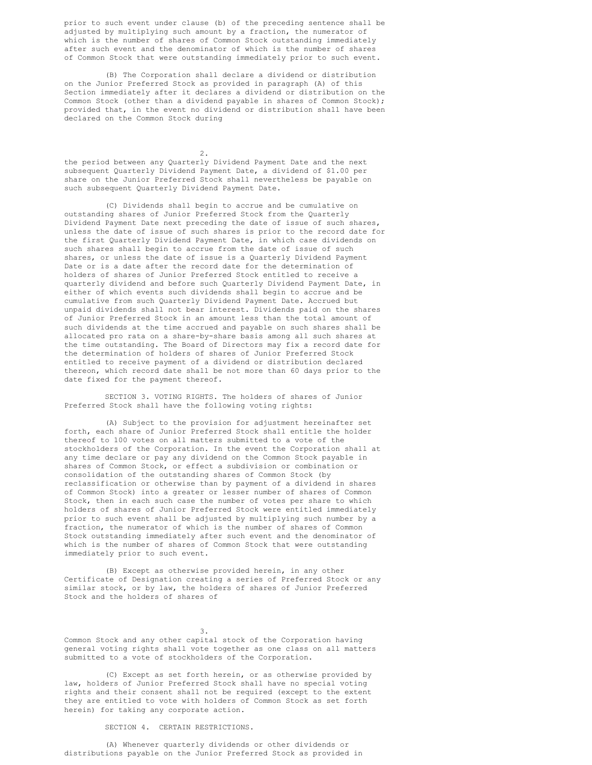prior to such event under clause (b) of the preceding sentence shall be adjusted by multiplying such amount by a fraction, the numerator of which is the number of shares of Common Stock outstanding immediately after such event and the denominator of which is the number of shares of Common Stock that were outstanding immediately prior to such event.

(B) The Corporation shall declare a dividend or distribution on the Junior Preferred Stock as provided in paragraph (A) of this Section immediately after it declares a dividend or distribution on the Common Stock (other than a dividend payable in shares of Common Stock); provided that, in the event no dividend or distribution shall have been declared on the Common Stock during

2.

the period between any Quarterly Dividend Payment Date and the next subsequent Quarterly Dividend Payment Date, a dividend of \$1.00 per share on the Junior Preferred Stock shall nevertheless be payable on such subsequent Quarterly Dividend Payment Date.

(C) Dividends shall begin to accrue and be cumulative on outstanding shares of Junior Preferred Stock from the Quarterly Dividend Payment Date next preceding the date of issue of such shares, unless the date of issue of such shares is prior to the record date for the first Quarterly Dividend Payment Date, in which case dividends on such shares shall begin to accrue from the date of issue of such shares, or unless the date of issue is a Quarterly Dividend Payment Date or is a date after the record date for the determination of holders of shares of Junior Preferred Stock entitled to receive a quarterly dividend and before such Quarterly Dividend Payment Date, in either of which events such dividends shall begin to accrue and be cumulative from such Quarterly Dividend Payment Date. Accrued but unpaid dividends shall not bear interest. Dividends paid on the shares of Junior Preferred Stock in an amount less than the total amount of such dividends at the time accrued and payable on such shares shall be allocated pro rata on a share-by-share basis among all such shares at the time outstanding. The Board of Directors may fix a record date for the determination of holders of shares of Junior Preferred Stock entitled to receive payment of a dividend or distribution declared thereon, which record date shall be not more than 60 days prior to the date fixed for the payment thereof.

SECTION 3. VOTING RIGHTS. The holders of shares of Junior Preferred Stock shall have the following voting rights:

(A) Subject to the provision for adjustment hereinafter set forth, each share of Junior Preferred Stock shall entitle the holder thereof to 100 votes on all matters submitted to a vote of the stockholders of the Corporation. In the event the Corporation shall at any time declare or pay any dividend on the Common Stock payable in shares of Common Stock, or effect a subdivision or combination or consolidation of the outstanding shares of Common Stock (by reclassification or otherwise than by payment of a dividend in shares of Common Stock) into a greater or lesser number of shares of Common Stock, then in each such case the number of votes per share to which holders of shares of Junior Preferred Stock were entitled immediately prior to such event shall be adjusted by multiplying such number by a fraction, the numerator of which is the number of shares of Common Stock outstanding immediately after such event and the denominator of which is the number of shares of Common Stock that were outstanding immediately prior to such event.

(B) Except as otherwise provided herein, in any other Certificate of Designation creating a series of Preferred Stock or any similar stock, or by law, the holders of shares of Junior Preferred Stock and the holders of shares of

3.

Common Stock and any other capital stock of the Corporation having general voting rights shall vote together as one class on all matters submitted to a vote of stockholders of the Corporation.

(C) Except as set forth herein, or as otherwise provided by law, holders of Junior Preferred Stock shall have no special voting rights and their consent shall not be required (except to the extent they are entitled to vote with holders of Common Stock as set forth herein) for taking any corporate action.

# SECTION 4. CERTAIN RESTRICTIONS.

(A) Whenever quarterly dividends or other dividends or distributions payable on the Junior Preferred Stock as provided in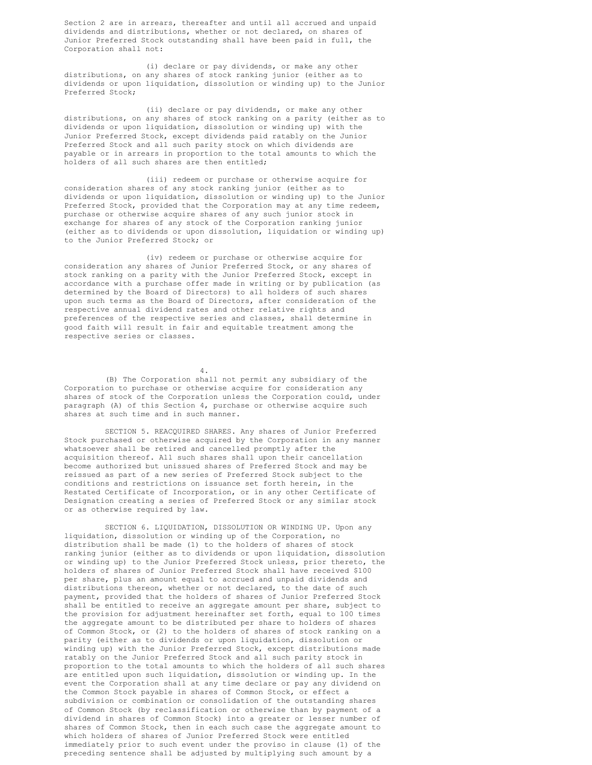Section 2 are in arrears, thereafter and until all accrued and unpaid dividends and distributions, whether or not declared, on shares of Junior Preferred Stock outstanding shall have been paid in full, the Corporation shall not:

(i) declare or pay dividends, or make any other distributions, on any shares of stock ranking junior (either as to dividends or upon liquidation, dissolution or winding up) to the Junior Preferred Stock;

(ii) declare or pay dividends, or make any other distributions, on any shares of stock ranking on a parity (either as to dividends or upon liquidation, dissolution or winding up) with the Junior Preferred Stock, except dividends paid ratably on the Junior Preferred Stock and all such parity stock on which dividends are payable or in arrears in proportion to the total amounts to which the holders of all such shares are then entitled;

(iii) redeem or purchase or otherwise acquire for consideration shares of any stock ranking junior (either as to dividends or upon liquidation, dissolution or winding up) to the Junior Preferred Stock, provided that the Corporation may at any time redeem, purchase or otherwise acquire shares of any such junior stock in exchange for shares of any stock of the Corporation ranking junior (either as to dividends or upon dissolution, liquidation or winding up) to the Junior Preferred Stock; or

(iv) redeem or purchase or otherwise acquire for consideration any shares of Junior Preferred Stock, or any shares of stock ranking on a parity with the Junior Preferred Stock, except in accordance with a purchase offer made in writing or by publication (as determined by the Board of Directors) to all holders of such shares upon such terms as the Board of Directors, after consideration of the respective annual dividend rates and other relative rights and preferences of the respective series and classes, shall determine in good faith will result in fair and equitable treatment among the respective series or classes.

4.

(B) The Corporation shall not permit any subsidiary of the Corporation to purchase or otherwise acquire for consideration any shares of stock of the Corporation unless the Corporation could, under paragraph (A) of this Section 4, purchase or otherwise acquire such shares at such time and in such manner.

SECTION 5. REACQUIRED SHARES. Any shares of Junior Preferred Stock purchased or otherwise acquired by the Corporation in any manner whatsoever shall be retired and cancelled promptly after the acquisition thereof. All such shares shall upon their cancellation become authorized but unissued shares of Preferred Stock and may be reissued as part of a new series of Preferred Stock subject to the conditions and restrictions on issuance set forth herein, in the Restated Certificate of Incorporation, or in any other Certificate of Designation creating a series of Preferred Stock or any similar stock or as otherwise required by law.

SECTION 6. LIQUIDATION, DISSOLUTION OR WINDING UP. Upon any liquidation, dissolution or winding up of the Corporation, no distribution shall be made (1) to the holders of shares of stock ranking junior (either as to dividends or upon liquidation, dissolution or winding up) to the Junior Preferred Stock unless, prior thereto, the holders of shares of Junior Preferred Stock shall have received \$100 per share, plus an amount equal to accrued and unpaid dividends and distributions thereon, whether or not declared, to the date of such payment, provided that the holders of shares of Junior Preferred Stock shall be entitled to receive an aggregate amount per share, subject to the provision for adjustment hereinafter set forth, equal to 100 times the aggregate amount to be distributed per share to holders of shares of Common Stock, or (2) to the holders of shares of stock ranking on a parity (either as to dividends or upon liquidation, dissolution or winding up) with the Junior Preferred Stock, except distributions made ratably on the Junior Preferred Stock and all such parity stock in proportion to the total amounts to which the holders of all such shares are entitled upon such liquidation, dissolution or winding up. In the event the Corporation shall at any time declare or pay any dividend on the Common Stock payable in shares of Common Stock, or effect a subdivision or combination or consolidation of the outstanding shares of Common Stock (by reclassification or otherwise than by payment of a dividend in shares of Common Stock) into a greater or lesser number of shares of Common Stock, then in each such case the aggregate amount to which holders of shares of Junior Preferred Stock were entitled immediately prior to such event under the proviso in clause (1) of the preceding sentence shall be adjusted by multiplying such amount by a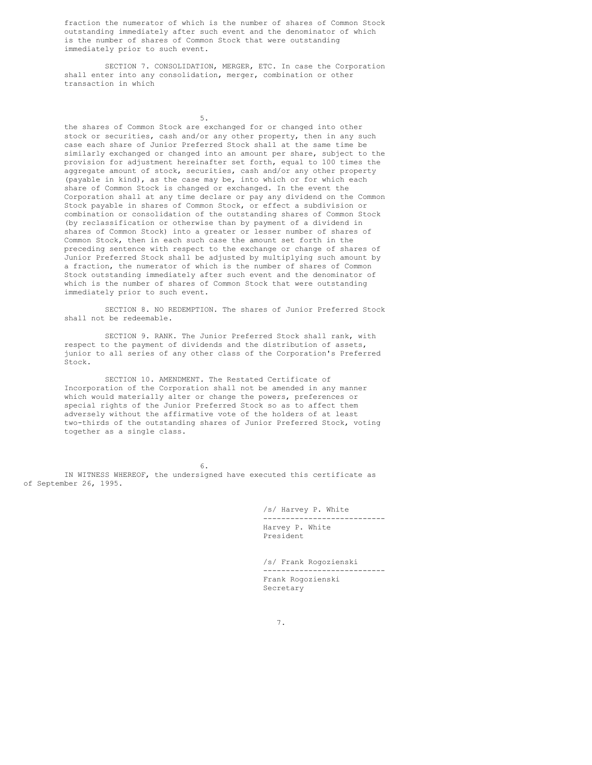fraction the numerator of which is the number of shares of Common Stock outstanding immediately after such event and the denominator of which is the number of shares of Common Stock that were outstanding immediately prior to such event.

SECTION 7. CONSOLIDATION, MERGER, ETC. In case the Corporation shall enter into any consolidation, merger, combination or other transaction in which

5.

the shares of Common Stock are exchanged for or changed into other stock or securities, cash and/or any other property, then in any such case each share of Junior Preferred Stock shall at the same time be similarly exchanged or changed into an amount per share, subject to the provision for adjustment hereinafter set forth, equal to 100 times the aggregate amount of stock, securities, cash and/or any other property (payable in kind), as the case may be, into which or for which each share of Common Stock is changed or exchanged. In the event the Corporation shall at any time declare or pay any dividend on the Common Stock payable in shares of Common Stock, or effect a subdivision or combination or consolidation of the outstanding shares of Common Stock (by reclassification or otherwise than by payment of a dividend in shares of Common Stock) into a greater or lesser number of shares of Common Stock, then in each such case the amount set forth in the preceding sentence with respect to the exchange or change of shares of Junior Preferred Stock shall be adjusted by multiplying such amount by a fraction, the numerator of which is the number of shares of Common Stock outstanding immediately after such event and the denominator of which is the number of shares of Common Stock that were outstanding immediately prior to such event.

SECTION 8. NO REDEMPTION. The shares of Junior Preferred Stock shall not be redeemable.

SECTION 9. RANK. The Junior Preferred Stock shall rank, with respect to the payment of dividends and the distribution of assets, junior to all series of any other class of the Corporation's Preferred Stock.

SECTION 10. AMENDMENT. The Restated Certificate of Incorporation of the Corporation shall not be amended in any manner which would materially alter or change the powers, preferences or special rights of the Junior Preferred Stock so as to affect them adversely without the affirmative vote of the holders of at least two-thirds of the outstanding shares of Junior Preferred Stock, voting together as a single class.

6. IN WITNESS WHEREOF, the undersigned have executed this certificate as of September 26, 1995.

> /s/ Harvey P. White --------------------------- Harvey P. White President

> /s/ Frank Rogozienski --------------------------- Frank Rogozienski Secretary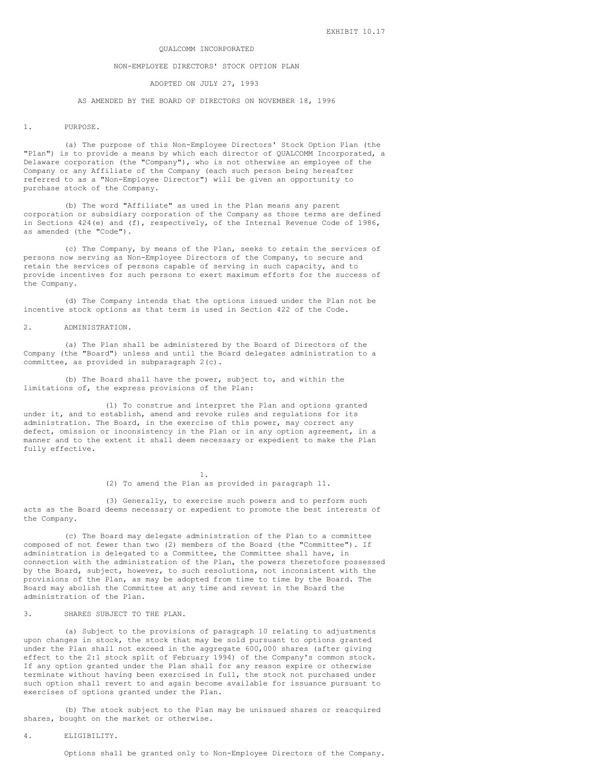# QUALCOMM INCORPORATED

# NON-EMPLOYEE DIRECTORS' STOCK OPTION PLAN

# ADOPTED ON JULY 27, 1993

AS AMENDED BY THE BOARD OF DIRECTORS ON NOVEMBER 18, 1996

#### 1. PURPOSE.

(a) The purpose of this Non-Employee Directors' Stock Option Plan (the "Plan") is to provide a means by which each director of QUALCOMM Incorporated, a Delaware corporation (the "Company"), who is not otherwise an employee of the Company or any Affiliate of the Company (each such person being hereafter referred to as a "Non-Employee Director") will be given an opportunity to purchase stock of the Company.

(b) The word "Affiliate" as used in the Plan means any parent corporation or subsidiary corporation of the Company as those terms are defined in Sections 424(e) and (f), respectively, of the Internal Revenue Code of 1986, as amended (the "Code").

(c) The Company, by means of the Plan, seeks to retain the services of persons now serving as Non-Employee Directors of the Company, to secure and retain the services of persons capable of serving in such capacity, and to provide incentives for such persons to exert maximum efforts for the success of the Company.

(d) The Company intends that the options issued under the Plan not be incentive stock options as that term is used in Section 422 of the Code.

### 2. ADMINISTRATION.

(a) The Plan shall be administered by the Board of Directors of the Company (the "Board") unless and until the Board delegates administration to a committee, as provided in subparagraph 2(c).

(b) The Board shall have the power, subject to, and within the limitations of, the express provisions of the Plan:

(1) To construe and interpret the Plan and options granted under it, and to establish, amend and revoke rules and regulations for its administration. The Board, in the exercise of this power, may correct any defect, omission or inconsistency in the Plan or in any option agreement, in a manner and to the extent it shall deem necessary or expedient to make the Plan fully effective.

> 1. (2) To amend the Plan as provided in paragraph 11.

(3) Generally, to exercise such powers and to perform such acts as the Board deems necessary or expedient to promote the best interests of the Company.

(c) The Board may delegate administration of the Plan to a committee composed of not fewer than two (2) members of the Board (the "Committee"). If administration is delegated to a Committee, the Committee shall have, in connection with the administration of the Plan, the powers theretofore possessed by the Board, subject, however, to such resolutions, not inconsistent with the provisions of the Plan, as may be adopted from time to time by the Board. The Board may abolish the Committee at any time and revest in the Board the administration of the Plan.

#### 3. SHARES SUBJECT TO THE PLAN.

(a) Subject to the provisions of paragraph 10 relating to adjustments upon changes in stock, the stock that may be sold pursuant to options granted under the Plan shall not exceed in the aggregate 600,000 shares (after giving effect to the 2:1 stock split of February 1994) of the Company's common stock. If any option granted under the Plan shall for any reason expire or otherwise terminate without having been exercised in full, the stock not purchased under such option shall revert to and again become available for issuance pursuant to exercises of options granted under the Plan.

(b) The stock subject to the Plan may be unissued shares or reacquired shares, bought on the market or otherwise.

4. ELIGIBILITY.

Options shall be granted only to Non-Employee Directors of the Company.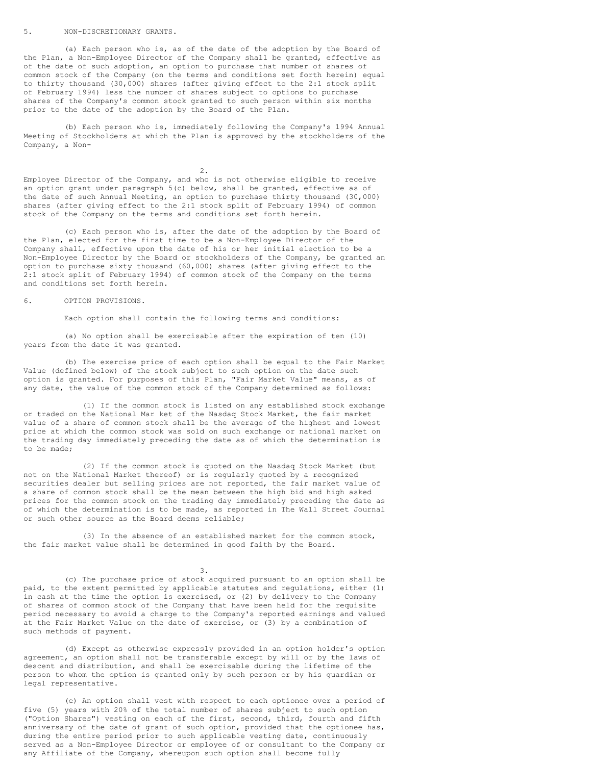# 5. NON-DISCRETIONARY GRANTS.

(a) Each person who is, as of the date of the adoption by the Board of the Plan, a Non-Employee Director of the Company shall be granted, effective as of the date of such adoption, an option to purchase that number of shares of common stock of the Company (on the terms and conditions set forth herein) equal to thirty thousand (30,000) shares (after giving effect to the 2:1 stock split of February 1994) less the number of shares subject to options to purchase shares of the Company's common stock granted to such person within six months prior to the date of the adoption by the Board of the Plan.

(b) Each person who is, immediately following the Company's 1994 Annual Meeting of Stockholders at which the Plan is approved by the stockholders of the Company, a Non-

2.

Employee Director of the Company, and who is not otherwise eligible to receive an option grant under paragraph 5(c) below, shall be granted, effective as of the date of such Annual Meeting, an option to purchase thirty thousand (30,000) shares (after giving effect to the 2:1 stock split of February 1994) of common stock of the Company on the terms and conditions set forth herein.

(c) Each person who is, after the date of the adoption by the Board of the Plan, elected for the first time to be a Non-Employee Director of the Company shall, effective upon the date of his or her initial election to be a Non-Employee Director by the Board or stockholders of the Company, be granted an option to purchase sixty thousand (60,000) shares (after giving effect to the 2:1 stock split of February 1994) of common stock of the Company on the terms and conditions set forth herein.

# 6. OPTION PROVISIONS.

Each option shall contain the following terms and conditions:

(a) No option shall be exercisable after the expiration of ten (10) years from the date it was granted.

(b) The exercise price of each option shall be equal to the Fair Market Value (defined below) of the stock subject to such option on the date such option is granted. For purposes of this Plan, "Fair Market Value" means, as of any date, the value of the common stock of the Company determined as follows:

(1) If the common stock is listed on any established stock exchange or traded on the National Mar ket of the Nasdaq Stock Market, the fair market value of a share of common stock shall be the average of the highest and lowest price at which the common stock was sold on such exchange or national market on the trading day immediately preceding the date as of which the determination is to be made;

(2) If the common stock is quoted on the Nasdaq Stock Market (but not on the National Market thereof) or is regularly quoted by a recognized securities dealer but selling prices are not reported, the fair market value of a share of common stock shall be the mean between the high bid and high asked prices for the common stock on the trading day immediately preceding the date as of which the determination is to be made, as reported in The Wall Street Journal or such other source as the Board deems reliable;

(3) In the absence of an established market for the common stock, the fair market value shall be determined in good faith by the Board.

3.

(c) The purchase price of stock acquired pursuant to an option shall be paid, to the extent permitted by applicable statutes and regulations, either (1) in cash at the time the option is exercised, or (2) by delivery to the Company of shares of common stock of the Company that have been held for the requisite period necessary to avoid a charge to the Company's reported earnings and valued at the Fair Market Value on the date of exercise, or (3) by a combination of such methods of payment.

(d) Except as otherwise expressly provided in an option holder's option agreement, an option shall not be transferable except by will or by the laws of descent and distribution, and shall be exercisable during the lifetime of the person to whom the option is granted only by such person or by his guardian or legal representative.

(e) An option shall vest with respect to each optionee over a period of five (5) years with 20% of the total number of shares subject to such option ("Option Shares") vesting on each of the first, second, third, fourth and fifth anniversary of the date of grant of such option, provided that the optionee has, during the entire period prior to such applicable vesting date, continuously served as a Non-Employee Director or employee of or consultant to the Company or any Affiliate of the Company, whereupon such option shall become fully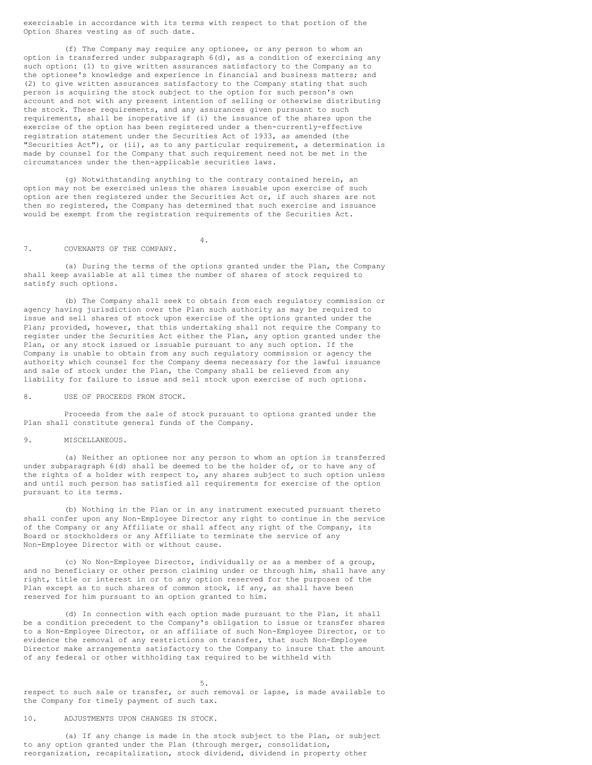exercisable in accordance with its terms with respect to that portion of the Option Shares vesting as of such date.

(f) The Company may require any optionee, or any person to whom an option is transferred under subparagraph 6(d), as a condition of exercising any such option: (1) to give written assurances satisfactory to the Company as to the optionee's knowledge and experience in financial and business matters; and (2) to give written assurances satisfactory to the Company stating that such person is acquiring the stock subject to the option for such person's own account and not with any present intention of selling or otherwise distributing the stock. These requirements, and any assurances given pursuant to such requirements, shall be inoperative if (i) the issuance of the shares upon the exercise of the option has been registered under a then-currently-effective registration statement under the Securities Act of 1933, as amended (the "Securities Act"), or (ii), as to any particular requirement, a determination is made by counsel for the Company that such requirement need not be met in the circumstances under the then-applicable securities laws.

(g) Notwithstanding anything to the contrary contained herein, an option may not be exercised unless the shares issuable upon exercise of such option are then registered under the Securities Act or, if such shares are not then so registered, the Company has determined that such exercise and issuance would be exempt from the registration requirements of the Securities Act.

#### 7. COVENANTS OF THE COMPANY.

(a) During the terms of the options granted under the Plan, the Company shall keep available at all times the number of shares of stock required to satisfy such options.

4.

(b) The Company shall seek to obtain from each regulatory commission or agency having jurisdiction over the Plan such authority as may be required to issue and sell shares of stock upon exercise of the options granted under the Plan; provided, however, that this undertaking shall not require the Company to register under the Securities Act either the Plan, any option granted under the Plan, or any stock issued or issuable pursuant to any such option. If the Company is unable to obtain from any such regulatory commission or agency the authority which counsel for the Company deems necessary for the lawful issuance and sale of stock under the Plan, the Company shall be relieved from any liability for failure to issue and sell stock upon exercise of such options.

### 8. USE OF PROCEEDS FROM STOCK.

Proceeds from the sale of stock pursuant to options granted under the Plan shall constitute general funds of the Company.

# 9. MISCELLANEOUS.

(a) Neither an optionee nor any person to whom an option is transferred under subparagraph 6(d) shall be deemed to be the holder of, or to have any of the rights of a holder with respect to, any shares subject to such option unless and until such person has satisfied all requirements for exercise of the option pursuant to its terms.

(b) Nothing in the Plan or in any instrument executed pursuant thereto shall confer upon any Non-Employee Director any right to continue in the service of the Company or any Affiliate or shall affect any right of the Company, its Board or stockholders or any Affiliate to terminate the service of any Non-Employee Director with or without cause.

(c) No Non-Employee Director, individually or as a member of a group, and no beneficiary or other person claiming under or through him, shall have any right, title or interest in or to any option reserved for the purposes of the Plan except as to such shares of common stock, if any, as shall have been reserved for him pursuant to an option granted to him.

(d) In connection with each option made pursuant to the Plan, it shall be a condition precedent to the Company's obligation to issue or transfer shares to a Non-Employee Director, or an affiliate of such Non-Employee Director, or to evidence the removal of any restrictions on transfer, that such Non-Employee Director make arrangements satisfactory to the Company to insure that the amount of any federal or other withholding tax required to be withheld with

5. respect to such sale or transfer, or such removal or lapse, is made available to the Company for timely payment of such tax.

# 10. ADJUSTMENTS UPON CHANGES IN STOCK.

(a) If any change is made in the stock subject to the Plan, or subject to any option granted under the Plan (through merger, consolidation, reorganization, recapitalization, stock dividend, dividend in property other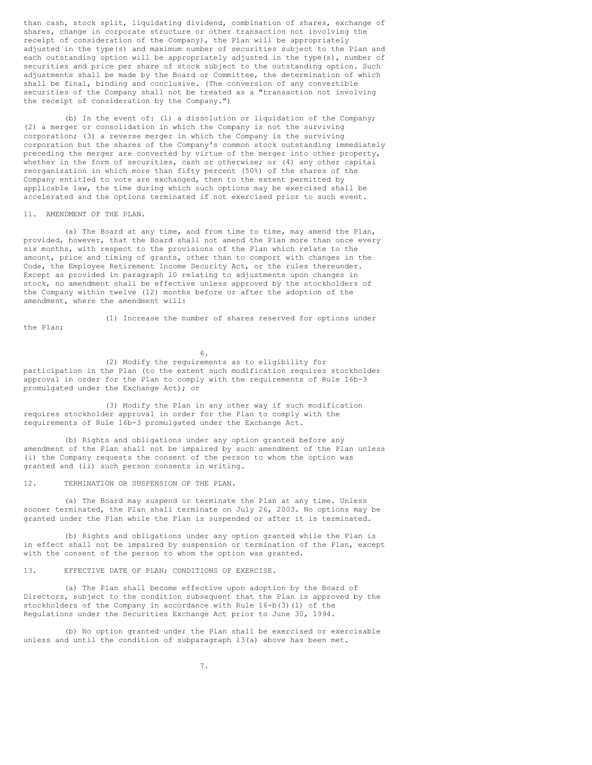than cash, stock split, liquidating dividend, combination of shares, exchange of shares, change in corporate structure or other transaction not involving the receipt of consideration of the Company), the Plan will be appropriately adjusted in the type(s) and maximum number of securities subject to the Plan and each outstanding option will be appropriately adjusted in the type(s), number of securities and price per share of stock subject to the outstanding option. Such adjustments shall be made by the Board or Committee, the determination of which shall be final, binding and conclusive. (The conversion of any convertible securities of the Company shall not be treated as a "transaction not involving the receipt of consideration by the Company.")

(b) In the event of: (1) a dissolution or liquidation of the Company; (2) a merger or consolidation in which the Company is not the surviving corporation; (3) a reverse merger in which the Company is the surviving corporation but the shares of the Company's common stock outstanding immediately preceding the merger are converted by virtue of the merger into other property, whether in the form of securities, cash or otherwise; or (4) any other capital reorganization in which more than fifty percent (50%) of the shares of the Company entitled to vote are exchanged, then to the extent permitted by applicable law, the time during which such options may be exercised shall be accelerated and the options terminated if not exercised prior to such event.

# 11. AMENDMENT OF THE PLAN.

(a) The Board at any time, and from time to time, may amend the Plan, provided, however, that the Board shall not amend the Plan more than once every six months, with respect to the provisions of the Plan which relate to the amount, price and timing of grants, other than to comport with changes in the Code, the Employee Retirement Income Security Act, or the rules thereunder. Except as provided in paragraph 10 relating to adjustments upon changes in stock, no amendment shall be effective unless approved by the stockholders of the Company within twelve (12) months before or after the adoption of the amendment, where the amendment will:

the Plan;

(1) Increase the number of shares reserved for options under

(2) Modify the requirements as to eligibility for participation in the Plan (to the extent such modification requires stockholder approval in order for the Plan to comply with the requirements of Rule 16b-3 promulgated under the Exchange Act); or

6.

(3) Modify the Plan in any other way if such modification requires stockholder approval in order for the Plan to comply with the requirements of Rule 16b-3 promulgated under the Exchange Act.

(b) Rights and obligations under any option granted before any amendment of the Plan shall not be impaired by such amendment of the Plan unless (i) the Company requests the consent of the person to whom the option was granted and (ii) such person consents in writing.

12. TERMINATION OR SUSPENSION OF THE PLAN.

(a) The Board may suspend or terminate the Plan at any time. Unless sooner terminated, the Plan shall terminate on July 26, 2003. No options may be granted under the Plan while the Plan is suspended or after it is terminated.

(b) Rights and obligations under any option granted while the Plan is in effect shall not be impaired by suspension or termination of the Plan, except with the consent of the person to whom the option was granted.

13. EFFECTIVE DATE OF PLAN; CONDITIONS OF EXERCISE.

(a) The Plan shall become effective upon adoption by the Board of Directors, subject to the condition subsequent that the Plan is approved by the stockholders of the Company in accordance with Rule 16-b(3)(1) of the Regulations under the Securities Exchange Act prior to June 30, 1994.

(b) No option granted under the Plan shall be exercised or exercisable unless and until the condition of subparagraph 13(a) above has been met.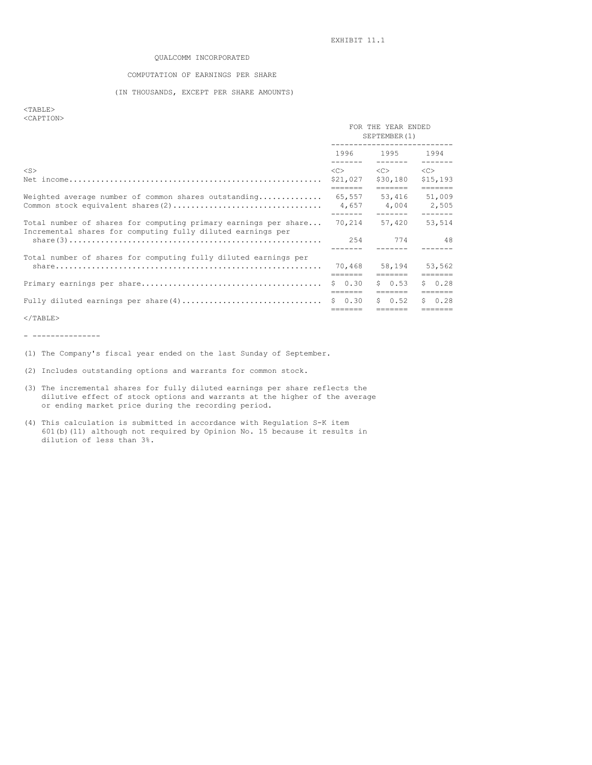# QUALCOMM INCORPORATED

# COMPUTATION OF EARNINGS PER SHARE

# (IN THOUSANDS, EXCEPT PER SHARE AMOUNTS)

<TABLE> <CAPTION>

|                                                                                                                                |         | FOR THE YEAR ENDED<br>SEPTEMBER(1)<br>--------------------------       |                               |  |
|--------------------------------------------------------------------------------------------------------------------------------|---------|------------------------------------------------------------------------|-------------------------------|--|
|                                                                                                                                |         | 1996 1995 1994                                                         |                               |  |
| $<$ S>                                                                                                                         | ======= | $\langle C \rangle$ $\langle C \rangle$ $\langle C \rangle$<br>======= | \$15,193<br>$=$ = = = = = = = |  |
| Weighted average number of common shares outstanding                                                                           |         | 65,557 53,416 51,009<br>4,657 4,004 2,505<br>________ ________         | $- - - - - - -$               |  |
| Total number of shares for computing primary earnings per share<br>Incremental shares for computing fully diluted earnings per | 70,214  | 57,420<br>254 774 48                                                   | 53,514                        |  |
| Total number of shares for computing fully diluted earnings per                                                                | ======= | 70,468 58,194 53,562<br>--------                                       |                               |  |
|                                                                                                                                |         | $$0.30$ $$0.53$ $$0.28$<br>=======                                     | $=$ =======                   |  |
|                                                                                                                                | ======= | $5 \t 0.52$<br>=======                                                 | $5 \t 0.28$<br>=======        |  |

 $<$ /TABLE>

- ---------------

(1) The Company's fiscal year ended on the last Sunday of September.

(2) Includes outstanding options and warrants for common stock.

- (3) The incremental shares for fully diluted earnings per share reflects the dilutive effect of stock options and warrants at the higher of the average or ending market price during the recording period.
- (4) This calculation is submitted in accordance with Regulation S-K item 601(b)(11) although not required by Opinion No. 15 because it results in dilution of less than 3%.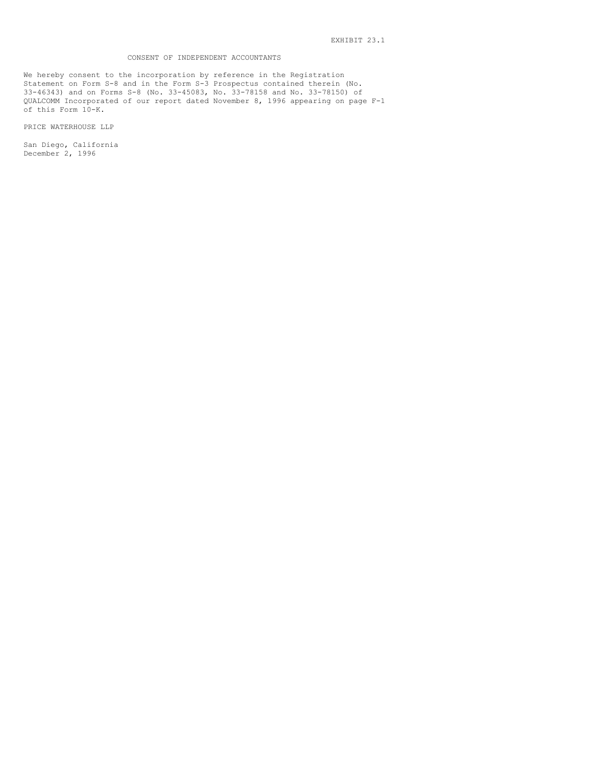# CONSENT OF INDEPENDENT ACCOUNTANTS

We hereby consent to the incorporation by reference in the Registration Statement on Form S-8 and in the Form S-3 Prospectus contained therein (No. 33-46343) and on Forms S-8 (No. 33-45083, No. 33-78158 and No. 33-78150) of QUALCOMM Incorporated of our report dated November 8, 1996 appearing on page F-1 of this Form 10-K.

PRICE WATERHOUSE LLP

San Diego, California December 2, 1996